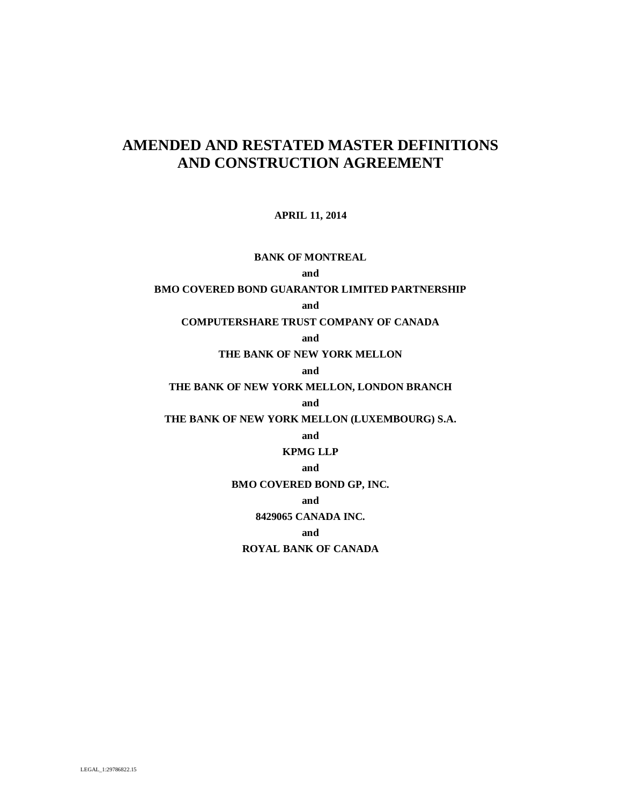# **AMENDED AND RESTATED MASTER DEFINITIONS AND CONSTRUCTION AGREEMENT**

# **APRIL 11, 2014**

# **BANK OF MONTREAL**

# **and**

# **BMO COVERED BOND GUARANTOR LIMITED PARTNERSHIP**

### **and**

### **COMPUTERSHARE TRUST COMPANY OF CANADA**

### **and**

### **THE BANK OF NEW YORK MELLON**

#### **and**

### **THE BANK OF NEW YORK MELLON, LONDON BRANCH**

#### **and**

# **THE BANK OF NEW YORK MELLON (LUXEMBOURG) S.A.**

## **and**

# **KPMG LLP**

# **and**

## **BMO COVERED BOND GP, INC.**

#### **and**

### **8429065 CANADA INC.**

### **and**

# **ROYAL BANK OF CANADA**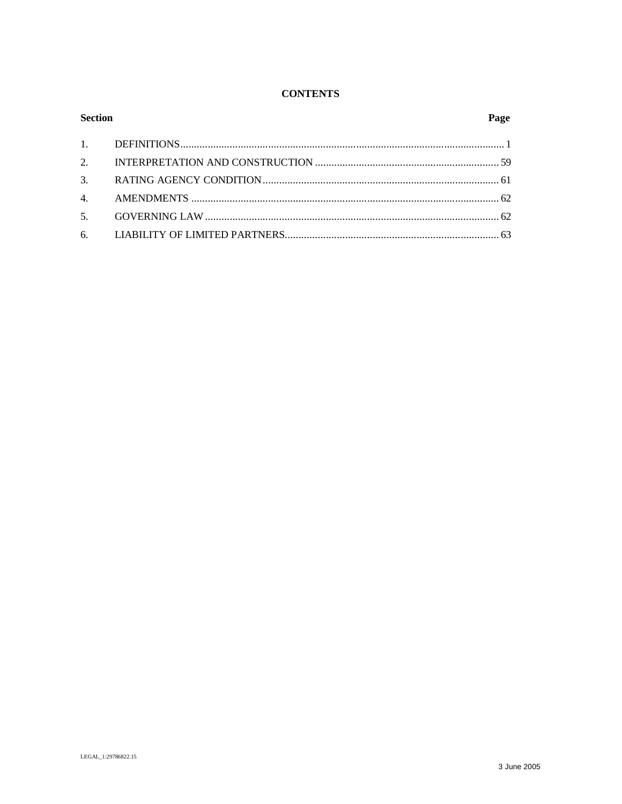# **CONTENTS**

| <b>Section</b> |  | Page |
|----------------|--|------|
|                |  |      |
|                |  |      |
|                |  |      |
|                |  |      |
|                |  |      |
|                |  |      |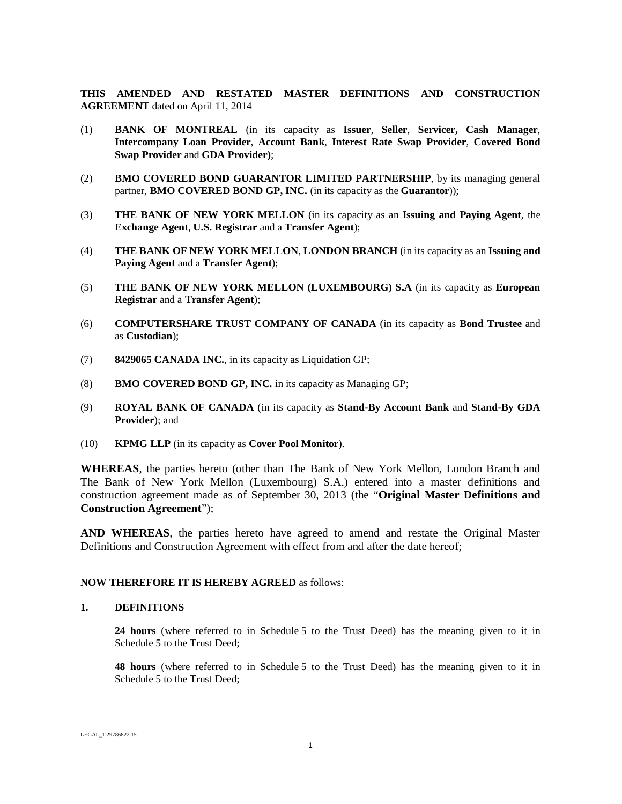**THIS AMENDED AND RESTATED MASTER DEFINITIONS AND CONSTRUCTION AGREEMENT** dated on April 11, 2014

- (1) **BANK OF MONTREAL** (in its capacity as **Issuer**, **Seller**, **Servicer, Cash Manager**, **Intercompany Loan Provider**, **Account Bank**, **Interest Rate Swap Provider**, **Covered Bond Swap Provider** and **GDA Provider)**;
- (2) **BMO COVERED BOND GUARANTOR LIMITED PARTNERSHIP**, by its managing general partner, **BMO COVERED BOND GP, INC.** (in its capacity as the **Guarantor**));
- (3) **THE BANK OF NEW YORK MELLON** (in its capacity as an **Issuing and Paying Agent**, the **Exchange Agent**, **U.S. Registrar** and a **Transfer Agent**);
- (4) **THE BANK OF NEW YORK MELLON**, **LONDON BRANCH** (in its capacity as an **Issuing and Paying Agent** and a **Transfer Agent**);
- (5) **THE BANK OF NEW YORK MELLON (LUXEMBOURG) S.A** (in its capacity as **European Registrar** and a **Transfer Agent**);
- (6) **COMPUTERSHARE TRUST COMPANY OF CANADA** (in its capacity as **Bond Trustee** and as **Custodian**);
- (7) **8429065 CANADA INC.**, in its capacity as Liquidation GP;
- (8) **BMO COVERED BOND GP, INC.** in its capacity as Managing GP;
- (9) **ROYAL BANK OF CANADA** (in its capacity as **Stand-By Account Bank** and **Stand-By GDA Provider**); and
- (10) **KPMG LLP** (in its capacity as **Cover Pool Monitor**).

**WHEREAS**, the parties hereto (other than The Bank of New York Mellon, London Branch and The Bank of New York Mellon (Luxembourg) S.A.) entered into a master definitions and construction agreement made as of September 30, 2013 (the "**Original Master Definitions and Construction Agreement**");

**AND WHEREAS**, the parties hereto have agreed to amend and restate the Original Master Definitions and Construction Agreement with effect from and after the date hereof;

### **NOW THEREFORE IT IS HEREBY AGREED** as follows:

### **1. DEFINITIONS**

**24 hours** (where referred to in Schedule 5 to the Trust Deed) has the meaning given to it in Schedule 5 to the Trust Deed;

**48 hours** (where referred to in Schedule 5 to the Trust Deed) has the meaning given to it in Schedule 5 to the Trust Deed;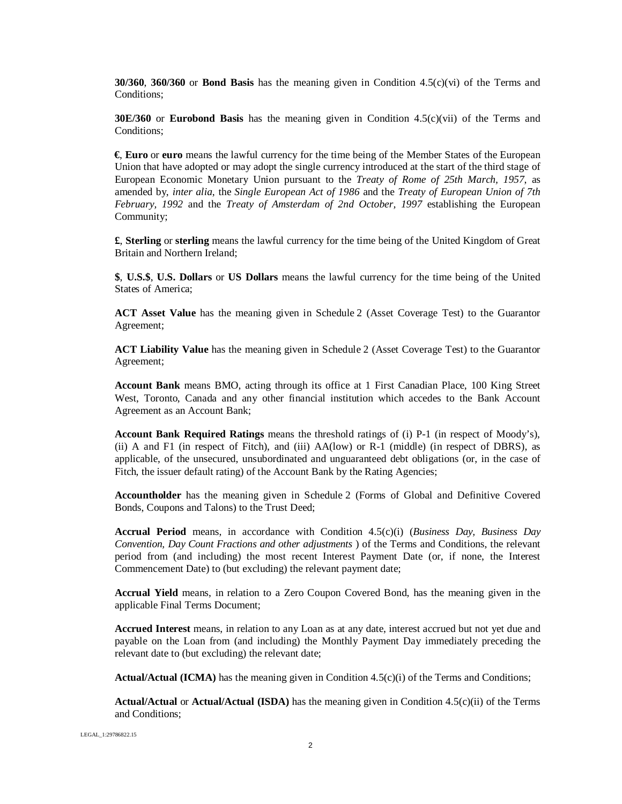**30/360**, **360/360** or **Bond Basis** has the meaning given in Condition 4.5(c)(vi) of the Terms and Conditions;

**30E/360** or **Eurobond Basis** has the meaning given in Condition 4.5(c)(vii) of the Terms and Conditions;

**€**, **Euro** or **euro** means the lawful currency for the time being of the Member States of the European Union that have adopted or may adopt the single currency introduced at the start of the third stage of European Economic Monetary Union pursuant to the *Treaty of Rome of 25th March, 1957*, as amended by, *inter alia*, the *Single European Act of 1986* and the *Treaty of European Union of 7th February, 1992* and the *Treaty of Amsterdam of 2nd October, 1997* establishing the European Community;

**£**, **Sterling** or **sterling** means the lawful currency for the time being of the United Kingdom of Great Britain and Northern Ireland;

**\$**, **U.S.\$**, **U.S. Dollars** or **US Dollars** means the lawful currency for the time being of the United States of America;

**ACT Asset Value** has the meaning given in Schedule 2 (Asset Coverage Test) to the Guarantor Agreement;

**ACT Liability Value** has the meaning given in Schedule 2 (Asset Coverage Test) to the Guarantor Agreement;

**Account Bank** means BMO, acting through its office at 1 First Canadian Place, 100 King Street West, Toronto, Canada and any other financial institution which accedes to the Bank Account Agreement as an Account Bank;

**Account Bank Required Ratings** means the threshold ratings of (i) P-1 (in respect of Moody's), (ii) A and F1 (in respect of Fitch), and (iii) AA(low) or R-1 (middle) (in respect of DBRS), as applicable, of the unsecured, unsubordinated and unguaranteed debt obligations (or, in the case of Fitch, the issuer default rating) of the Account Bank by the Rating Agencies;

**Accountholder** has the meaning given in Schedule 2 (Forms of Global and Definitive Covered Bonds, Coupons and Talons) to the Trust Deed;

**Accrual Period** means, in accordance with Condition 4.5(c)(i) (*Business Day, Business Day Convention, Day Count Fractions and other adjustments* ) of the Terms and Conditions, the relevant period from (and including) the most recent Interest Payment Date (or, if none, the Interest Commencement Date) to (but excluding) the relevant payment date;

**Accrual Yield** means, in relation to a Zero Coupon Covered Bond, has the meaning given in the applicable Final Terms Document;

**Accrued Interest** means, in relation to any Loan as at any date, interest accrued but not yet due and payable on the Loan from (and including) the Monthly Payment Day immediately preceding the relevant date to (but excluding) the relevant date;

**Actual/Actual (ICMA)** has the meaning given in Condition 4.5(c)(i) of the Terms and Conditions;

**Actual/Actual** or **Actual/Actual (ISDA)** has the meaning given in Condition 4.5(c)(ii) of the Terms and Conditions;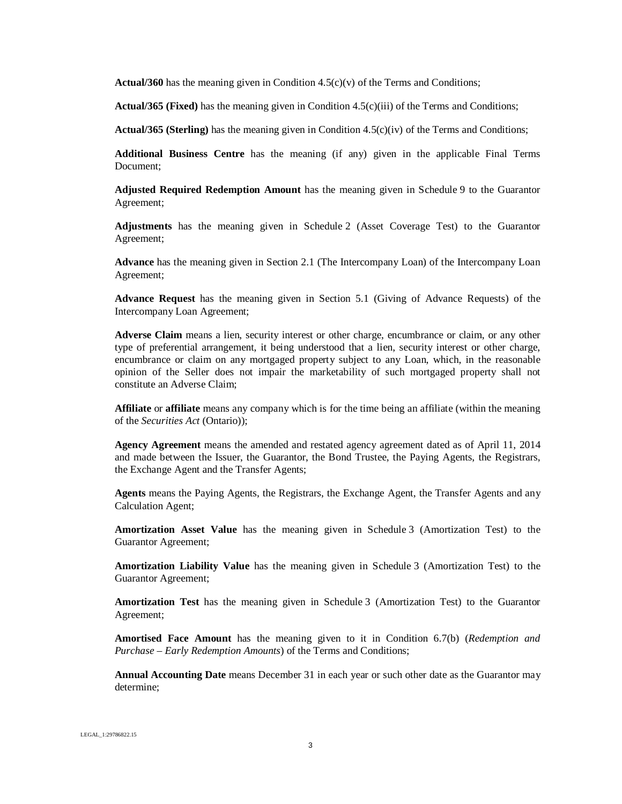**Actual/360** has the meaning given in Condition  $4.5(c)(v)$  of the Terms and Conditions;

**Actual/365 (Fixed)** has the meaning given in Condition 4.5(c)(iii) of the Terms and Conditions;

**Actual/365 (Sterling)** has the meaning given in Condition 4.5(c)(iv) of the Terms and Conditions;

**Additional Business Centre** has the meaning (if any) given in the applicable Final Terms Document;

**Adjusted Required Redemption Amount** has the meaning given in Schedule 9 to the Guarantor Agreement;

**Adjustments** has the meaning given in Schedule 2 (Asset Coverage Test) to the Guarantor Agreement;

**Advance** has the meaning given in Section 2.1 (The Intercompany Loan) of the Intercompany Loan Agreement;

**Advance Request** has the meaning given in Section 5.1 (Giving of Advance Requests) of the Intercompany Loan Agreement;

**Adverse Claim** means a lien, security interest or other charge, encumbrance or claim, or any other type of preferential arrangement, it being understood that a lien, security interest or other charge, encumbrance or claim on any mortgaged property subject to any Loan, which, in the reasonable opinion of the Seller does not impair the marketability of such mortgaged property shall not constitute an Adverse Claim;

**Affiliate** or **affiliate** means any company which is for the time being an affiliate (within the meaning of the *Securities Act* (Ontario));

**Agency Agreement** means the amended and restated agency agreement dated as of April 11, 2014 and made between the Issuer, the Guarantor, the Bond Trustee, the Paying Agents, the Registrars, the Exchange Agent and the Transfer Agents;

**Agents** means the Paying Agents, the Registrars, the Exchange Agent, the Transfer Agents and any Calculation Agent;

**Amortization Asset Value** has the meaning given in Schedule 3 (Amortization Test) to the Guarantor Agreement;

**Amortization Liability Value** has the meaning given in Schedule 3 (Amortization Test) to the Guarantor Agreement;

**Amortization Test** has the meaning given in Schedule 3 (Amortization Test) to the Guarantor Agreement;

**Amortised Face Amount** has the meaning given to it in Condition 6.7(b) (*Redemption and Purchase – Early Redemption Amounts*) of the Terms and Conditions;

**Annual Accounting Date** means December 31 in each year or such other date as the Guarantor may determine;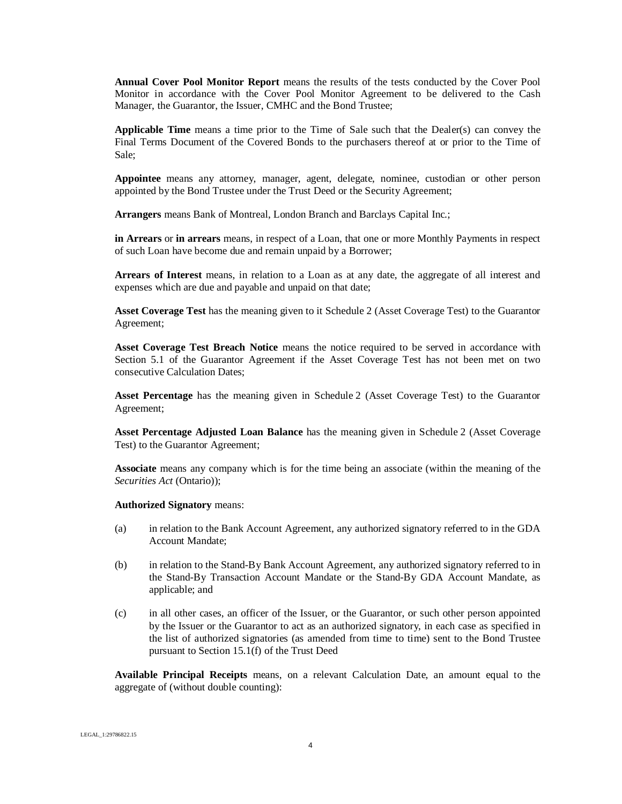**Annual Cover Pool Monitor Report** means the results of the tests conducted by the Cover Pool Monitor in accordance with the Cover Pool Monitor Agreement to be delivered to the Cash Manager, the Guarantor, the Issuer, CMHC and the Bond Trustee;

**Applicable Time** means a time prior to the Time of Sale such that the Dealer(s) can convey the Final Terms Document of the Covered Bonds to the purchasers thereof at or prior to the Time of Sale;

**Appointee** means any attorney, manager, agent, delegate, nominee, custodian or other person appointed by the Bond Trustee under the Trust Deed or the Security Agreement;

**Arrangers** means Bank of Montreal, London Branch and Barclays Capital Inc.;

**in Arrears** or **in arrears** means, in respect of a Loan, that one or more Monthly Payments in respect of such Loan have become due and remain unpaid by a Borrower;

**Arrears of Interest** means, in relation to a Loan as at any date, the aggregate of all interest and expenses which are due and payable and unpaid on that date;

**Asset Coverage Test** has the meaning given to it Schedule 2 (Asset Coverage Test) to the Guarantor Agreement;

**Asset Coverage Test Breach Notice** means the notice required to be served in accordance with Section 5.1 of the Guarantor Agreement if the Asset Coverage Test has not been met on two consecutive Calculation Dates;

**Asset Percentage** has the meaning given in Schedule 2 (Asset Coverage Test) to the Guarantor Agreement;

**Asset Percentage Adjusted Loan Balance** has the meaning given in Schedule 2 (Asset Coverage Test) to the Guarantor Agreement;

**Associate** means any company which is for the time being an associate (within the meaning of the *Securities Act* (Ontario));

**Authorized Signatory** means:

- (a) in relation to the Bank Account Agreement, any authorized signatory referred to in the GDA Account Mandate;
- (b) in relation to the Stand-By Bank Account Agreement, any authorized signatory referred to in the Stand-By Transaction Account Mandate or the Stand-By GDA Account Mandate, as applicable; and
- (c) in all other cases, an officer of the Issuer, or the Guarantor, or such other person appointed by the Issuer or the Guarantor to act as an authorized signatory, in each case as specified in the list of authorized signatories (as amended from time to time) sent to the Bond Trustee pursuant to Section 15.1(f) of the Trust Deed

**Available Principal Receipts** means, on a relevant Calculation Date, an amount equal to the aggregate of (without double counting):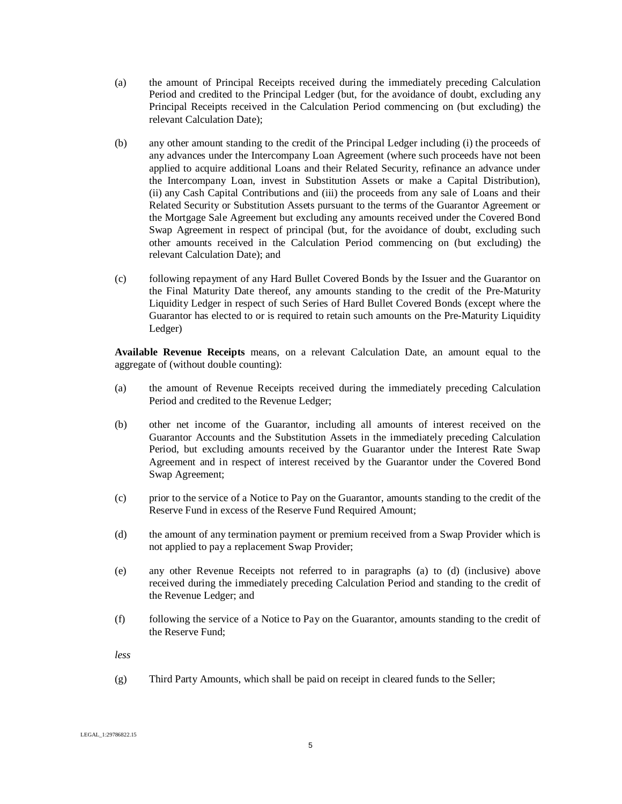- (a) the amount of Principal Receipts received during the immediately preceding Calculation Period and credited to the Principal Ledger (but, for the avoidance of doubt, excluding any Principal Receipts received in the Calculation Period commencing on (but excluding) the relevant Calculation Date);
- (b) any other amount standing to the credit of the Principal Ledger including (i) the proceeds of any advances under the Intercompany Loan Agreement (where such proceeds have not been applied to acquire additional Loans and their Related Security, refinance an advance under the Intercompany Loan, invest in Substitution Assets or make a Capital Distribution), (ii) any Cash Capital Contributions and (iii) the proceeds from any sale of Loans and their Related Security or Substitution Assets pursuant to the terms of the Guarantor Agreement or the Mortgage Sale Agreement but excluding any amounts received under the Covered Bond Swap Agreement in respect of principal (but, for the avoidance of doubt, excluding such other amounts received in the Calculation Period commencing on (but excluding) the relevant Calculation Date); and
- (c) following repayment of any Hard Bullet Covered Bonds by the Issuer and the Guarantor on the Final Maturity Date thereof, any amounts standing to the credit of the Pre-Maturity Liquidity Ledger in respect of such Series of Hard Bullet Covered Bonds (except where the Guarantor has elected to or is required to retain such amounts on the Pre-Maturity Liquidity Ledger)

**Available Revenue Receipts** means, on a relevant Calculation Date, an amount equal to the aggregate of (without double counting):

- (a) the amount of Revenue Receipts received during the immediately preceding Calculation Period and credited to the Revenue Ledger;
- (b) other net income of the Guarantor, including all amounts of interest received on the Guarantor Accounts and the Substitution Assets in the immediately preceding Calculation Period, but excluding amounts received by the Guarantor under the Interest Rate Swap Agreement and in respect of interest received by the Guarantor under the Covered Bond Swap Agreement;
- (c) prior to the service of a Notice to Pay on the Guarantor, amounts standing to the credit of the Reserve Fund in excess of the Reserve Fund Required Amount;
- (d) the amount of any termination payment or premium received from a Swap Provider which is not applied to pay a replacement Swap Provider;
- (e) any other Revenue Receipts not referred to in paragraphs (a) to (d) (inclusive) above received during the immediately preceding Calculation Period and standing to the credit of the Revenue Ledger; and
- (f) following the service of a Notice to Pay on the Guarantor, amounts standing to the credit of the Reserve Fund;

*less*

(g) Third Party Amounts, which shall be paid on receipt in cleared funds to the Seller;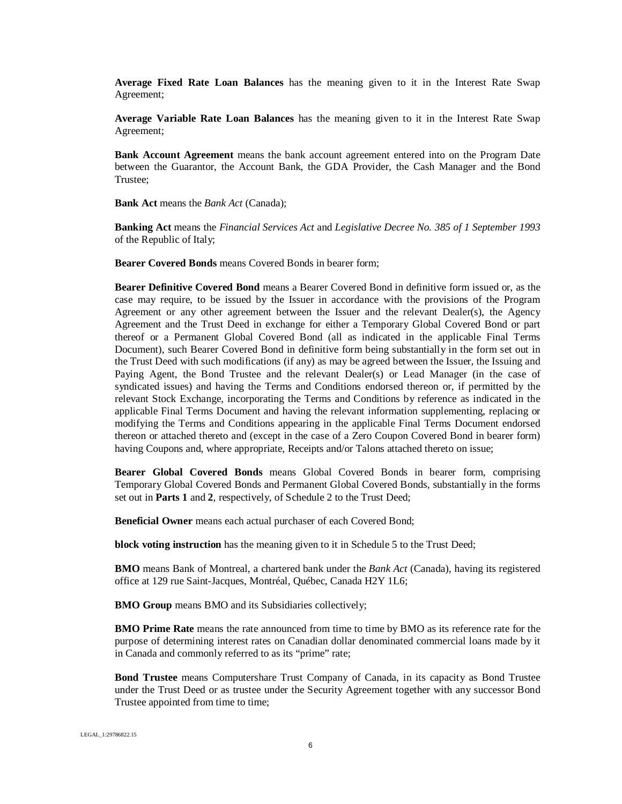**Average Fixed Rate Loan Balances** has the meaning given to it in the Interest Rate Swap Agreement;

**Average Variable Rate Loan Balances** has the meaning given to it in the Interest Rate Swap Agreement;

**Bank Account Agreement** means the bank account agreement entered into on the Program Date between the Guarantor, the Account Bank, the GDA Provider, the Cash Manager and the Bond Trustee;

**Bank Act** means the *Bank Act* (Canada);

**Banking Act** means the *Financial Services Act* and *Legislative Decree No. 385 of 1 September 1993* of the Republic of Italy;

**Bearer Covered Bonds** means Covered Bonds in bearer form;

**Bearer Definitive Covered Bond** means a Bearer Covered Bond in definitive form issued or, as the case may require, to be issued by the Issuer in accordance with the provisions of the Program Agreement or any other agreement between the Issuer and the relevant Dealer(s), the Agency Agreement and the Trust Deed in exchange for either a Temporary Global Covered Bond or part thereof or a Permanent Global Covered Bond (all as indicated in the applicable Final Terms Document), such Bearer Covered Bond in definitive form being substantially in the form set out in the Trust Deed with such modifications (if any) as may be agreed between the Issuer, the Issuing and Paying Agent, the Bond Trustee and the relevant Dealer(s) or Lead Manager (in the case of syndicated issues) and having the Terms and Conditions endorsed thereon or, if permitted by the relevant Stock Exchange, incorporating the Terms and Conditions by reference as indicated in the applicable Final Terms Document and having the relevant information supplementing, replacing or modifying the Terms and Conditions appearing in the applicable Final Terms Document endorsed thereon or attached thereto and (except in the case of a Zero Coupon Covered Bond in bearer form) having Coupons and, where appropriate, Receipts and/or Talons attached thereto on issue;

**Bearer Global Covered Bonds** means Global Covered Bonds in bearer form, comprising Temporary Global Covered Bonds and Permanent Global Covered Bonds, substantially in the forms set out in **Parts 1** and **2**, respectively, of Schedule 2 to the Trust Deed;

**Beneficial Owner** means each actual purchaser of each Covered Bond;

**block voting instruction** has the meaning given to it in Schedule 5 to the Trust Deed;

**BMO** means Bank of Montreal, a chartered bank under the *Bank Act* (Canada), having its registered office at 129 rue Saint-Jacques, Montréal, Québec, Canada H2Y 1L6;

**BMO Group** means BMO and its Subsidiaries collectively;

**BMO Prime Rate** means the rate announced from time to time by BMO as its reference rate for the purpose of determining interest rates on Canadian dollar denominated commercial loans made by it in Canada and commonly referred to as its "prime" rate;

**Bond Trustee** means Computershare Trust Company of Canada, in its capacity as Bond Trustee under the Trust Deed or as trustee under the Security Agreement together with any successor Bond Trustee appointed from time to time;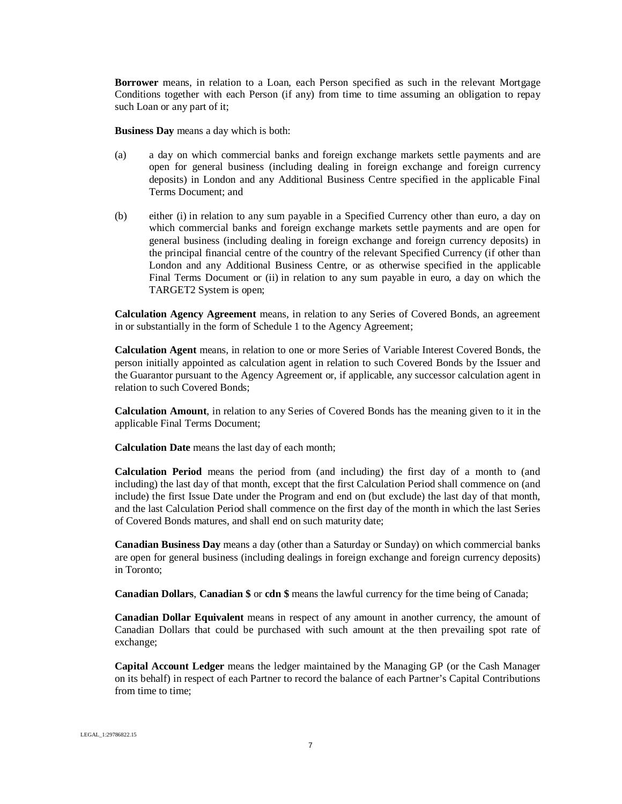**Borrower** means, in relation to a Loan, each Person specified as such in the relevant Mortgage Conditions together with each Person (if any) from time to time assuming an obligation to repay such Loan or any part of it;

**Business Day** means a day which is both:

- (a) a day on which commercial banks and foreign exchange markets settle payments and are open for general business (including dealing in foreign exchange and foreign currency deposits) in London and any Additional Business Centre specified in the applicable Final Terms Document; and
- (b) either (i) in relation to any sum payable in a Specified Currency other than euro, a day on which commercial banks and foreign exchange markets settle payments and are open for general business (including dealing in foreign exchange and foreign currency deposits) in the principal financial centre of the country of the relevant Specified Currency (if other than London and any Additional Business Centre, or as otherwise specified in the applicable Final Terms Document or (ii) in relation to any sum payable in euro, a day on which the TARGET2 System is open;

**Calculation Agency Agreement** means, in relation to any Series of Covered Bonds, an agreement in or substantially in the form of Schedule 1 to the Agency Agreement;

**Calculation Agent** means, in relation to one or more Series of Variable Interest Covered Bonds, the person initially appointed as calculation agent in relation to such Covered Bonds by the Issuer and the Guarantor pursuant to the Agency Agreement or, if applicable, any successor calculation agent in relation to such Covered Bonds;

**Calculation Amount**, in relation to any Series of Covered Bonds has the meaning given to it in the applicable Final Terms Document;

**Calculation Date** means the last day of each month;

**Calculation Period** means the period from (and including) the first day of a month to (and including) the last day of that month, except that the first Calculation Period shall commence on (and include) the first Issue Date under the Program and end on (but exclude) the last day of that month, and the last Calculation Period shall commence on the first day of the month in which the last Series of Covered Bonds matures, and shall end on such maturity date;

**Canadian Business Day** means a day (other than a Saturday or Sunday) on which commercial banks are open for general business (including dealings in foreign exchange and foreign currency deposits) in Toronto;

**Canadian Dollars**, **Canadian \$** or **cdn \$** means the lawful currency for the time being of Canada;

**Canadian Dollar Equivalent** means in respect of any amount in another currency, the amount of Canadian Dollars that could be purchased with such amount at the then prevailing spot rate of exchange;

**Capital Account Ledger** means the ledger maintained by the Managing GP (or the Cash Manager on its behalf) in respect of each Partner to record the balance of each Partner's Capital Contributions from time to time;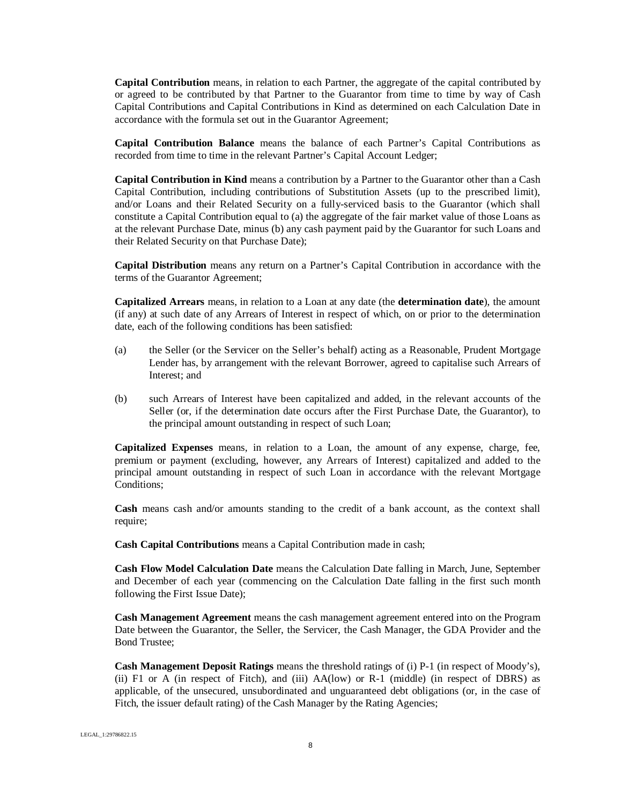**Capital Contribution** means, in relation to each Partner, the aggregate of the capital contributed by or agreed to be contributed by that Partner to the Guarantor from time to time by way of Cash Capital Contributions and Capital Contributions in Kind as determined on each Calculation Date in accordance with the formula set out in the Guarantor Agreement;

**Capital Contribution Balance** means the balance of each Partner's Capital Contributions as recorded from time to time in the relevant Partner's Capital Account Ledger;

**Capital Contribution in Kind** means a contribution by a Partner to the Guarantor other than a Cash Capital Contribution, including contributions of Substitution Assets (up to the prescribed limit), and/or Loans and their Related Security on a fully-serviced basis to the Guarantor (which shall constitute a Capital Contribution equal to (a) the aggregate of the fair market value of those Loans as at the relevant Purchase Date, minus (b) any cash payment paid by the Guarantor for such Loans and their Related Security on that Purchase Date);

**Capital Distribution** means any return on a Partner's Capital Contribution in accordance with the terms of the Guarantor Agreement;

**Capitalized Arrears** means, in relation to a Loan at any date (the **determination date**), the amount (if any) at such date of any Arrears of Interest in respect of which, on or prior to the determination date, each of the following conditions has been satisfied:

- (a) the Seller (or the Servicer on the Seller's behalf) acting as a Reasonable, Prudent Mortgage Lender has, by arrangement with the relevant Borrower, agreed to capitalise such Arrears of Interest; and
- (b) such Arrears of Interest have been capitalized and added, in the relevant accounts of the Seller (or, if the determination date occurs after the First Purchase Date, the Guarantor), to the principal amount outstanding in respect of such Loan;

**Capitalized Expenses** means, in relation to a Loan, the amount of any expense, charge, fee, premium or payment (excluding, however, any Arrears of Interest) capitalized and added to the principal amount outstanding in respect of such Loan in accordance with the relevant Mortgage Conditions;

**Cash** means cash and/or amounts standing to the credit of a bank account, as the context shall require;

**Cash Capital Contributions** means a Capital Contribution made in cash;

**Cash Flow Model Calculation Date** means the Calculation Date falling in March, June, September and December of each year (commencing on the Calculation Date falling in the first such month following the First Issue Date);

**Cash Management Agreement** means the cash management agreement entered into on the Program Date between the Guarantor, the Seller, the Servicer, the Cash Manager, the GDA Provider and the Bond Trustee;

**Cash Management Deposit Ratings** means the threshold ratings of (i) P-1 (in respect of Moody's), (ii) F1 or A (in respect of Fitch), and (iii) AA(low) or R-1 (middle) (in respect of DBRS) as applicable, of the unsecured, unsubordinated and unguaranteed debt obligations (or, in the case of Fitch, the issuer default rating) of the Cash Manager by the Rating Agencies;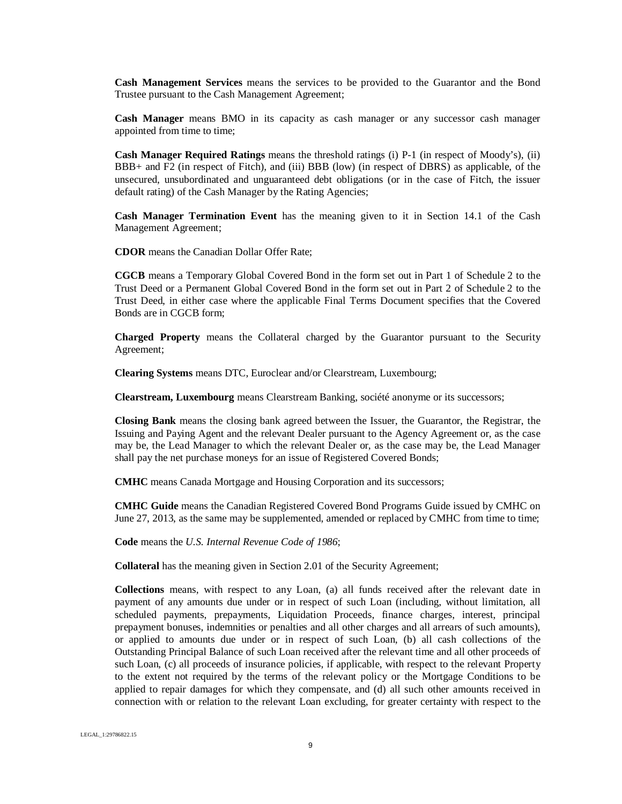**Cash Management Services** means the services to be provided to the Guarantor and the Bond Trustee pursuant to the Cash Management Agreement;

**Cash Manager** means BMO in its capacity as cash manager or any successor cash manager appointed from time to time;

**Cash Manager Required Ratings** means the threshold ratings (i) P-1 (in respect of Moody's), (ii) BBB+ and F2 (in respect of Fitch), and (iii) BBB (low) (in respect of DBRS) as applicable, of the unsecured, unsubordinated and unguaranteed debt obligations (or in the case of Fitch, the issuer default rating) of the Cash Manager by the Rating Agencies;

**Cash Manager Termination Event** has the meaning given to it in Section 14.1 of the Cash Management Agreement;

**CDOR** means the Canadian Dollar Offer Rate;

**CGCB** means a Temporary Global Covered Bond in the form set out in Part 1 of Schedule 2 to the Trust Deed or a Permanent Global Covered Bond in the form set out in Part 2 of Schedule 2 to the Trust Deed, in either case where the applicable Final Terms Document specifies that the Covered Bonds are in CGCB form;

**Charged Property** means the Collateral charged by the Guarantor pursuant to the Security Agreement;

**Clearing Systems** means DTC, Euroclear and/or Clearstream, Luxembourg;

**Clearstream, Luxembourg** means Clearstream Banking, société anonyme or its successors;

**Closing Bank** means the closing bank agreed between the Issuer, the Guarantor, the Registrar, the Issuing and Paying Agent and the relevant Dealer pursuant to the Agency Agreement or, as the case may be, the Lead Manager to which the relevant Dealer or, as the case may be, the Lead Manager shall pay the net purchase moneys for an issue of Registered Covered Bonds;

**CMHC** means Canada Mortgage and Housing Corporation and its successors;

**CMHC Guide** means the Canadian Registered Covered Bond Programs Guide issued by CMHC on June 27, 2013, as the same may be supplemented, amended or replaced by CMHC from time to time;

**Code** means the *U.S. Internal Revenue Code of 1986*;

**Collateral** has the meaning given in Section 2.01 of the Security Agreement;

**Collections** means, with respect to any Loan, (a) all funds received after the relevant date in payment of any amounts due under or in respect of such Loan (including, without limitation, all scheduled payments, prepayments, Liquidation Proceeds, finance charges, interest, principal prepayment bonuses, indemnities or penalties and all other charges and all arrears of such amounts), or applied to amounts due under or in respect of such Loan, (b) all cash collections of the Outstanding Principal Balance of such Loan received after the relevant time and all other proceeds of such Loan, (c) all proceeds of insurance policies, if applicable, with respect to the relevant Property to the extent not required by the terms of the relevant policy or the Mortgage Conditions to be applied to repair damages for which they compensate, and (d) all such other amounts received in connection with or relation to the relevant Loan excluding, for greater certainty with respect to the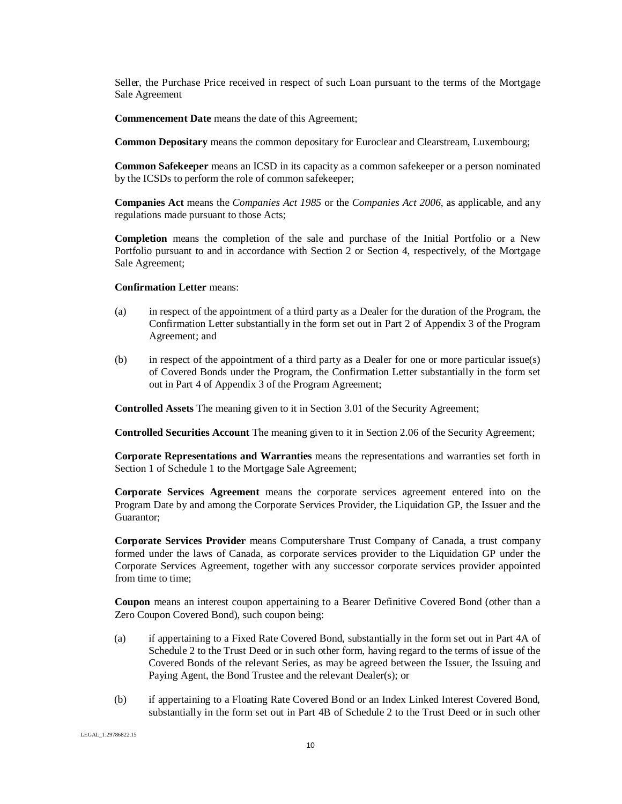Seller, the Purchase Price received in respect of such Loan pursuant to the terms of the Mortgage Sale Agreement

**Commencement Date** means the date of this Agreement;

**Common Depositary** means the common depositary for Euroclear and Clearstream, Luxembourg;

**Common Safekeeper** means an ICSD in its capacity as a common safekeeper or a person nominated by the ICSDs to perform the role of common safekeeper;

**Companies Act** means the *Companies Act 1985* or the *Companies Act 2006*, as applicable, and any regulations made pursuant to those Acts;

**Completion** means the completion of the sale and purchase of the Initial Portfolio or a New Portfolio pursuant to and in accordance with Section 2 or Section 4, respectively, of the Mortgage Sale Agreement;

#### **Confirmation Letter** means:

- (a) in respect of the appointment of a third party as a Dealer for the duration of the Program, the Confirmation Letter substantially in the form set out in Part 2 of Appendix 3 of the Program Agreement; and
- (b) in respect of the appointment of a third party as a Dealer for one or more particular issue(s) of Covered Bonds under the Program, the Confirmation Letter substantially in the form set out in Part 4 of Appendix 3 of the Program Agreement;

**Controlled Assets** The meaning given to it in Section 3.01 of the Security Agreement;

**Controlled Securities Account** The meaning given to it in Section 2.06 of the Security Agreement;

**Corporate Representations and Warranties** means the representations and warranties set forth in Section 1 of Schedule 1 to the Mortgage Sale Agreement;

**Corporate Services Agreement** means the corporate services agreement entered into on the Program Date by and among the Corporate Services Provider, the Liquidation GP, the Issuer and the Guarantor;

**Corporate Services Provider** means Computershare Trust Company of Canada, a trust company formed under the laws of Canada, as corporate services provider to the Liquidation GP under the Corporate Services Agreement, together with any successor corporate services provider appointed from time to time;

**Coupon** means an interest coupon appertaining to a Bearer Definitive Covered Bond (other than a Zero Coupon Covered Bond), such coupon being:

- (a) if appertaining to a Fixed Rate Covered Bond, substantially in the form set out in Part 4A of Schedule 2 to the Trust Deed or in such other form, having regard to the terms of issue of the Covered Bonds of the relevant Series, as may be agreed between the Issuer, the Issuing and Paying Agent, the Bond Trustee and the relevant Dealer(s); or
- (b) if appertaining to a Floating Rate Covered Bond or an Index Linked Interest Covered Bond, substantially in the form set out in Part 4B of Schedule 2 to the Trust Deed or in such other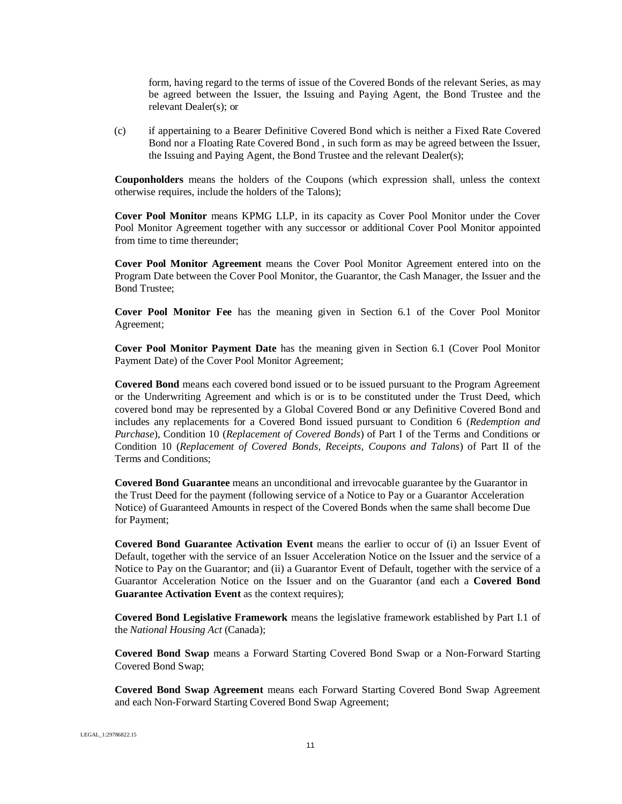form, having regard to the terms of issue of the Covered Bonds of the relevant Series, as may be agreed between the Issuer, the Issuing and Paying Agent, the Bond Trustee and the relevant Dealer(s); or

(c) if appertaining to a Bearer Definitive Covered Bond which is neither a Fixed Rate Covered Bond nor a Floating Rate Covered Bond , in such form as may be agreed between the Issuer, the Issuing and Paying Agent, the Bond Trustee and the relevant Dealer(s);

**Couponholders** means the holders of the Coupons (which expression shall, unless the context otherwise requires, include the holders of the Talons);

**Cover Pool Monitor** means KPMG LLP, in its capacity as Cover Pool Monitor under the Cover Pool Monitor Agreement together with any successor or additional Cover Pool Monitor appointed from time to time thereunder;

**Cover Pool Monitor Agreement** means the Cover Pool Monitor Agreement entered into on the Program Date between the Cover Pool Monitor, the Guarantor, the Cash Manager, the Issuer and the Bond Trustee;

**Cover Pool Monitor Fee** has the meaning given in Section 6.1 of the Cover Pool Monitor Agreement;

**Cover Pool Monitor Payment Date** has the meaning given in Section 6.1 (Cover Pool Monitor Payment Date) of the Cover Pool Monitor Agreement;

**Covered Bond** means each covered bond issued or to be issued pursuant to the Program Agreement or the Underwriting Agreement and which is or is to be constituted under the Trust Deed, which covered bond may be represented by a Global Covered Bond or any Definitive Covered Bond and includes any replacements for a Covered Bond issued pursuant to Condition 6 (*Redemption and Purchase*), Condition 10 (*Replacement of Covered Bonds*) of Part I of the Terms and Conditions or Condition 10 (*Replacement of Covered Bonds, Receipts, Coupons and Talons*) of Part II of the Terms and Conditions;

**Covered Bond Guarantee** means an unconditional and irrevocable guarantee by the Guarantor in the Trust Deed for the payment (following service of a Notice to Pay or a Guarantor Acceleration Notice) of Guaranteed Amounts in respect of the Covered Bonds when the same shall become Due for Payment;

**Covered Bond Guarantee Activation Event** means the earlier to occur of (i) an Issuer Event of Default, together with the service of an Issuer Acceleration Notice on the Issuer and the service of a Notice to Pay on the Guarantor; and (ii) a Guarantor Event of Default, together with the service of a Guarantor Acceleration Notice on the Issuer and on the Guarantor (and each a **Covered Bond Guarantee Activation Event** as the context requires);

**Covered Bond Legislative Framework** means the legislative framework established by Part I.1 of the *National Housing Act* (Canada);

**Covered Bond Swap** means a Forward Starting Covered Bond Swap or a Non-Forward Starting Covered Bond Swap;

**Covered Bond Swap Agreement** means each Forward Starting Covered Bond Swap Agreement and each Non-Forward Starting Covered Bond Swap Agreement;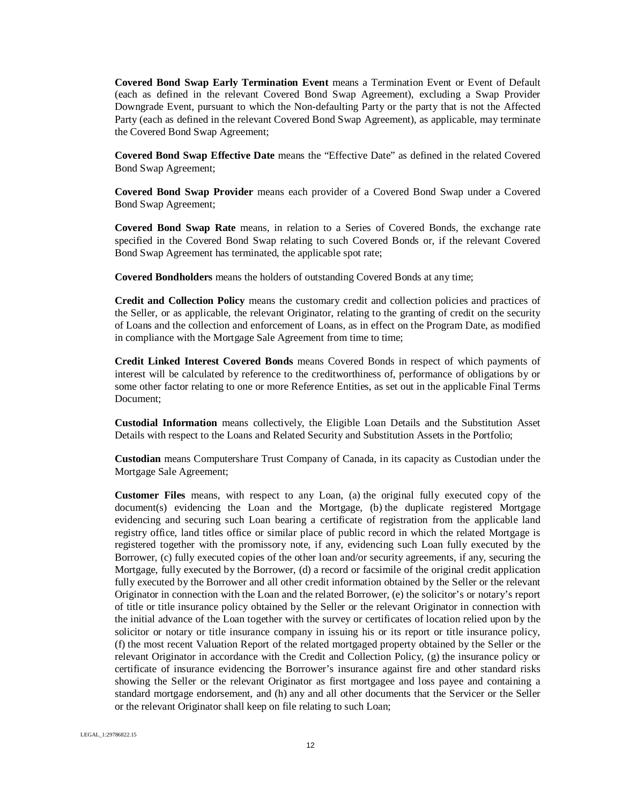**Covered Bond Swap Early Termination Event** means a Termination Event or Event of Default (each as defined in the relevant Covered Bond Swap Agreement), excluding a Swap Provider Downgrade Event, pursuant to which the Non-defaulting Party or the party that is not the Affected Party (each as defined in the relevant Covered Bond Swap Agreement), as applicable, may terminate the Covered Bond Swap Agreement;

**Covered Bond Swap Effective Date** means the "Effective Date" as defined in the related Covered Bond Swap Agreement;

**Covered Bond Swap Provider** means each provider of a Covered Bond Swap under a Covered Bond Swap Agreement;

**Covered Bond Swap Rate** means, in relation to a Series of Covered Bonds, the exchange rate specified in the Covered Bond Swap relating to such Covered Bonds or, if the relevant Covered Bond Swap Agreement has terminated, the applicable spot rate;

**Covered Bondholders** means the holders of outstanding Covered Bonds at any time;

**Credit and Collection Policy** means the customary credit and collection policies and practices of the Seller, or as applicable, the relevant Originator, relating to the granting of credit on the security of Loans and the collection and enforcement of Loans, as in effect on the Program Date, as modified in compliance with the Mortgage Sale Agreement from time to time;

**Credit Linked Interest Covered Bonds** means Covered Bonds in respect of which payments of interest will be calculated by reference to the creditworthiness of, performance of obligations by or some other factor relating to one or more Reference Entities, as set out in the applicable Final Terms Document;

**Custodial Information** means collectively, the Eligible Loan Details and the Substitution Asset Details with respect to the Loans and Related Security and Substitution Assets in the Portfolio;

**Custodian** means Computershare Trust Company of Canada, in its capacity as Custodian under the Mortgage Sale Agreement;

**Customer Files** means, with respect to any Loan, (a) the original fully executed copy of the document(s) evidencing the Loan and the Mortgage, (b) the duplicate registered Mortgage evidencing and securing such Loan bearing a certificate of registration from the applicable land registry office, land titles office or similar place of public record in which the related Mortgage is registered together with the promissory note, if any, evidencing such Loan fully executed by the Borrower, (c) fully executed copies of the other loan and/or security agreements, if any, securing the Mortgage, fully executed by the Borrower, (d) a record or facsimile of the original credit application fully executed by the Borrower and all other credit information obtained by the Seller or the relevant Originator in connection with the Loan and the related Borrower, (e) the solicitor's or notary's report of title or title insurance policy obtained by the Seller or the relevant Originator in connection with the initial advance of the Loan together with the survey or certificates of location relied upon by the solicitor or notary or title insurance company in issuing his or its report or title insurance policy, (f) the most recent Valuation Report of the related mortgaged property obtained by the Seller or the relevant Originator in accordance with the Credit and Collection Policy, (g) the insurance policy or certificate of insurance evidencing the Borrower's insurance against fire and other standard risks showing the Seller or the relevant Originator as first mortgagee and loss payee and containing a standard mortgage endorsement, and (h) any and all other documents that the Servicer or the Seller or the relevant Originator shall keep on file relating to such Loan;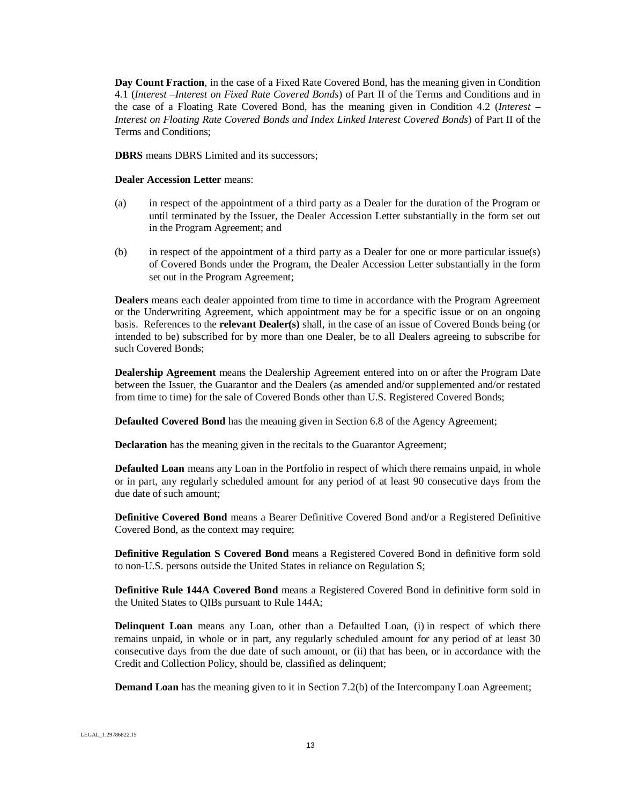**Day Count Fraction**, in the case of a Fixed Rate Covered Bond, has the meaning given in Condition 4.1 (*Interest –Interest on Fixed Rate Covered Bonds*) of Part II of the Terms and Conditions and in the case of a Floating Rate Covered Bond, has the meaning given in Condition 4.2 (*Interest – Interest on Floating Rate Covered Bonds and Index Linked Interest Covered Bonds*) of Part II of the Terms and Conditions;

**DBRS** means DBRS Limited and its successors;

#### **Dealer Accession Letter** means:

- (a) in respect of the appointment of a third party as a Dealer for the duration of the Program or until terminated by the Issuer, the Dealer Accession Letter substantially in the form set out in the Program Agreement; and
- (b) in respect of the appointment of a third party as a Dealer for one or more particular issue(s) of Covered Bonds under the Program, the Dealer Accession Letter substantially in the form set out in the Program Agreement;

**Dealers** means each dealer appointed from time to time in accordance with the Program Agreement or the Underwriting Agreement, which appointment may be for a specific issue or on an ongoing basis. References to the **relevant Dealer(s)** shall, in the case of an issue of Covered Bonds being (or intended to be) subscribed for by more than one Dealer, be to all Dealers agreeing to subscribe for such Covered Bonds;

**Dealership Agreement** means the Dealership Agreement entered into on or after the Program Date between the Issuer, the Guarantor and the Dealers (as amended and/or supplemented and/or restated from time to time) for the sale of Covered Bonds other than U.S. Registered Covered Bonds;

**Defaulted Covered Bond** has the meaning given in Section 6.8 of the Agency Agreement;

**Declaration** has the meaning given in the recitals to the Guarantor Agreement;

**Defaulted Loan** means any Loan in the Portfolio in respect of which there remains unpaid, in whole or in part, any regularly scheduled amount for any period of at least 90 consecutive days from the due date of such amount;

**Definitive Covered Bond** means a Bearer Definitive Covered Bond and/or a Registered Definitive Covered Bond, as the context may require;

**Definitive Regulation S Covered Bond** means a Registered Covered Bond in definitive form sold to non-U.S. persons outside the United States in reliance on Regulation S;

**Definitive Rule 144A Covered Bond** means a Registered Covered Bond in definitive form sold in the United States to QIBs pursuant to Rule 144A;

**Delinquent Loan** means any Loan, other than a Defaulted Loan, (i) in respect of which there remains unpaid, in whole or in part, any regularly scheduled amount for any period of at least 30 consecutive days from the due date of such amount, or (ii) that has been, or in accordance with the Credit and Collection Policy, should be, classified as delinquent;

**Demand Loan** has the meaning given to it in Section 7.2(b) of the Intercompany Loan Agreement;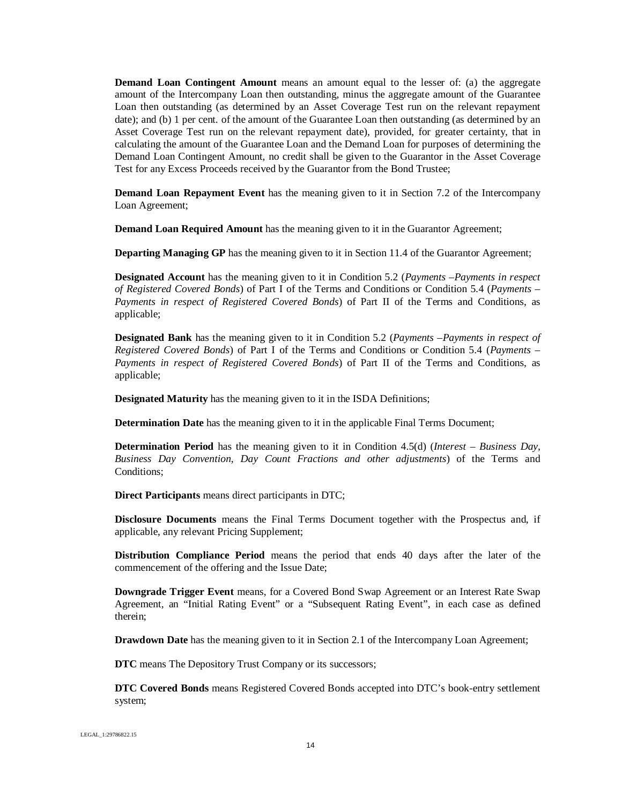**Demand Loan Contingent Amount** means an amount equal to the lesser of: (a) the aggregate amount of the Intercompany Loan then outstanding, minus the aggregate amount of the Guarantee Loan then outstanding (as determined by an Asset Coverage Test run on the relevant repayment date); and (b) 1 per cent. of the amount of the Guarantee Loan then outstanding (as determined by an Asset Coverage Test run on the relevant repayment date), provided, for greater certainty, that in calculating the amount of the Guarantee Loan and the Demand Loan for purposes of determining the Demand Loan Contingent Amount, no credit shall be given to the Guarantor in the Asset Coverage Test for any Excess Proceeds received by the Guarantor from the Bond Trustee;

**Demand Loan Repayment Event** has the meaning given to it in Section 7.2 of the Intercompany Loan Agreement;

**Demand Loan Required Amount** has the meaning given to it in the Guarantor Agreement;

**Departing Managing GP** has the meaning given to it in Section 11.4 of the Guarantor Agreement;

**Designated Account** has the meaning given to it in Condition 5.2 (*Payments –Payments in respect of Registered Covered Bonds*) of Part I of the Terms and Conditions or Condition 5.4 (*Payments – Payments in respect of Registered Covered Bonds*) of Part II of the Terms and Conditions, as applicable;

**Designated Bank** has the meaning given to it in Condition 5.2 (*Payments –Payments in respect of Registered Covered Bonds*) of Part I of the Terms and Conditions or Condition 5.4 (*Payments – Payments in respect of Registered Covered Bonds*) of Part II of the Terms and Conditions, as applicable;

**Designated Maturity** has the meaning given to it in the ISDA Definitions;

**Determination Date** has the meaning given to it in the applicable Final Terms Document;

**Determination Period** has the meaning given to it in Condition 4.5(d) (*Interest – Business Day, Business Day Convention, Day Count Fractions and other adjustments*) of the Terms and Conditions;

**Direct Participants** means direct participants in DTC;

**Disclosure Documents** means the Final Terms Document together with the Prospectus and, if applicable, any relevant Pricing Supplement;

**Distribution Compliance Period** means the period that ends 40 days after the later of the commencement of the offering and the Issue Date;

**Downgrade Trigger Event** means, for a Covered Bond Swap Agreement or an Interest Rate Swap Agreement, an "Initial Rating Event" or a "Subsequent Rating Event", in each case as defined therein;

**Drawdown Date** has the meaning given to it in Section 2.1 of the Intercompany Loan Agreement;

**DTC** means The Depository Trust Company or its successors;

**DTC Covered Bonds** means Registered Covered Bonds accepted into DTC's book-entry settlement system;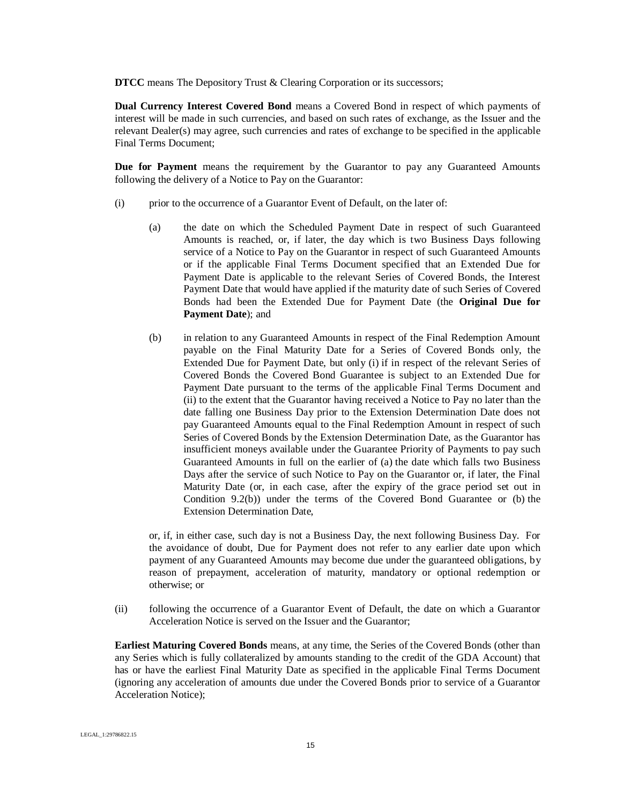**DTCC** means The Depository Trust & Clearing Corporation or its successors;

**Dual Currency Interest Covered Bond** means a Covered Bond in respect of which payments of interest will be made in such currencies, and based on such rates of exchange, as the Issuer and the relevant Dealer(s) may agree, such currencies and rates of exchange to be specified in the applicable Final Terms Document;

**Due for Payment** means the requirement by the Guarantor to pay any Guaranteed Amounts following the delivery of a Notice to Pay on the Guarantor:

- (i) prior to the occurrence of a Guarantor Event of Default, on the later of:
	- (a) the date on which the Scheduled Payment Date in respect of such Guaranteed Amounts is reached, or, if later, the day which is two Business Days following service of a Notice to Pay on the Guarantor in respect of such Guaranteed Amounts or if the applicable Final Terms Document specified that an Extended Due for Payment Date is applicable to the relevant Series of Covered Bonds, the Interest Payment Date that would have applied if the maturity date of such Series of Covered Bonds had been the Extended Due for Payment Date (the **Original Due for Payment Date**); and
	- (b) in relation to any Guaranteed Amounts in respect of the Final Redemption Amount payable on the Final Maturity Date for a Series of Covered Bonds only, the Extended Due for Payment Date, but only (i) if in respect of the relevant Series of Covered Bonds the Covered Bond Guarantee is subject to an Extended Due for Payment Date pursuant to the terms of the applicable Final Terms Document and (ii) to the extent that the Guarantor having received a Notice to Pay no later than the date falling one Business Day prior to the Extension Determination Date does not pay Guaranteed Amounts equal to the Final Redemption Amount in respect of such Series of Covered Bonds by the Extension Determination Date, as the Guarantor has insufficient moneys available under the Guarantee Priority of Payments to pay such Guaranteed Amounts in full on the earlier of (a) the date which falls two Business Days after the service of such Notice to Pay on the Guarantor or, if later, the Final Maturity Date (or, in each case, after the expiry of the grace period set out in Condition 9.2(b)) under the terms of the Covered Bond Guarantee or (b) the Extension Determination Date,

or, if, in either case, such day is not a Business Day, the next following Business Day. For the avoidance of doubt, Due for Payment does not refer to any earlier date upon which payment of any Guaranteed Amounts may become due under the guaranteed obligations, by reason of prepayment, acceleration of maturity, mandatory or optional redemption or otherwise; or

(ii) following the occurrence of a Guarantor Event of Default, the date on which a Guarantor Acceleration Notice is served on the Issuer and the Guarantor;

**Earliest Maturing Covered Bonds** means, at any time, the Series of the Covered Bonds (other than any Series which is fully collateralized by amounts standing to the credit of the GDA Account) that has or have the earliest Final Maturity Date as specified in the applicable Final Terms Document (ignoring any acceleration of amounts due under the Covered Bonds prior to service of a Guarantor Acceleration Notice);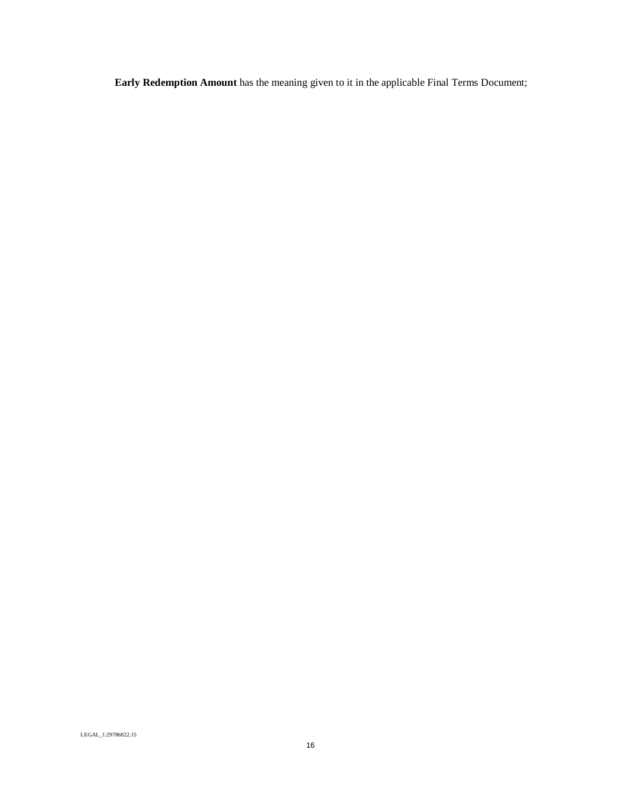**Early Redemption Amount** has the meaning given to it in the applicable Final Terms Document;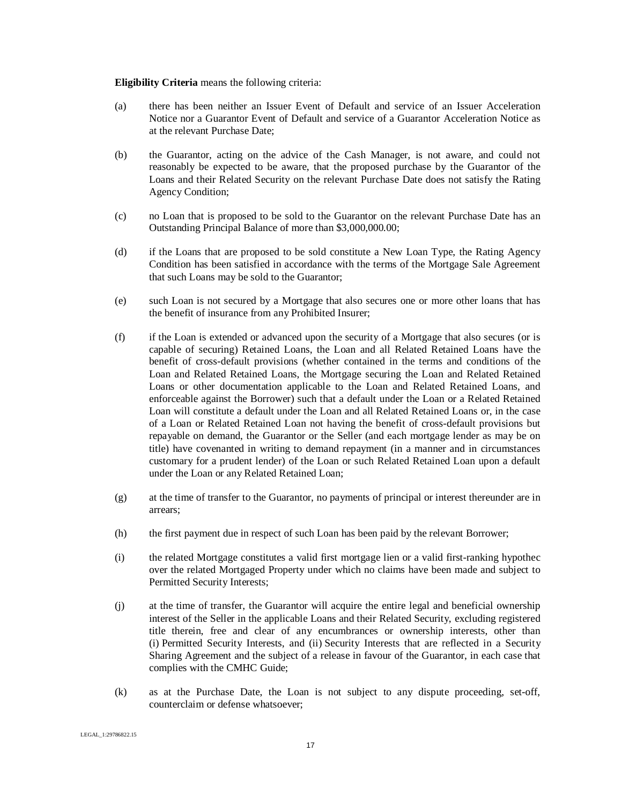**Eligibility Criteria** means the following criteria:

- (a) there has been neither an Issuer Event of Default and service of an Issuer Acceleration Notice nor a Guarantor Event of Default and service of a Guarantor Acceleration Notice as at the relevant Purchase Date;
- (b) the Guarantor, acting on the advice of the Cash Manager, is not aware, and could not reasonably be expected to be aware, that the proposed purchase by the Guarantor of the Loans and their Related Security on the relevant Purchase Date does not satisfy the Rating Agency Condition;
- (c) no Loan that is proposed to be sold to the Guarantor on the relevant Purchase Date has an Outstanding Principal Balance of more than \$3,000,000.00;
- (d) if the Loans that are proposed to be sold constitute a New Loan Type, the Rating Agency Condition has been satisfied in accordance with the terms of the Mortgage Sale Agreement that such Loans may be sold to the Guarantor;
- (e) such Loan is not secured by a Mortgage that also secures one or more other loans that has the benefit of insurance from any Prohibited Insurer;
- (f) if the Loan is extended or advanced upon the security of a Mortgage that also secures (or is capable of securing) Retained Loans, the Loan and all Related Retained Loans have the benefit of cross-default provisions (whether contained in the terms and conditions of the Loan and Related Retained Loans, the Mortgage securing the Loan and Related Retained Loans or other documentation applicable to the Loan and Related Retained Loans, and enforceable against the Borrower) such that a default under the Loan or a Related Retained Loan will constitute a default under the Loan and all Related Retained Loans or, in the case of a Loan or Related Retained Loan not having the benefit of cross-default provisions but repayable on demand, the Guarantor or the Seller (and each mortgage lender as may be on title) have covenanted in writing to demand repayment (in a manner and in circumstances customary for a prudent lender) of the Loan or such Related Retained Loan upon a default under the Loan or any Related Retained Loan;
- (g) at the time of transfer to the Guarantor, no payments of principal or interest thereunder are in arrears;
- (h) the first payment due in respect of such Loan has been paid by the relevant Borrower;
- (i) the related Mortgage constitutes a valid first mortgage lien or a valid first-ranking hypothec over the related Mortgaged Property under which no claims have been made and subject to Permitted Security Interests;
- (j) at the time of transfer, the Guarantor will acquire the entire legal and beneficial ownership interest of the Seller in the applicable Loans and their Related Security, excluding registered title therein, free and clear of any encumbrances or ownership interests, other than (i) Permitted Security Interests, and (ii) Security Interests that are reflected in a Security Sharing Agreement and the subject of a release in favour of the Guarantor, in each case that complies with the CMHC Guide;
- (k) as at the Purchase Date, the Loan is not subject to any dispute proceeding, set-off, counterclaim or defense whatsoever;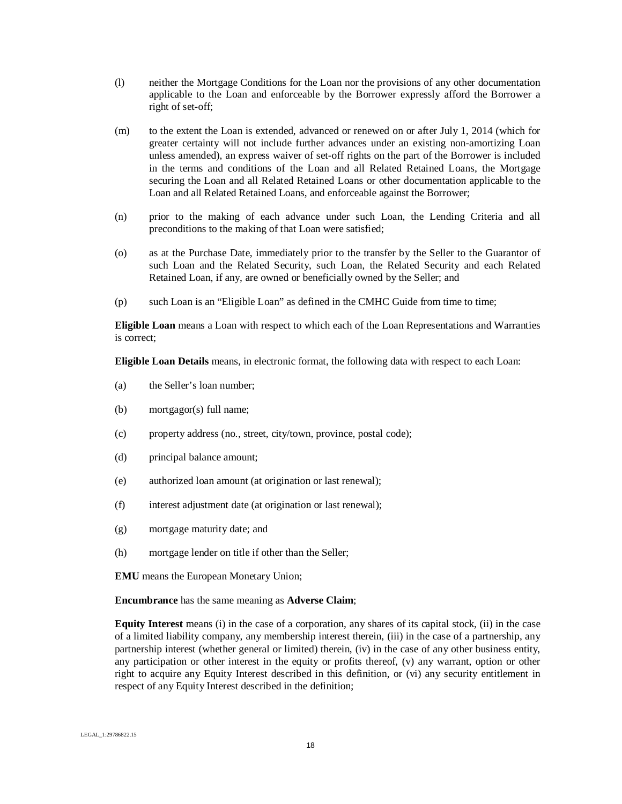- (l) neither the Mortgage Conditions for the Loan nor the provisions of any other documentation applicable to the Loan and enforceable by the Borrower expressly afford the Borrower a right of set-off;
- (m) to the extent the Loan is extended, advanced or renewed on or after July 1, 2014 (which for greater certainty will not include further advances under an existing non-amortizing Loan unless amended), an express waiver of set-off rights on the part of the Borrower is included in the terms and conditions of the Loan and all Related Retained Loans, the Mortgage securing the Loan and all Related Retained Loans or other documentation applicable to the Loan and all Related Retained Loans, and enforceable against the Borrower;
- (n) prior to the making of each advance under such Loan, the Lending Criteria and all preconditions to the making of that Loan were satisfied;
- (o) as at the Purchase Date, immediately prior to the transfer by the Seller to the Guarantor of such Loan and the Related Security, such Loan, the Related Security and each Related Retained Loan, if any, are owned or beneficially owned by the Seller; and
- (p) such Loan is an "Eligible Loan" as defined in the CMHC Guide from time to time;

**Eligible Loan** means a Loan with respect to which each of the Loan Representations and Warranties is correct;

**Eligible Loan Details** means, in electronic format, the following data with respect to each Loan:

- (a) the Seller's loan number;
- (b) mortgagor(s) full name;
- (c) property address (no., street, city/town, province, postal code);
- (d) principal balance amount;
- (e) authorized loan amount (at origination or last renewal);
- (f) interest adjustment date (at origination or last renewal);
- (g) mortgage maturity date; and
- (h) mortgage lender on title if other than the Seller;
- **EMU** means the European Monetary Union;

**Encumbrance** has the same meaning as **Adverse Claim**;

**Equity Interest** means (i) in the case of a corporation, any shares of its capital stock, (ii) in the case of a limited liability company, any membership interest therein, (iii) in the case of a partnership, any partnership interest (whether general or limited) therein, (iv) in the case of any other business entity, any participation or other interest in the equity or profits thereof, (v) any warrant, option or other right to acquire any Equity Interest described in this definition, or (vi) any security entitlement in respect of any Equity Interest described in the definition;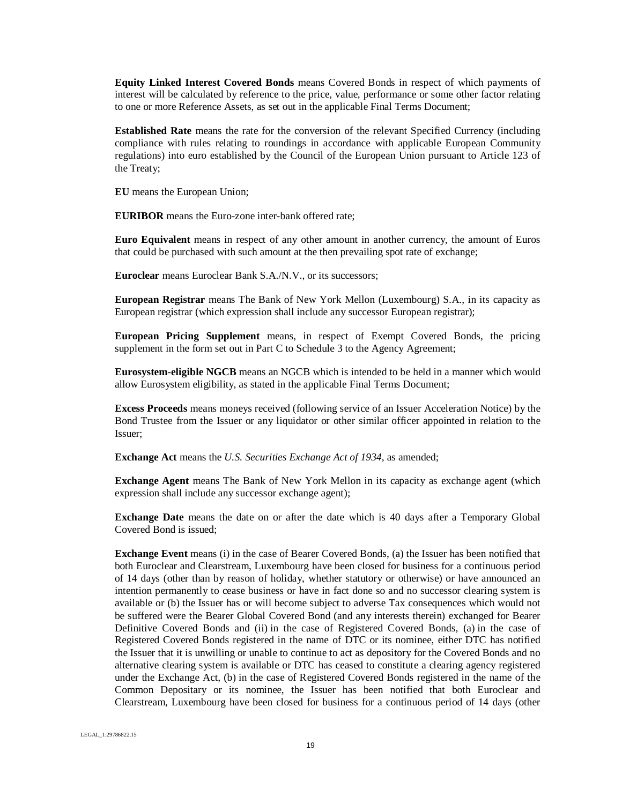**Equity Linked Interest Covered Bonds** means Covered Bonds in respect of which payments of interest will be calculated by reference to the price, value, performance or some other factor relating to one or more Reference Assets, as set out in the applicable Final Terms Document;

**Established Rate** means the rate for the conversion of the relevant Specified Currency (including compliance with rules relating to roundings in accordance with applicable European Community regulations) into euro established by the Council of the European Union pursuant to Article 123 of the Treaty;

**EU** means the European Union;

**EURIBOR** means the Euro-zone inter-bank offered rate;

**Euro Equivalent** means in respect of any other amount in another currency, the amount of Euros that could be purchased with such amount at the then prevailing spot rate of exchange;

**Euroclear** means Euroclear Bank S.A./N.V., or its successors;

**European Registrar** means The Bank of New York Mellon (Luxembourg) S.A., in its capacity as European registrar (which expression shall include any successor European registrar);

**European Pricing Supplement** means, in respect of Exempt Covered Bonds, the pricing supplement in the form set out in Part C to Schedule 3 to the Agency Agreement;

**Eurosystem-eligible NGCB** means an NGCB which is intended to be held in a manner which would allow Eurosystem eligibility, as stated in the applicable Final Terms Document;

**Excess Proceeds** means moneys received (following service of an Issuer Acceleration Notice) by the Bond Trustee from the Issuer or any liquidator or other similar officer appointed in relation to the Issuer;

**Exchange Act** means the *U.S. Securities Exchange Act of 1934*, as amended;

**Exchange Agent** means The Bank of New York Mellon in its capacity as exchange agent (which expression shall include any successor exchange agent);

**Exchange Date** means the date on or after the date which is 40 days after a Temporary Global Covered Bond is issued;

**Exchange Event** means (i) in the case of Bearer Covered Bonds, (a) the Issuer has been notified that both Euroclear and Clearstream, Luxembourg have been closed for business for a continuous period of 14 days (other than by reason of holiday, whether statutory or otherwise) or have announced an intention permanently to cease business or have in fact done so and no successor clearing system is available or (b) the Issuer has or will become subject to adverse Tax consequences which would not be suffered were the Bearer Global Covered Bond (and any interests therein) exchanged for Bearer Definitive Covered Bonds and (ii) in the case of Registered Covered Bonds, (a) in the case of Registered Covered Bonds registered in the name of DTC or its nominee, either DTC has notified the Issuer that it is unwilling or unable to continue to act as depository for the Covered Bonds and no alternative clearing system is available or DTC has ceased to constitute a clearing agency registered under the Exchange Act, (b) in the case of Registered Covered Bonds registered in the name of the Common Depositary or its nominee, the Issuer has been notified that both Euroclear and Clearstream, Luxembourg have been closed for business for a continuous period of 14 days (other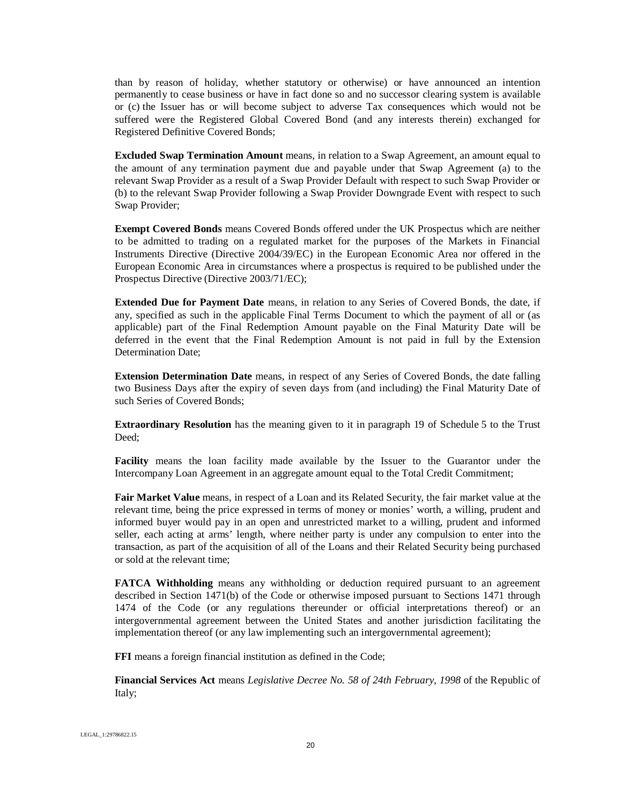than by reason of holiday, whether statutory or otherwise) or have announced an intention permanently to cease business or have in fact done so and no successor clearing system is available or (c) the Issuer has or will become subject to adverse Tax consequences which would not be suffered were the Registered Global Covered Bond (and any interests therein) exchanged for Registered Definitive Covered Bonds;

**Excluded Swap Termination Amount** means, in relation to a Swap Agreement, an amount equal to the amount of any termination payment due and payable under that Swap Agreement (a) to the relevant Swap Provider as a result of a Swap Provider Default with respect to such Swap Provider or (b) to the relevant Swap Provider following a Swap Provider Downgrade Event with respect to such Swap Provider;

**Exempt Covered Bonds** means Covered Bonds offered under the UK Prospectus which are neither to be admitted to trading on a regulated market for the purposes of the Markets in Financial Instruments Directive (Directive 2004/39/EC) in the European Economic Area nor offered in the European Economic Area in circumstances where a prospectus is required to be published under the Prospectus Directive (Directive 2003/71/EC);

**Extended Due for Payment Date** means, in relation to any Series of Covered Bonds, the date, if any, specified as such in the applicable Final Terms Document to which the payment of all or (as applicable) part of the Final Redemption Amount payable on the Final Maturity Date will be deferred in the event that the Final Redemption Amount is not paid in full by the Extension Determination Date;

**Extension Determination Date** means, in respect of any Series of Covered Bonds, the date falling two Business Days after the expiry of seven days from (and including) the Final Maturity Date of such Series of Covered Bonds;

**Extraordinary Resolution** has the meaning given to it in paragraph 19 of Schedule 5 to the Trust Deed;

**Facility** means the loan facility made available by the Issuer to the Guarantor under the Intercompany Loan Agreement in an aggregate amount equal to the Total Credit Commitment;

**Fair Market Value** means, in respect of a Loan and its Related Security, the fair market value at the relevant time, being the price expressed in terms of money or monies' worth, a willing, prudent and informed buyer would pay in an open and unrestricted market to a willing, prudent and informed seller, each acting at arms' length, where neither party is under any compulsion to enter into the transaction, as part of the acquisition of all of the Loans and their Related Security being purchased or sold at the relevant time;

**FATCA Withholding** means any withholding or deduction required pursuant to an agreement described in Section 1471(b) of the Code or otherwise imposed pursuant to Sections 1471 through 1474 of the Code (or any regulations thereunder or official interpretations thereof) or an intergovernmental agreement between the United States and another jurisdiction facilitating the implementation thereof (or any law implementing such an intergovernmental agreement);

**FFI** means a foreign financial institution as defined in the Code;

**Financial Services Act** means *Legislative Decree No. 58 of 24th February, 1998* of the Republic of Italy;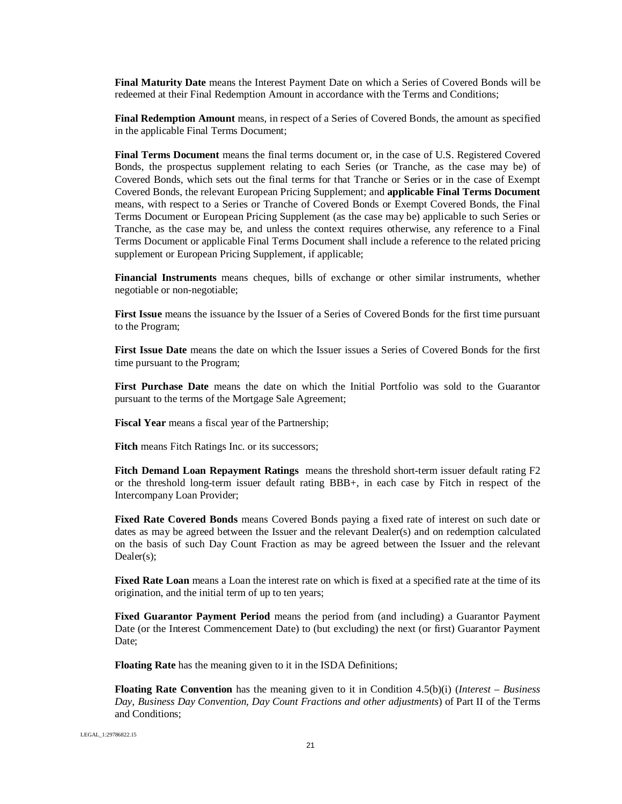**Final Maturity Date** means the Interest Payment Date on which a Series of Covered Bonds will be redeemed at their Final Redemption Amount in accordance with the Terms and Conditions;

**Final Redemption Amount** means, in respect of a Series of Covered Bonds, the amount as specified in the applicable Final Terms Document;

**Final Terms Document** means the final terms document or, in the case of U.S. Registered Covered Bonds, the prospectus supplement relating to each Series (or Tranche, as the case may be) of Covered Bonds, which sets out the final terms for that Tranche or Series or in the case of Exempt Covered Bonds, the relevant European Pricing Supplement; and **applicable Final Terms Document** means, with respect to a Series or Tranche of Covered Bonds or Exempt Covered Bonds, the Final Terms Document or European Pricing Supplement (as the case may be) applicable to such Series or Tranche, as the case may be, and unless the context requires otherwise, any reference to a Final Terms Document or applicable Final Terms Document shall include a reference to the related pricing supplement or European Pricing Supplement, if applicable;

**Financial Instruments** means cheques, bills of exchange or other similar instruments, whether negotiable or non-negotiable;

**First Issue** means the issuance by the Issuer of a Series of Covered Bonds for the first time pursuant to the Program;

**First Issue Date** means the date on which the Issuer issues a Series of Covered Bonds for the first time pursuant to the Program;

**First Purchase Date** means the date on which the Initial Portfolio was sold to the Guarantor pursuant to the terms of the Mortgage Sale Agreement;

**Fiscal Year** means a fiscal year of the Partnership;

**Fitch** means Fitch Ratings Inc. or its successors;

**Fitch Demand Loan Repayment Ratings** means the threshold short-term issuer default rating F2 or the threshold long-term issuer default rating BBB+, in each case by Fitch in respect of the Intercompany Loan Provider;

**Fixed Rate Covered Bonds** means Covered Bonds paying a fixed rate of interest on such date or dates as may be agreed between the Issuer and the relevant Dealer(s) and on redemption calculated on the basis of such Day Count Fraction as may be agreed between the Issuer and the relevant Dealer(s);

**Fixed Rate Loan** means a Loan the interest rate on which is fixed at a specified rate at the time of its origination, and the initial term of up to ten years;

**Fixed Guarantor Payment Period** means the period from (and including) a Guarantor Payment Date (or the Interest Commencement Date) to (but excluding) the next (or first) Guarantor Payment Date;

**Floating Rate** has the meaning given to it in the ISDA Definitions;

**Floating Rate Convention** has the meaning given to it in Condition 4.5(b)(i) (*Interest – Business Day, Business Day Convention, Day Count Fractions and other adjustments*) of Part II of the Terms and Conditions;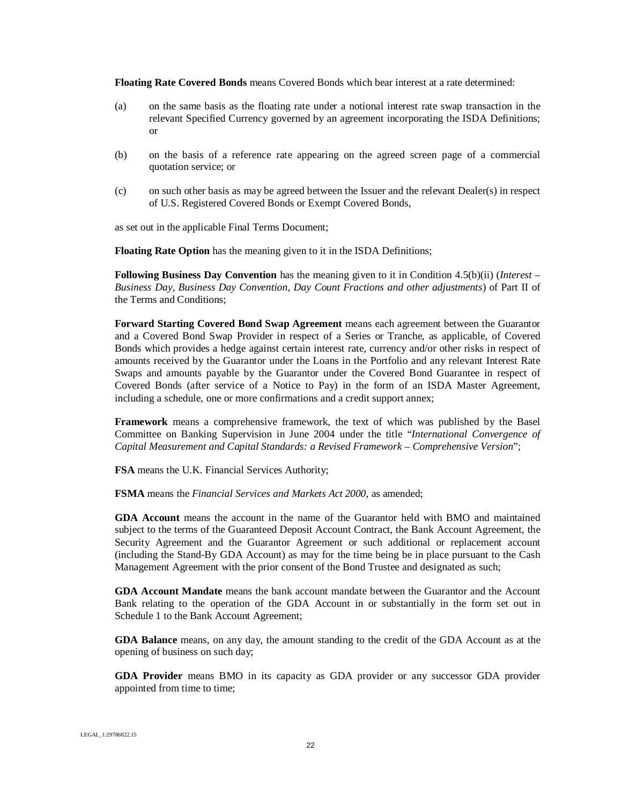**Floating Rate Covered Bonds** means Covered Bonds which bear interest at a rate determined:

- (a) on the same basis as the floating rate under a notional interest rate swap transaction in the relevant Specified Currency governed by an agreement incorporating the ISDA Definitions; or
- (b) on the basis of a reference rate appearing on the agreed screen page of a commercial quotation service; or
- (c) on such other basis as may be agreed between the Issuer and the relevant Dealer(s) in respect of U.S. Registered Covered Bonds or Exempt Covered Bonds,

as set out in the applicable Final Terms Document;

**Floating Rate Option** has the meaning given to it in the ISDA Definitions;

**Following Business Day Convention** has the meaning given to it in Condition 4.5(b)(ii) (*Interest – Business Day, Business Day Convention, Day Count Fractions and other adjustments*) of Part II of the Terms and Conditions;

**Forward Starting Covered Bond Swap Agreement** means each agreement between the Guarantor and a Covered Bond Swap Provider in respect of a Series or Tranche, as applicable, of Covered Bonds which provides a hedge against certain interest rate, currency and/or other risks in respect of amounts received by the Guarantor under the Loans in the Portfolio and any relevant Interest Rate Swaps and amounts payable by the Guarantor under the Covered Bond Guarantee in respect of Covered Bonds (after service of a Notice to Pay) in the form of an ISDA Master Agreement, including a schedule, one or more confirmations and a credit support annex;

**Framework** means a comprehensive framework, the text of which was published by the Basel Committee on Banking Supervision in June 2004 under the title "*International Convergence of Capital Measurement and Capital Standards: a Revised Framework – Comprehensive Version*";

**FSA** means the U.K. Financial Services Authority;

**FSMA** means the *Financial Services and Markets Act 2000*, as amended;

**GDA Account** means the account in the name of the Guarantor held with BMO and maintained subject to the terms of the Guaranteed Deposit Account Contract, the Bank Account Agreement, the Security Agreement and the Guarantor Agreement or such additional or replacement account (including the Stand-By GDA Account) as may for the time being be in place pursuant to the Cash Management Agreement with the prior consent of the Bond Trustee and designated as such;

**GDA Account Mandate** means the bank account mandate between the Guarantor and the Account Bank relating to the operation of the GDA Account in or substantially in the form set out in Schedule 1 to the Bank Account Agreement;

**GDA Balance** means, on any day, the amount standing to the credit of the GDA Account as at the opening of business on such day;

**GDA Provider** means BMO in its capacity as GDA provider or any successor GDA provider appointed from time to time;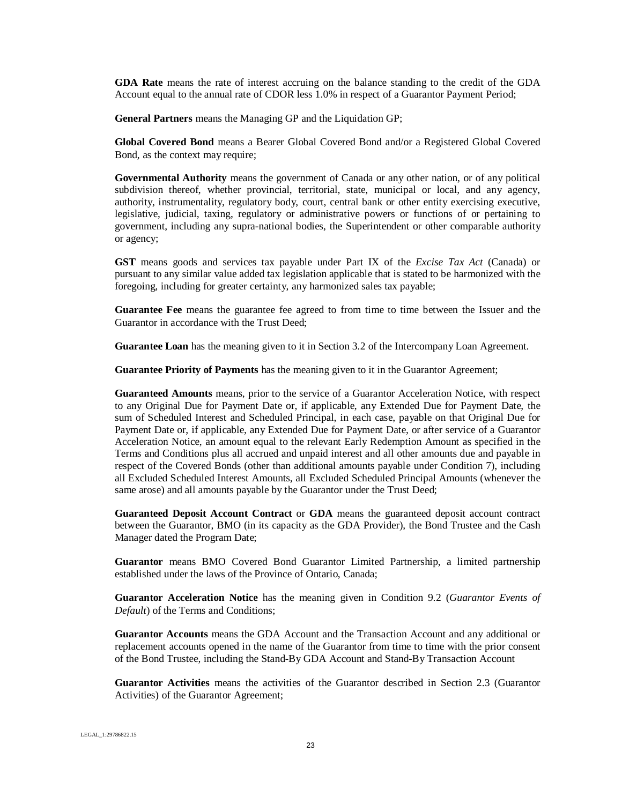**GDA Rate** means the rate of interest accruing on the balance standing to the credit of the GDA Account equal to the annual rate of CDOR less 1.0% in respect of a Guarantor Payment Period;

**General Partners** means the Managing GP and the Liquidation GP;

**Global Covered Bond** means a Bearer Global Covered Bond and/or a Registered Global Covered Bond, as the context may require;

**Governmental Authority** means the government of Canada or any other nation, or of any political subdivision thereof, whether provincial, territorial, state, municipal or local, and any agency, authority, instrumentality, regulatory body, court, central bank or other entity exercising executive, legislative, judicial, taxing, regulatory or administrative powers or functions of or pertaining to government, including any supra-national bodies, the Superintendent or other comparable authority or agency;

**GST** means goods and services tax payable under Part IX of the *Excise Tax Act* (Canada) or pursuant to any similar value added tax legislation applicable that is stated to be harmonized with the foregoing, including for greater certainty, any harmonized sales tax payable;

**Guarantee Fee** means the guarantee fee agreed to from time to time between the Issuer and the Guarantor in accordance with the Trust Deed;

**Guarantee Loan** has the meaning given to it in Section 3.2 of the Intercompany Loan Agreement.

**Guarantee Priority of Payments** has the meaning given to it in the Guarantor Agreement;

**Guaranteed Amounts** means, prior to the service of a Guarantor Acceleration Notice, with respect to any Original Due for Payment Date or, if applicable, any Extended Due for Payment Date, the sum of Scheduled Interest and Scheduled Principal, in each case, payable on that Original Due for Payment Date or, if applicable, any Extended Due for Payment Date, or after service of a Guarantor Acceleration Notice, an amount equal to the relevant Early Redemption Amount as specified in the Terms and Conditions plus all accrued and unpaid interest and all other amounts due and payable in respect of the Covered Bonds (other than additional amounts payable under Condition 7), including all Excluded Scheduled Interest Amounts, all Excluded Scheduled Principal Amounts (whenever the same arose) and all amounts payable by the Guarantor under the Trust Deed;

**Guaranteed Deposit Account Contract** or **GDA** means the guaranteed deposit account contract between the Guarantor, BMO (in its capacity as the GDA Provider), the Bond Trustee and the Cash Manager dated the Program Date;

**Guarantor** means BMO Covered Bond Guarantor Limited Partnership, a limited partnership established under the laws of the Province of Ontario, Canada;

**Guarantor Acceleration Notice** has the meaning given in Condition 9.2 (*Guarantor Events of Default*) of the Terms and Conditions;

**Guarantor Accounts** means the GDA Account and the Transaction Account and any additional or replacement accounts opened in the name of the Guarantor from time to time with the prior consent of the Bond Trustee, including the Stand-By GDA Account and Stand-By Transaction Account

**Guarantor Activities** means the activities of the Guarantor described in Section 2.3 (Guarantor Activities) of the Guarantor Agreement;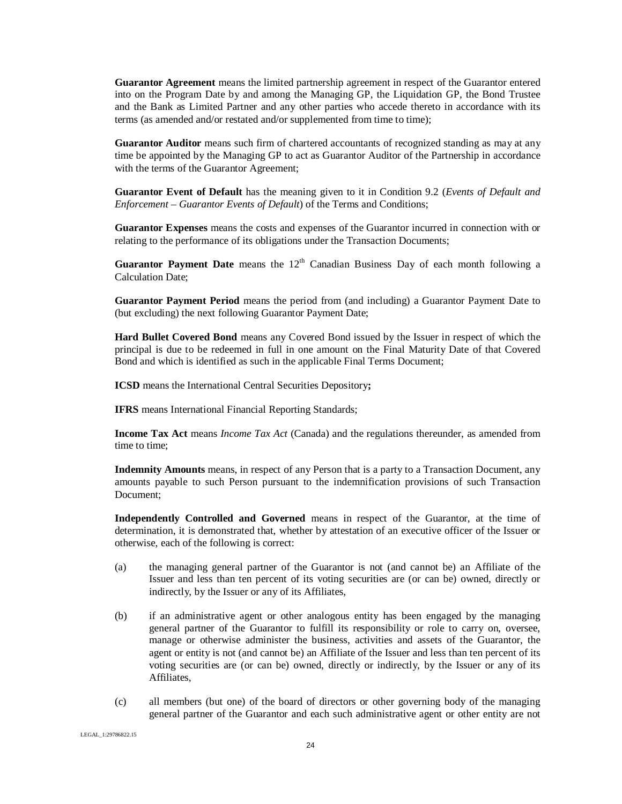**Guarantor Agreement** means the limited partnership agreement in respect of the Guarantor entered into on the Program Date by and among the Managing GP, the Liquidation GP, the Bond Trustee and the Bank as Limited Partner and any other parties who accede thereto in accordance with its terms (as amended and/or restated and/or supplemented from time to time);

**Guarantor Auditor** means such firm of chartered accountants of recognized standing as may at any time be appointed by the Managing GP to act as Guarantor Auditor of the Partnership in accordance with the terms of the Guarantor Agreement;

**Guarantor Event of Default** has the meaning given to it in Condition 9.2 (*Events of Default and Enforcement – Guarantor Events of Default*) of the Terms and Conditions;

**Guarantor Expenses** means the costs and expenses of the Guarantor incurred in connection with or relating to the performance of its obligations under the Transaction Documents;

**Guarantor Payment Date** means the 12<sup>th</sup> Canadian Business Day of each month following a Calculation Date;

**Guarantor Payment Period** means the period from (and including) a Guarantor Payment Date to (but excluding) the next following Guarantor Payment Date;

**Hard Bullet Covered Bond** means any Covered Bond issued by the Issuer in respect of which the principal is due to be redeemed in full in one amount on the Final Maturity Date of that Covered Bond and which is identified as such in the applicable Final Terms Document;

**ICSD** means the International Central Securities Depository**;**

**IFRS** means International Financial Reporting Standards;

**Income Tax Act** means *Income Tax Act* (Canada) and the regulations thereunder, as amended from time to time;

**Indemnity Amounts** means, in respect of any Person that is a party to a Transaction Document, any amounts payable to such Person pursuant to the indemnification provisions of such Transaction Document;

**Independently Controlled and Governed** means in respect of the Guarantor, at the time of determination, it is demonstrated that, whether by attestation of an executive officer of the Issuer or otherwise, each of the following is correct:

- (a) the managing general partner of the Guarantor is not (and cannot be) an Affiliate of the Issuer and less than ten percent of its voting securities are (or can be) owned, directly or indirectly, by the Issuer or any of its Affiliates,
- (b) if an administrative agent or other analogous entity has been engaged by the managing general partner of the Guarantor to fulfill its responsibility or role to carry on, oversee, manage or otherwise administer the business, activities and assets of the Guarantor, the agent or entity is not (and cannot be) an Affiliate of the Issuer and less than ten percent of its voting securities are (or can be) owned, directly or indirectly, by the Issuer or any of its Affiliates,
- (c) all members (but one) of the board of directors or other governing body of the managing general partner of the Guarantor and each such administrative agent or other entity are not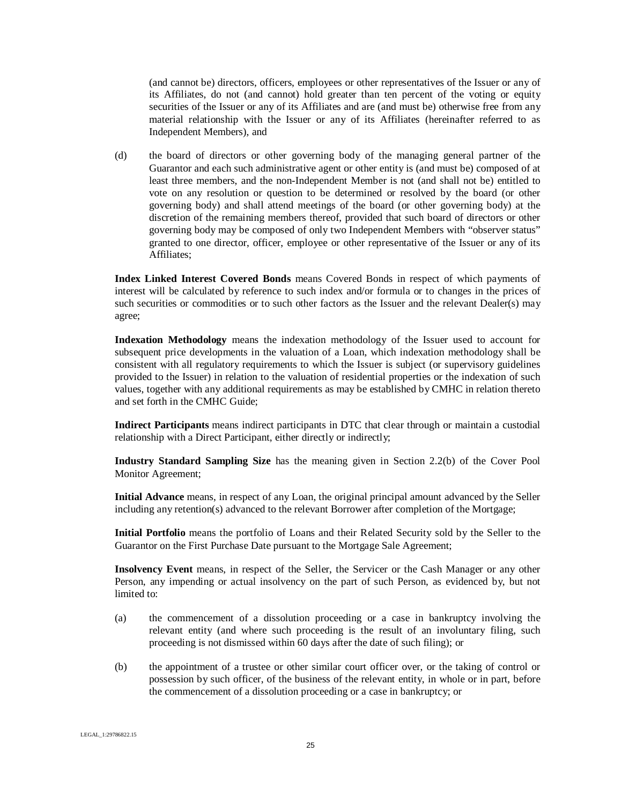(and cannot be) directors, officers, employees or other representatives of the Issuer or any of its Affiliates, do not (and cannot) hold greater than ten percent of the voting or equity securities of the Issuer or any of its Affiliates and are (and must be) otherwise free from any material relationship with the Issuer or any of its Affiliates (hereinafter referred to as Independent Members), and

(d) the board of directors or other governing body of the managing general partner of the Guarantor and each such administrative agent or other entity is (and must be) composed of at least three members, and the non-Independent Member is not (and shall not be) entitled to vote on any resolution or question to be determined or resolved by the board (or other governing body) and shall attend meetings of the board (or other governing body) at the discretion of the remaining members thereof, provided that such board of directors or other governing body may be composed of only two Independent Members with "observer status" granted to one director, officer, employee or other representative of the Issuer or any of its Affiliates;

**Index Linked Interest Covered Bonds** means Covered Bonds in respect of which payments of interest will be calculated by reference to such index and/or formula or to changes in the prices of such securities or commodities or to such other factors as the Issuer and the relevant Dealer(s) may agree;

**Indexation Methodology** means the indexation methodology of the Issuer used to account for subsequent price developments in the valuation of a Loan, which indexation methodology shall be consistent with all regulatory requirements to which the Issuer is subject (or supervisory guidelines provided to the Issuer) in relation to the valuation of residential properties or the indexation of such values, together with any additional requirements as may be established by CMHC in relation thereto and set forth in the CMHC Guide;

**Indirect Participants** means indirect participants in DTC that clear through or maintain a custodial relationship with a Direct Participant, either directly or indirectly;

**Industry Standard Sampling Size** has the meaning given in Section 2.2(b) of the Cover Pool Monitor Agreement;

**Initial Advance** means, in respect of any Loan, the original principal amount advanced by the Seller including any retention(s) advanced to the relevant Borrower after completion of the Mortgage;

**Initial Portfolio** means the portfolio of Loans and their Related Security sold by the Seller to the Guarantor on the First Purchase Date pursuant to the Mortgage Sale Agreement;

**Insolvency Event** means, in respect of the Seller, the Servicer or the Cash Manager or any other Person, any impending or actual insolvency on the part of such Person, as evidenced by, but not limited to:

- (a) the commencement of a dissolution proceeding or a case in bankruptcy involving the relevant entity (and where such proceeding is the result of an involuntary filing, such proceeding is not dismissed within 60 days after the date of such filing); or
- (b) the appointment of a trustee or other similar court officer over, or the taking of control or possession by such officer, of the business of the relevant entity, in whole or in part, before the commencement of a dissolution proceeding or a case in bankruptcy; or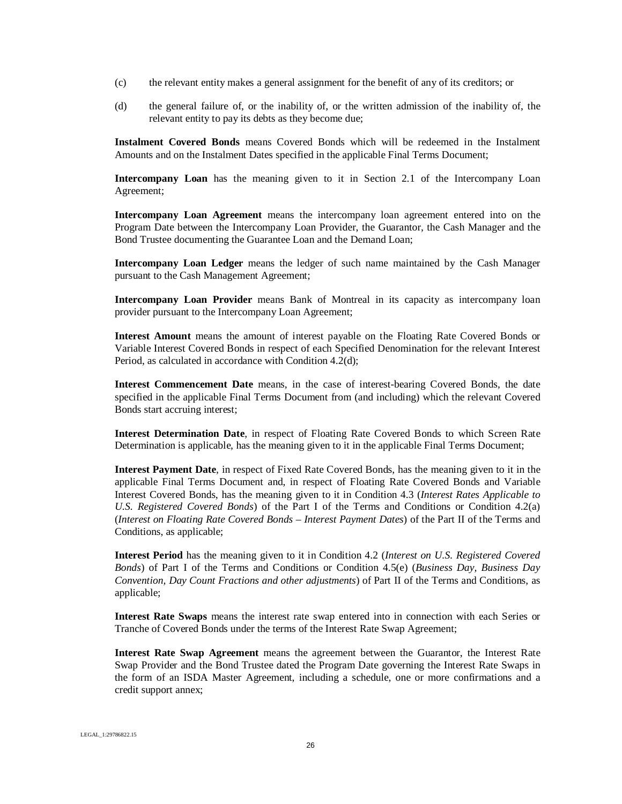- (c) the relevant entity makes a general assignment for the benefit of any of its creditors; or
- (d) the general failure of, or the inability of, or the written admission of the inability of, the relevant entity to pay its debts as they become due;

**Instalment Covered Bonds** means Covered Bonds which will be redeemed in the Instalment Amounts and on the Instalment Dates specified in the applicable Final Terms Document;

**Intercompany Loan** has the meaning given to it in Section 2.1 of the Intercompany Loan Agreement;

**Intercompany Loan Agreement** means the intercompany loan agreement entered into on the Program Date between the Intercompany Loan Provider, the Guarantor, the Cash Manager and the Bond Trustee documenting the Guarantee Loan and the Demand Loan;

**Intercompany Loan Ledger** means the ledger of such name maintained by the Cash Manager pursuant to the Cash Management Agreement;

**Intercompany Loan Provider** means Bank of Montreal in its capacity as intercompany loan provider pursuant to the Intercompany Loan Agreement;

**Interest Amount** means the amount of interest payable on the Floating Rate Covered Bonds or Variable Interest Covered Bonds in respect of each Specified Denomination for the relevant Interest Period, as calculated in accordance with Condition 4.2(d);

**Interest Commencement Date** means, in the case of interest-bearing Covered Bonds, the date specified in the applicable Final Terms Document from (and including) which the relevant Covered Bonds start accruing interest;

**Interest Determination Date**, in respect of Floating Rate Covered Bonds to which Screen Rate Determination is applicable, has the meaning given to it in the applicable Final Terms Document;

**Interest Payment Date**, in respect of Fixed Rate Covered Bonds, has the meaning given to it in the applicable Final Terms Document and, in respect of Floating Rate Covered Bonds and Variable Interest Covered Bonds, has the meaning given to it in Condition 4.3 (*Interest Rates Applicable to U.S. Registered Covered Bonds*) of the Part I of the Terms and Conditions or Condition 4.2(a) (*Interest on Floating Rate Covered Bonds – Interest Payment Dates*) of the Part II of the Terms and Conditions, as applicable;

**Interest Period** has the meaning given to it in Condition 4.2 (*Interest on U.S. Registered Covered Bonds*) of Part I of the Terms and Conditions or Condition 4.5(e) (*Business Day, Business Day Convention, Day Count Fractions and other adjustments*) of Part II of the Terms and Conditions, as applicable;

**Interest Rate Swaps** means the interest rate swap entered into in connection with each Series or Tranche of Covered Bonds under the terms of the Interest Rate Swap Agreement;

**Interest Rate Swap Agreement** means the agreement between the Guarantor, the Interest Rate Swap Provider and the Bond Trustee dated the Program Date governing the Interest Rate Swaps in the form of an ISDA Master Agreement, including a schedule, one or more confirmations and a credit support annex;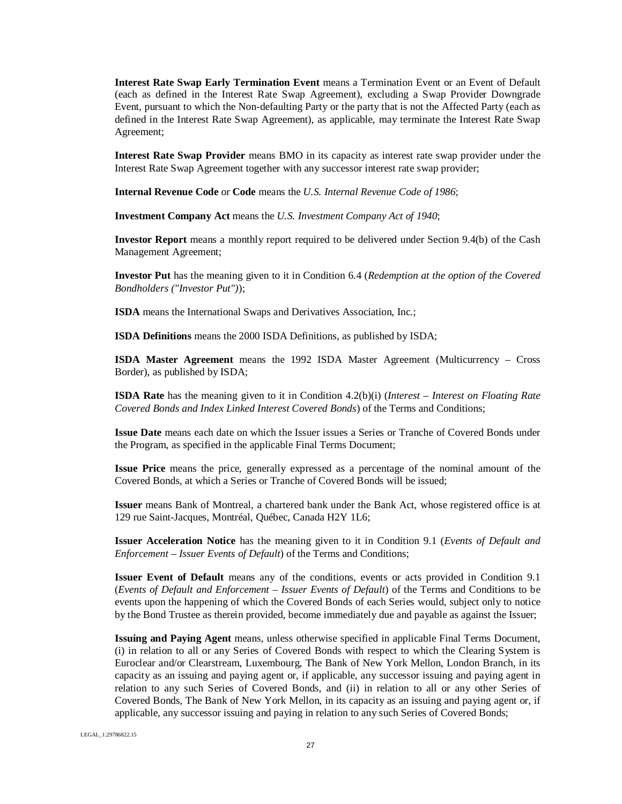**Interest Rate Swap Early Termination Event** means a Termination Event or an Event of Default (each as defined in the Interest Rate Swap Agreement), excluding a Swap Provider Downgrade Event, pursuant to which the Non-defaulting Party or the party that is not the Affected Party (each as defined in the Interest Rate Swap Agreement), as applicable, may terminate the Interest Rate Swap Agreement;

**Interest Rate Swap Provider** means BMO in its capacity as interest rate swap provider under the Interest Rate Swap Agreement together with any successor interest rate swap provider;

**Internal Revenue Code** or **Code** means the *U.S. Internal Revenue Code of 1986*;

**Investment Company Act** means the *U.S. Investment Company Act of 1940*;

**Investor Report** means a monthly report required to be delivered under Section 9.4(b) of the Cash Management Agreement;

**Investor Put** has the meaning given to it in Condition 6.4 (*Redemption at the option of the Covered Bondholders ("Investor Put")*);

**ISDA** means the International Swaps and Derivatives Association, Inc.;

**ISDA Definitions** means the 2000 ISDA Definitions, as published by ISDA;

**ISDA Master Agreement** means the 1992 ISDA Master Agreement (Multicurrency – Cross Border), as published by ISDA;

**ISDA Rate** has the meaning given to it in Condition 4.2(b)(i) (*Interest – Interest on Floating Rate Covered Bonds and Index Linked Interest Covered Bonds*) of the Terms and Conditions;

**Issue Date** means each date on which the Issuer issues a Series or Tranche of Covered Bonds under the Program, as specified in the applicable Final Terms Document;

**Issue Price** means the price, generally expressed as a percentage of the nominal amount of the Covered Bonds, at which a Series or Tranche of Covered Bonds will be issued;

**Issuer** means Bank of Montreal, a chartered bank under the Bank Act, whose registered office is at 129 rue Saint-Jacques, Montréal, Québec, Canada H2Y 1L6;

**Issuer Acceleration Notice** has the meaning given to it in Condition 9.1 (*Events of Default and Enforcement – Issuer Events of Default*) of the Terms and Conditions;

**Issuer Event of Default** means any of the conditions, events or acts provided in Condition 9.1 (*Events of Default and Enforcement – Issuer Events of Default*) of the Terms and Conditions to be events upon the happening of which the Covered Bonds of each Series would, subject only to notice by the Bond Trustee as therein provided, become immediately due and payable as against the Issuer;

**Issuing and Paying Agent** means, unless otherwise specified in applicable Final Terms Document, (i) in relation to all or any Series of Covered Bonds with respect to which the Clearing System is Euroclear and/or Clearstream, Luxembourg, The Bank of New York Mellon, London Branch, in its capacity as an issuing and paying agent or, if applicable, any successor issuing and paying agent in relation to any such Series of Covered Bonds, and (ii) in relation to all or any other Series of Covered Bonds, The Bank of New York Mellon, in its capacity as an issuing and paying agent or, if applicable, any successor issuing and paying in relation to any such Series of Covered Bonds;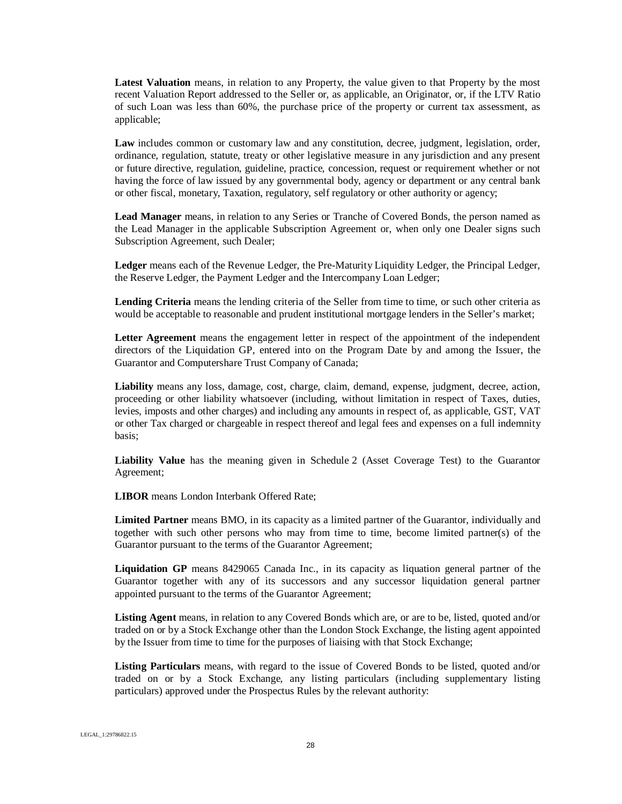**Latest Valuation** means, in relation to any Property, the value given to that Property by the most recent Valuation Report addressed to the Seller or, as applicable, an Originator, or, if the LTV Ratio of such Loan was less than 60%, the purchase price of the property or current tax assessment, as applicable;

**Law** includes common or customary law and any constitution, decree, judgment, legislation, order, ordinance, regulation, statute, treaty or other legislative measure in any jurisdiction and any present or future directive, regulation, guideline, practice, concession, request or requirement whether or not having the force of law issued by any governmental body, agency or department or any central bank or other fiscal, monetary, Taxation, regulatory, self regulatory or other authority or agency;

**Lead Manager** means, in relation to any Series or Tranche of Covered Bonds, the person named as the Lead Manager in the applicable Subscription Agreement or, when only one Dealer signs such Subscription Agreement, such Dealer;

**Ledger** means each of the Revenue Ledger, the Pre-Maturity Liquidity Ledger, the Principal Ledger, the Reserve Ledger, the Payment Ledger and the Intercompany Loan Ledger;

**Lending Criteria** means the lending criteria of the Seller from time to time, or such other criteria as would be acceptable to reasonable and prudent institutional mortgage lenders in the Seller's market;

**Letter Agreement** means the engagement letter in respect of the appointment of the independent directors of the Liquidation GP, entered into on the Program Date by and among the Issuer, the Guarantor and Computershare Trust Company of Canada;

**Liability** means any loss, damage, cost, charge, claim, demand, expense, judgment, decree, action, proceeding or other liability whatsoever (including, without limitation in respect of Taxes, duties, levies, imposts and other charges) and including any amounts in respect of, as applicable, GST, VAT or other Tax charged or chargeable in respect thereof and legal fees and expenses on a full indemnity basis;

**Liability Value** has the meaning given in Schedule 2 (Asset Coverage Test) to the Guarantor Agreement;

**LIBOR** means London Interbank Offered Rate;

**Limited Partner** means BMO, in its capacity as a limited partner of the Guarantor, individually and together with such other persons who may from time to time, become limited partner(s) of the Guarantor pursuant to the terms of the Guarantor Agreement;

**Liquidation GP** means 8429065 Canada Inc., in its capacity as liquation general partner of the Guarantor together with any of its successors and any successor liquidation general partner appointed pursuant to the terms of the Guarantor Agreement;

**Listing Agent** means, in relation to any Covered Bonds which are, or are to be, listed, quoted and/or traded on or by a Stock Exchange other than the London Stock Exchange, the listing agent appointed by the Issuer from time to time for the purposes of liaising with that Stock Exchange;

**Listing Particulars** means, with regard to the issue of Covered Bonds to be listed, quoted and/or traded on or by a Stock Exchange, any listing particulars (including supplementary listing particulars) approved under the Prospectus Rules by the relevant authority: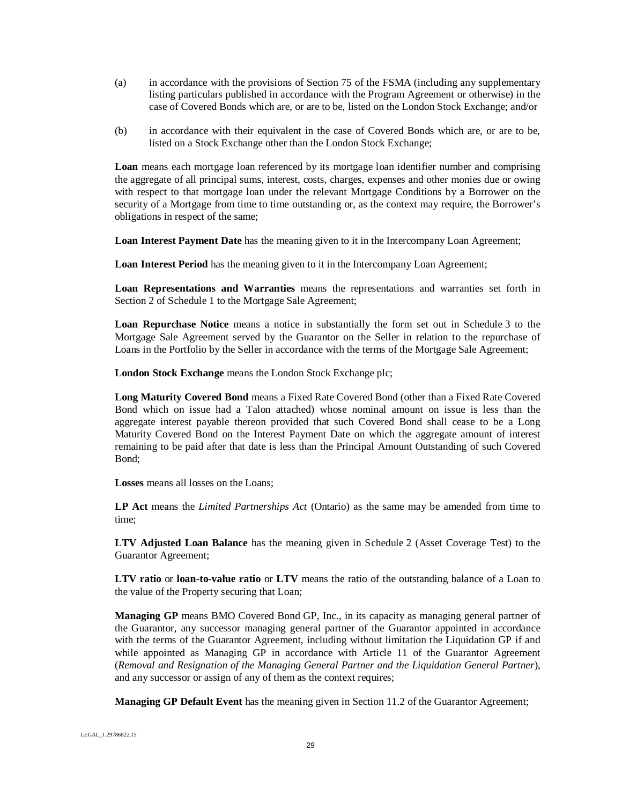- (a) in accordance with the provisions of Section 75 of the FSMA (including any supplementary listing particulars published in accordance with the Program Agreement or otherwise) in the case of Covered Bonds which are, or are to be, listed on the London Stock Exchange; and/or
- (b) in accordance with their equivalent in the case of Covered Bonds which are, or are to be, listed on a Stock Exchange other than the London Stock Exchange;

**Loan** means each mortgage loan referenced by its mortgage loan identifier number and comprising the aggregate of all principal sums, interest, costs, charges, expenses and other monies due or owing with respect to that mortgage loan under the relevant Mortgage Conditions by a Borrower on the security of a Mortgage from time to time outstanding or, as the context may require, the Borrower's obligations in respect of the same;

**Loan Interest Payment Date** has the meaning given to it in the Intercompany Loan Agreement;

**Loan Interest Period** has the meaning given to it in the Intercompany Loan Agreement;

**Loan Representations and Warranties** means the representations and warranties set forth in Section 2 of Schedule 1 to the Mortgage Sale Agreement;

**Loan Repurchase Notice** means a notice in substantially the form set out in Schedule 3 to the Mortgage Sale Agreement served by the Guarantor on the Seller in relation to the repurchase of Loans in the Portfolio by the Seller in accordance with the terms of the Mortgage Sale Agreement;

**London Stock Exchange** means the London Stock Exchange plc;

**Long Maturity Covered Bond** means a Fixed Rate Covered Bond (other than a Fixed Rate Covered Bond which on issue had a Talon attached) whose nominal amount on issue is less than the aggregate interest payable thereon provided that such Covered Bond shall cease to be a Long Maturity Covered Bond on the Interest Payment Date on which the aggregate amount of interest remaining to be paid after that date is less than the Principal Amount Outstanding of such Covered Bond;

**Losses** means all losses on the Loans;

**LP Act** means the *Limited Partnerships Act* (Ontario) as the same may be amended from time to time;

**LTV Adjusted Loan Balance** has the meaning given in Schedule 2 (Asset Coverage Test) to the Guarantor Agreement;

**LTV ratio** or **loan-to-value ratio** or **LTV** means the ratio of the outstanding balance of a Loan to the value of the Property securing that Loan;

**Managing GP** means BMO Covered Bond GP, Inc., in its capacity as managing general partner of the Guarantor, any successor managing general partner of the Guarantor appointed in accordance with the terms of the Guarantor Agreement, including without limitation the Liquidation GP if and while appointed as Managing GP in accordance with Article 11 of the Guarantor Agreement (*Removal and Resignation of the Managing General Partner and the Liquidation General Partner*), and any successor or assign of any of them as the context requires;

**Managing GP Default Event** has the meaning given in Section 11.2 of the Guarantor Agreement;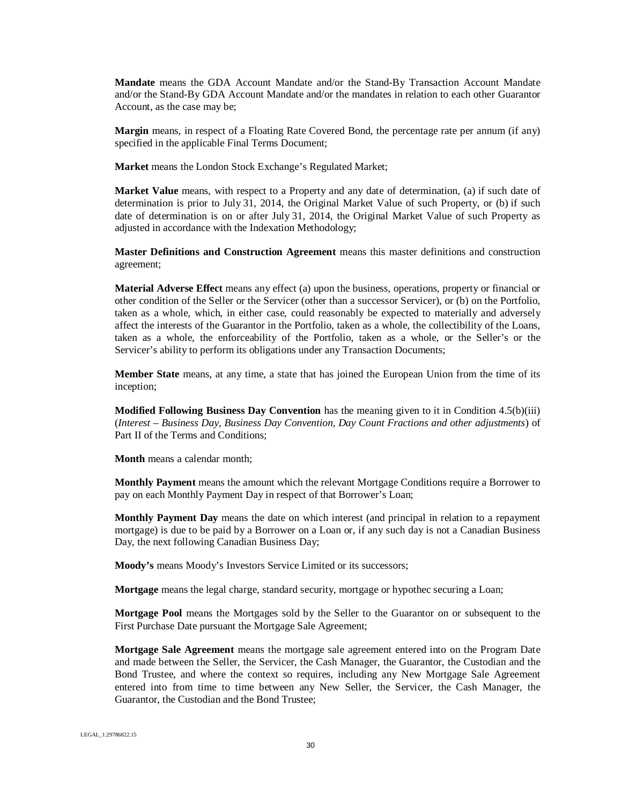**Mandate** means the GDA Account Mandate and/or the Stand-By Transaction Account Mandate and/or the Stand-By GDA Account Mandate and/or the mandates in relation to each other Guarantor Account, as the case may be;

**Margin** means, in respect of a Floating Rate Covered Bond, the percentage rate per annum (if any) specified in the applicable Final Terms Document;

**Market** means the London Stock Exchange's Regulated Market;

**Market Value** means, with respect to a Property and any date of determination, (a) if such date of determination is prior to July 31, 2014, the Original Market Value of such Property, or (b) if such date of determination is on or after July 31, 2014, the Original Market Value of such Property as adjusted in accordance with the Indexation Methodology;

**Master Definitions and Construction Agreement** means this master definitions and construction agreement;

**Material Adverse Effect** means any effect (a) upon the business, operations, property or financial or other condition of the Seller or the Servicer (other than a successor Servicer), or (b) on the Portfolio, taken as a whole, which, in either case, could reasonably be expected to materially and adversely affect the interests of the Guarantor in the Portfolio, taken as a whole, the collectibility of the Loans, taken as a whole, the enforceability of the Portfolio, taken as a whole, or the Seller's or the Servicer's ability to perform its obligations under any Transaction Documents;

**Member State** means, at any time, a state that has joined the European Union from the time of its inception;

**Modified Following Business Day Convention** has the meaning given to it in Condition 4.5(b)(iii) (*Interest – Business Day, Business Day Convention, Day Count Fractions and other adjustments*) of Part II of the Terms and Conditions;

**Month** means a calendar month;

**Monthly Payment** means the amount which the relevant Mortgage Conditions require a Borrower to pay on each Monthly Payment Day in respect of that Borrower's Loan;

**Monthly Payment Day** means the date on which interest (and principal in relation to a repayment mortgage) is due to be paid by a Borrower on a Loan or, if any such day is not a Canadian Business Day, the next following Canadian Business Day;

**Moody's** means Moody's Investors Service Limited or its successors;

**Mortgage** means the legal charge, standard security, mortgage or hypothec securing a Loan;

**Mortgage Pool** means the Mortgages sold by the Seller to the Guarantor on or subsequent to the First Purchase Date pursuant the Mortgage Sale Agreement;

**Mortgage Sale Agreement** means the mortgage sale agreement entered into on the Program Date and made between the Seller, the Servicer, the Cash Manager, the Guarantor, the Custodian and the Bond Trustee, and where the context so requires, including any New Mortgage Sale Agreement entered into from time to time between any New Seller, the Servicer, the Cash Manager, the Guarantor, the Custodian and the Bond Trustee;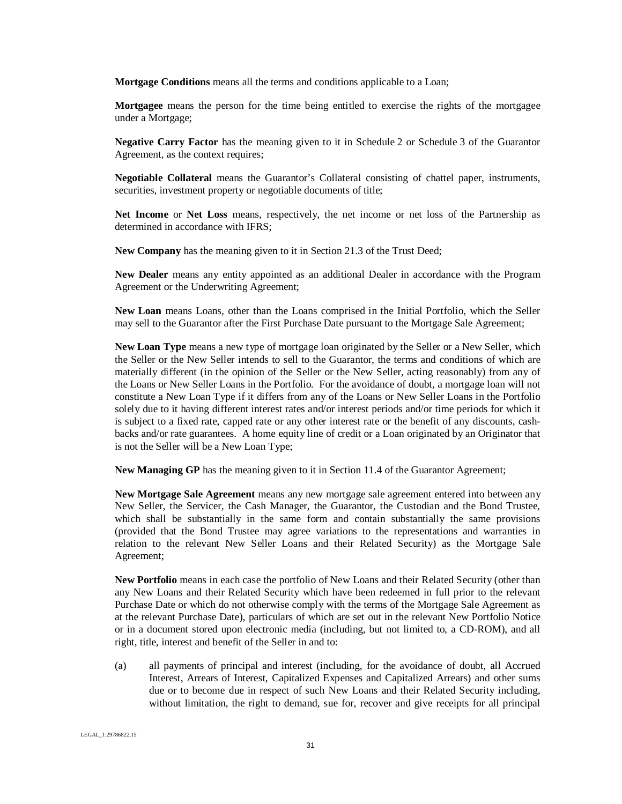**Mortgage Conditions** means all the terms and conditions applicable to a Loan;

**Mortgagee** means the person for the time being entitled to exercise the rights of the mortgagee under a Mortgage;

**Negative Carry Factor** has the meaning given to it in Schedule 2 or Schedule 3 of the Guarantor Agreement, as the context requires;

**Negotiable Collateral** means the Guarantor's Collateral consisting of chattel paper, instruments, securities, investment property or negotiable documents of title;

**Net Income** or **Net Loss** means, respectively, the net income or net loss of the Partnership as determined in accordance with IFRS;

**New Company** has the meaning given to it in Section 21.3 of the Trust Deed;

**New Dealer** means any entity appointed as an additional Dealer in accordance with the Program Agreement or the Underwriting Agreement;

**New Loan** means Loans, other than the Loans comprised in the Initial Portfolio, which the Seller may sell to the Guarantor after the First Purchase Date pursuant to the Mortgage Sale Agreement;

**New Loan Type** means a new type of mortgage loan originated by the Seller or a New Seller, which the Seller or the New Seller intends to sell to the Guarantor, the terms and conditions of which are materially different (in the opinion of the Seller or the New Seller, acting reasonably) from any of the Loans or New Seller Loans in the Portfolio. For the avoidance of doubt, a mortgage loan will not constitute a New Loan Type if it differs from any of the Loans or New Seller Loans in the Portfolio solely due to it having different interest rates and/or interest periods and/or time periods for which it is subject to a fixed rate, capped rate or any other interest rate or the benefit of any discounts, cashbacks and/or rate guarantees. A home equity line of credit or a Loan originated by an Originator that is not the Seller will be a New Loan Type;

**New Managing GP** has the meaning given to it in Section 11.4 of the Guarantor Agreement;

**New Mortgage Sale Agreement** means any new mortgage sale agreement entered into between any New Seller, the Servicer, the Cash Manager, the Guarantor, the Custodian and the Bond Trustee, which shall be substantially in the same form and contain substantially the same provisions (provided that the Bond Trustee may agree variations to the representations and warranties in relation to the relevant New Seller Loans and their Related Security) as the Mortgage Sale Agreement;

**New Portfolio** means in each case the portfolio of New Loans and their Related Security (other than any New Loans and their Related Security which have been redeemed in full prior to the relevant Purchase Date or which do not otherwise comply with the terms of the Mortgage Sale Agreement as at the relevant Purchase Date), particulars of which are set out in the relevant New Portfolio Notice or in a document stored upon electronic media (including, but not limited to, a CD-ROM), and all right, title, interest and benefit of the Seller in and to:

(a) all payments of principal and interest (including, for the avoidance of doubt, all Accrued Interest, Arrears of Interest, Capitalized Expenses and Capitalized Arrears) and other sums due or to become due in respect of such New Loans and their Related Security including, without limitation, the right to demand, sue for, recover and give receipts for all principal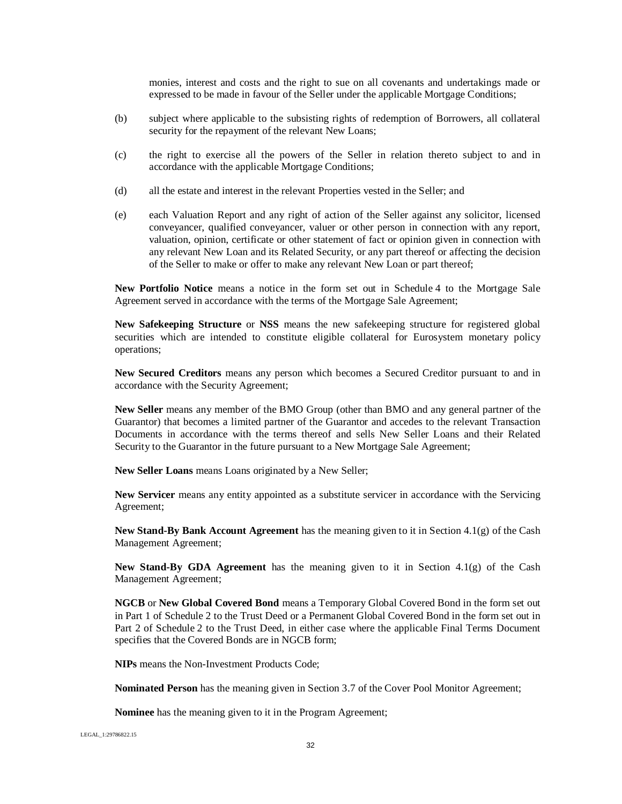monies, interest and costs and the right to sue on all covenants and undertakings made or expressed to be made in favour of the Seller under the applicable Mortgage Conditions;

- (b) subject where applicable to the subsisting rights of redemption of Borrowers, all collateral security for the repayment of the relevant New Loans;
- (c) the right to exercise all the powers of the Seller in relation thereto subject to and in accordance with the applicable Mortgage Conditions;
- (d) all the estate and interest in the relevant Properties vested in the Seller; and
- (e) each Valuation Report and any right of action of the Seller against any solicitor, licensed conveyancer, qualified conveyancer, valuer or other person in connection with any report, valuation, opinion, certificate or other statement of fact or opinion given in connection with any relevant New Loan and its Related Security, or any part thereof or affecting the decision of the Seller to make or offer to make any relevant New Loan or part thereof;

**New Portfolio Notice** means a notice in the form set out in Schedule 4 to the Mortgage Sale Agreement served in accordance with the terms of the Mortgage Sale Agreement;

**New Safekeeping Structure** or **NSS** means the new safekeeping structure for registered global securities which are intended to constitute eligible collateral for Eurosystem monetary policy operations;

**New Secured Creditors** means any person which becomes a Secured Creditor pursuant to and in accordance with the Security Agreement;

**New Seller** means any member of the BMO Group (other than BMO and any general partner of the Guarantor) that becomes a limited partner of the Guarantor and accedes to the relevant Transaction Documents in accordance with the terms thereof and sells New Seller Loans and their Related Security to the Guarantor in the future pursuant to a New Mortgage Sale Agreement;

**New Seller Loans** means Loans originated by a New Seller;

**New Servicer** means any entity appointed as a substitute servicer in accordance with the Servicing Agreement;

**New Stand-By Bank Account Agreement** has the meaning given to it in Section 4.1(g) of the Cash Management Agreement;

**New Stand-By GDA Agreement** has the meaning given to it in Section 4.1(g) of the Cash Management Agreement;

**NGCB** or **New Global Covered Bond** means a Temporary Global Covered Bond in the form set out in Part 1 of Schedule 2 to the Trust Deed or a Permanent Global Covered Bond in the form set out in Part 2 of Schedule 2 to the Trust Deed, in either case where the applicable Final Terms Document specifies that the Covered Bonds are in NGCB form;

**NIPs** means the Non-Investment Products Code;

**Nominated Person** has the meaning given in Section 3.7 of the Cover Pool Monitor Agreement;

**Nominee** has the meaning given to it in the Program Agreement;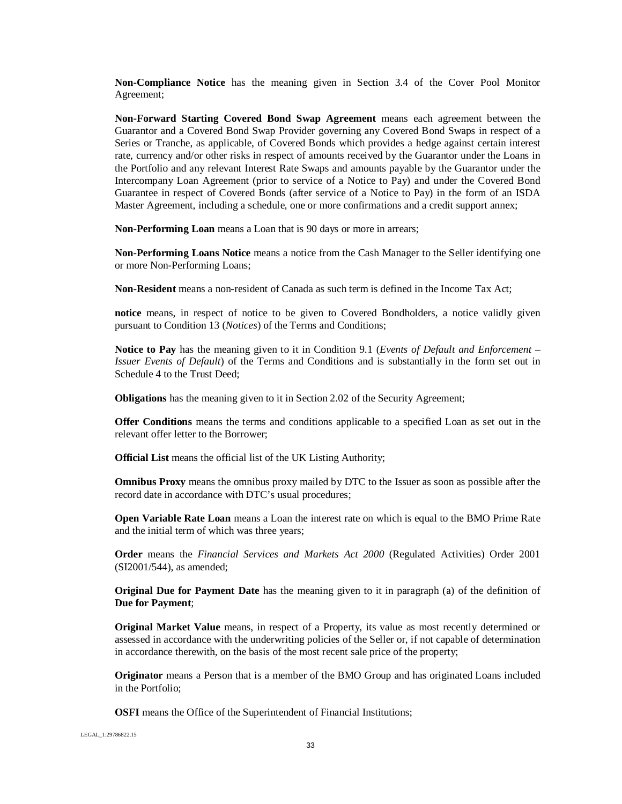**Non-Compliance Notice** has the meaning given in Section 3.4 of the Cover Pool Monitor Agreement;

**Non-Forward Starting Covered Bond Swap Agreement** means each agreement between the Guarantor and a Covered Bond Swap Provider governing any Covered Bond Swaps in respect of a Series or Tranche, as applicable, of Covered Bonds which provides a hedge against certain interest rate, currency and/or other risks in respect of amounts received by the Guarantor under the Loans in the Portfolio and any relevant Interest Rate Swaps and amounts payable by the Guarantor under the Intercompany Loan Agreement (prior to service of a Notice to Pay) and under the Covered Bond Guarantee in respect of Covered Bonds (after service of a Notice to Pay) in the form of an ISDA Master Agreement, including a schedule, one or more confirmations and a credit support annex;

**Non-Performing Loan** means a Loan that is 90 days or more in arrears;

**Non-Performing Loans Notice** means a notice from the Cash Manager to the Seller identifying one or more Non-Performing Loans;

**Non-Resident** means a non-resident of Canada as such term is defined in the Income Tax Act;

**notice** means, in respect of notice to be given to Covered Bondholders, a notice validly given pursuant to Condition 13 (*Notices*) of the Terms and Conditions;

**Notice to Pay** has the meaning given to it in Condition 9.1 (*Events of Default and Enforcement – Issuer Events of Default*) of the Terms and Conditions and is substantially in the form set out in Schedule 4 to the Trust Deed;

**Obligations** has the meaning given to it in Section 2.02 of the Security Agreement;

**Offer Conditions** means the terms and conditions applicable to a specified Loan as set out in the relevant offer letter to the Borrower;

**Official List** means the official list of the UK Listing Authority;

**Omnibus Proxy** means the omnibus proxy mailed by DTC to the Issuer as soon as possible after the record date in accordance with DTC's usual procedures;

**Open Variable Rate Loan** means a Loan the interest rate on which is equal to the BMO Prime Rate and the initial term of which was three years;

**Order** means the *Financial Services and Markets Act 2000* (Regulated Activities) Order 2001 (SI2001/544), as amended;

**Original Due for Payment Date** has the meaning given to it in paragraph (a) of the definition of **Due for Payment**;

**Original Market Value** means, in respect of a Property, its value as most recently determined or assessed in accordance with the underwriting policies of the Seller or, if not capable of determination in accordance therewith, on the basis of the most recent sale price of the property;

**Originator** means a Person that is a member of the BMO Group and has originated Loans included in the Portfolio;

**OSFI** means the Office of the Superintendent of Financial Institutions;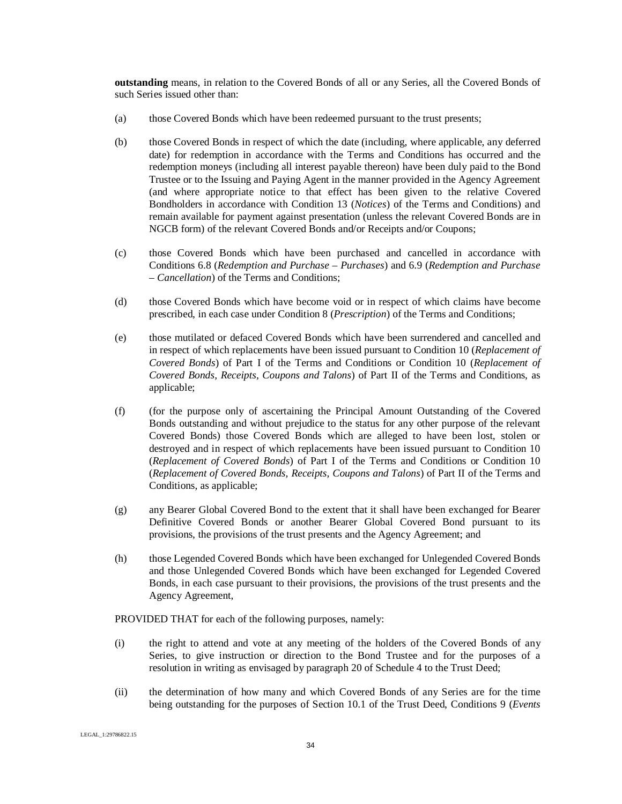**outstanding** means, in relation to the Covered Bonds of all or any Series, all the Covered Bonds of such Series issued other than:

- (a) those Covered Bonds which have been redeemed pursuant to the trust presents;
- (b) those Covered Bonds in respect of which the date (including, where applicable, any deferred date) for redemption in accordance with the Terms and Conditions has occurred and the redemption moneys (including all interest payable thereon) have been duly paid to the Bond Trustee or to the Issuing and Paying Agent in the manner provided in the Agency Agreement (and where appropriate notice to that effect has been given to the relative Covered Bondholders in accordance with Condition 13 (*Notices*) of the Terms and Conditions) and remain available for payment against presentation (unless the relevant Covered Bonds are in NGCB form) of the relevant Covered Bonds and/or Receipts and/or Coupons;
- (c) those Covered Bonds which have been purchased and cancelled in accordance with Conditions 6.8 (*Redemption and Purchase – Purchases*) and 6.9 (*Redemption and Purchase – Cancellation*) of the Terms and Conditions;
- (d) those Covered Bonds which have become void or in respect of which claims have become prescribed, in each case under Condition 8 (*Prescription*) of the Terms and Conditions;
- (e) those mutilated or defaced Covered Bonds which have been surrendered and cancelled and in respect of which replacements have been issued pursuant to Condition 10 (*Replacement of Covered Bonds*) of Part I of the Terms and Conditions or Condition 10 (*Replacement of Covered Bonds, Receipts, Coupons and Talons*) of Part II of the Terms and Conditions, as applicable;
- (f) (for the purpose only of ascertaining the Principal Amount Outstanding of the Covered Bonds outstanding and without prejudice to the status for any other purpose of the relevant Covered Bonds) those Covered Bonds which are alleged to have been lost, stolen or destroyed and in respect of which replacements have been issued pursuant to Condition 10 (*Replacement of Covered Bonds*) of Part I of the Terms and Conditions or Condition 10 (*Replacement of Covered Bonds, Receipts, Coupons and Talons*) of Part II of the Terms and Conditions, as applicable;
- (g) any Bearer Global Covered Bond to the extent that it shall have been exchanged for Bearer Definitive Covered Bonds or another Bearer Global Covered Bond pursuant to its provisions, the provisions of the trust presents and the Agency Agreement; and
- (h) those Legended Covered Bonds which have been exchanged for Unlegended Covered Bonds and those Unlegended Covered Bonds which have been exchanged for Legended Covered Bonds, in each case pursuant to their provisions, the provisions of the trust presents and the Agency Agreement,

PROVIDED THAT for each of the following purposes, namely:

- (i) the right to attend and vote at any meeting of the holders of the Covered Bonds of any Series, to give instruction or direction to the Bond Trustee and for the purposes of a resolution in writing as envisaged by paragraph 20 of Schedule 4 to the Trust Deed;
- (ii) the determination of how many and which Covered Bonds of any Series are for the time being outstanding for the purposes of Section 10.1 of the Trust Deed, Conditions 9 (*Events*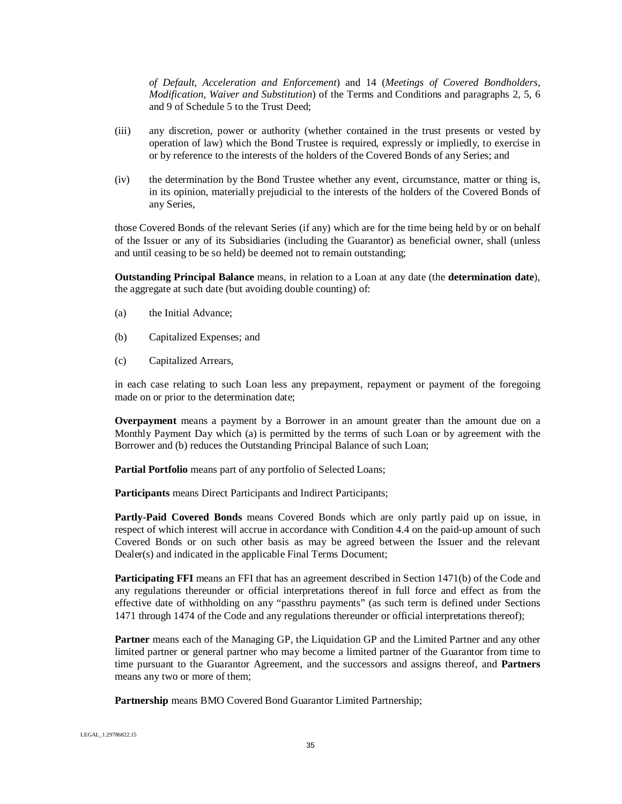*of Default, Acceleration and Enforcement*) and 14 (*Meetings of Covered Bondholders, Modification, Waiver and Substitution*) of the Terms and Conditions and paragraphs 2, 5, 6 and 9 of Schedule 5 to the Trust Deed;

- (iii) any discretion, power or authority (whether contained in the trust presents or vested by operation of law) which the Bond Trustee is required, expressly or impliedly, to exercise in or by reference to the interests of the holders of the Covered Bonds of any Series; and
- (iv) the determination by the Bond Trustee whether any event, circumstance, matter or thing is, in its opinion, materially prejudicial to the interests of the holders of the Covered Bonds of any Series,

those Covered Bonds of the relevant Series (if any) which are for the time being held by or on behalf of the Issuer or any of its Subsidiaries (including the Guarantor) as beneficial owner, shall (unless and until ceasing to be so held) be deemed not to remain outstanding;

**Outstanding Principal Balance** means, in relation to a Loan at any date (the **determination date**), the aggregate at such date (but avoiding double counting) of:

- (a) the Initial Advance;
- (b) Capitalized Expenses; and
- (c) Capitalized Arrears,

in each case relating to such Loan less any prepayment, repayment or payment of the foregoing made on or prior to the determination date;

**Overpayment** means a payment by a Borrower in an amount greater than the amount due on a Monthly Payment Day which (a) is permitted by the terms of such Loan or by agreement with the Borrower and (b) reduces the Outstanding Principal Balance of such Loan;

Partial Portfolio means part of any portfolio of Selected Loans;

**Participants** means Direct Participants and Indirect Participants;

**Partly-Paid Covered Bonds** means Covered Bonds which are only partly paid up on issue, in respect of which interest will accrue in accordance with Condition 4.4 on the paid-up amount of such Covered Bonds or on such other basis as may be agreed between the Issuer and the relevant Dealer(s) and indicated in the applicable Final Terms Document;

**Participating FFI** means an FFI that has an agreement described in Section 1471(b) of the Code and any regulations thereunder or official interpretations thereof in full force and effect as from the effective date of withholding on any "passthru payments" (as such term is defined under Sections 1471 through 1474 of the Code and any regulations thereunder or official interpretations thereof);

**Partner** means each of the Managing GP, the Liquidation GP and the Limited Partner and any other limited partner or general partner who may become a limited partner of the Guarantor from time to time pursuant to the Guarantor Agreement, and the successors and assigns thereof, and **Partners** means any two or more of them;

**Partnership** means BMO Covered Bond Guarantor Limited Partnership;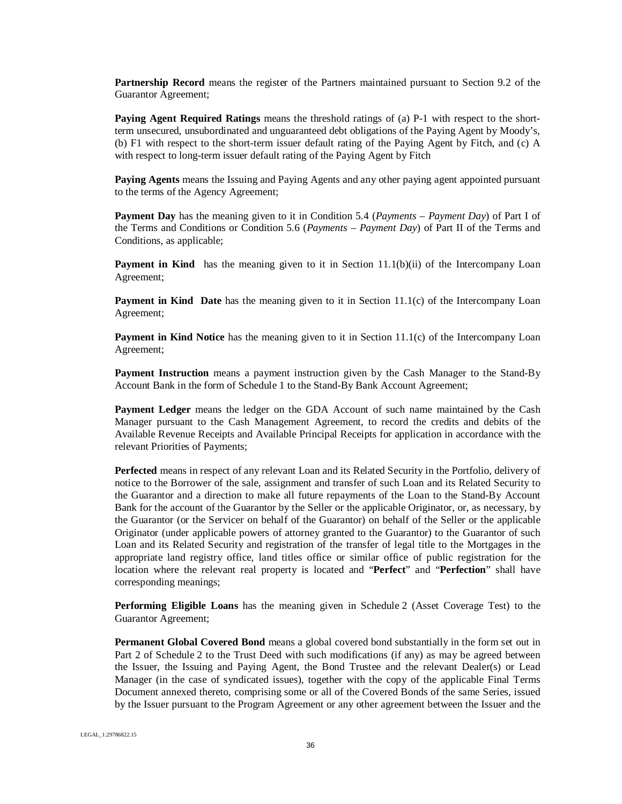**Partnership Record** means the register of the Partners maintained pursuant to Section 9.2 of the Guarantor Agreement;

**Paying Agent Required Ratings** means the threshold ratings of (a) P-1 with respect to the shortterm unsecured, unsubordinated and unguaranteed debt obligations of the Paying Agent by Moody's, (b) F1 with respect to the short-term issuer default rating of the Paying Agent by Fitch, and (c) A with respect to long-term issuer default rating of the Paying Agent by Fitch

**Paying Agents** means the Issuing and Paying Agents and any other paying agent appointed pursuant to the terms of the Agency Agreement;

**Payment Day** has the meaning given to it in Condition 5.4 (*Payments – Payment Day*) of Part I of the Terms and Conditions or Condition 5.6 (*Payments – Payment Day*) of Part II of the Terms and Conditions, as applicable;

**Payment in Kind** has the meaning given to it in Section 11.1(b)(ii) of the Intercompany Loan Agreement;

**Payment in Kind Date** has the meaning given to it in Section 11.1(c) of the Intercompany Loan Agreement;

**Payment in Kind Notice** has the meaning given to it in Section 11.1(c) of the Intercompany Loan Agreement;

**Payment Instruction** means a payment instruction given by the Cash Manager to the Stand-By Account Bank in the form of Schedule 1 to the Stand-By Bank Account Agreement;

**Payment Ledger** means the ledger on the GDA Account of such name maintained by the Cash Manager pursuant to the Cash Management Agreement, to record the credits and debits of the Available Revenue Receipts and Available Principal Receipts for application in accordance with the relevant Priorities of Payments;

**Perfected** means in respect of any relevant Loan and its Related Security in the Portfolio, delivery of notice to the Borrower of the sale, assignment and transfer of such Loan and its Related Security to the Guarantor and a direction to make all future repayments of the Loan to the Stand-By Account Bank for the account of the Guarantor by the Seller or the applicable Originator, or, as necessary, by the Guarantor (or the Servicer on behalf of the Guarantor) on behalf of the Seller or the applicable Originator (under applicable powers of attorney granted to the Guarantor) to the Guarantor of such Loan and its Related Security and registration of the transfer of legal title to the Mortgages in the appropriate land registry office, land titles office or similar office of public registration for the location where the relevant real property is located and "**Perfect**" and "**Perfection**" shall have corresponding meanings;

**Performing Eligible Loans** has the meaning given in Schedule 2 (Asset Coverage Test) to the Guarantor Agreement;

**Permanent Global Covered Bond** means a global covered bond substantially in the form set out in Part 2 of Schedule 2 to the Trust Deed with such modifications (if any) as may be agreed between the Issuer, the Issuing and Paying Agent, the Bond Trustee and the relevant Dealer(s) or Lead Manager (in the case of syndicated issues), together with the copy of the applicable Final Terms Document annexed thereto, comprising some or all of the Covered Bonds of the same Series, issued by the Issuer pursuant to the Program Agreement or any other agreement between the Issuer and the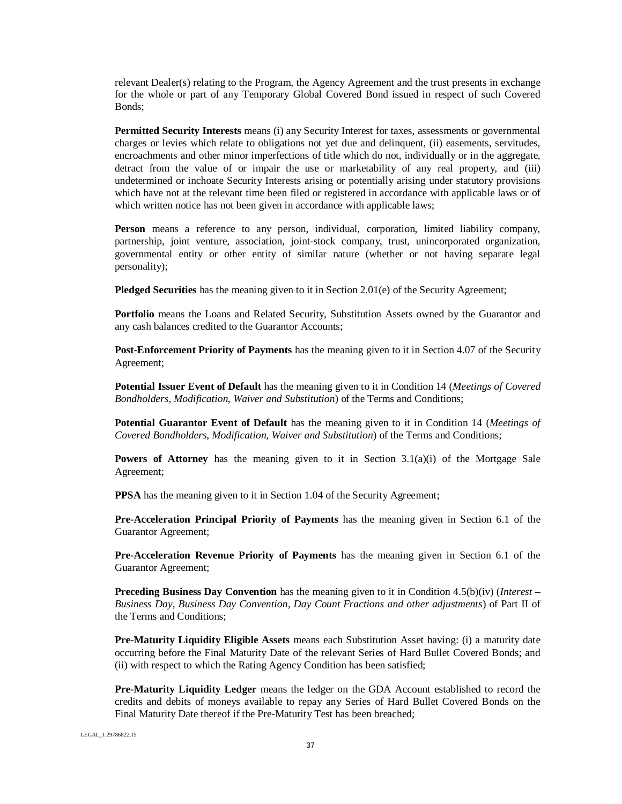relevant Dealer(s) relating to the Program, the Agency Agreement and the trust presents in exchange for the whole or part of any Temporary Global Covered Bond issued in respect of such Covered Bonds;

**Permitted Security Interests** means (i) any Security Interest for taxes, assessments or governmental charges or levies which relate to obligations not yet due and delinquent, (ii) easements, servitudes, encroachments and other minor imperfections of title which do not, individually or in the aggregate, detract from the value of or impair the use or marketability of any real property, and (iii) undetermined or inchoate Security Interests arising or potentially arising under statutory provisions which have not at the relevant time been filed or registered in accordance with applicable laws or of which written notice has not been given in accordance with applicable laws;

**Person** means a reference to any person, individual, corporation, limited liability company, partnership, joint venture, association, joint-stock company, trust, unincorporated organization, governmental entity or other entity of similar nature (whether or not having separate legal personality);

**Pledged Securities** has the meaning given to it in Section 2.01(e) of the Security Agreement;

Portfolio means the Loans and Related Security, Substitution Assets owned by the Guarantor and any cash balances credited to the Guarantor Accounts;

**Post-Enforcement Priority of Payments** has the meaning given to it in Section 4.07 of the Security Agreement;

**Potential Issuer Event of Default** has the meaning given to it in Condition 14 (*Meetings of Covered Bondholders, Modification, Waiver and Substitution*) of the Terms and Conditions;

**Potential Guarantor Event of Default** has the meaning given to it in Condition 14 (*Meetings of Covered Bondholders, Modification, Waiver and Substitution*) of the Terms and Conditions;

**Powers of Attorney** has the meaning given to it in Section 3.1(a)(i) of the Mortgage Sale Agreement;

**PPSA** has the meaning given to it in Section 1.04 of the Security Agreement;

**Pre-Acceleration Principal Priority of Payments** has the meaning given in Section 6.1 of the Guarantor Agreement;

**Pre-Acceleration Revenue Priority of Payments** has the meaning given in Section 6.1 of the Guarantor Agreement;

**Preceding Business Day Convention** has the meaning given to it in Condition 4.5(b)(iv) (*Interest – Business Day, Business Day Convention, Day Count Fractions and other adjustments*) of Part II of the Terms and Conditions;

**Pre-Maturity Liquidity Eligible Assets** means each Substitution Asset having: (i) a maturity date occurring before the Final Maturity Date of the relevant Series of Hard Bullet Covered Bonds; and (ii) with respect to which the Rating Agency Condition has been satisfied;

**Pre-Maturity Liquidity Ledger** means the ledger on the GDA Account established to record the credits and debits of moneys available to repay any Series of Hard Bullet Covered Bonds on the Final Maturity Date thereof if the Pre-Maturity Test has been breached;

LEGAL\_1:29786822.15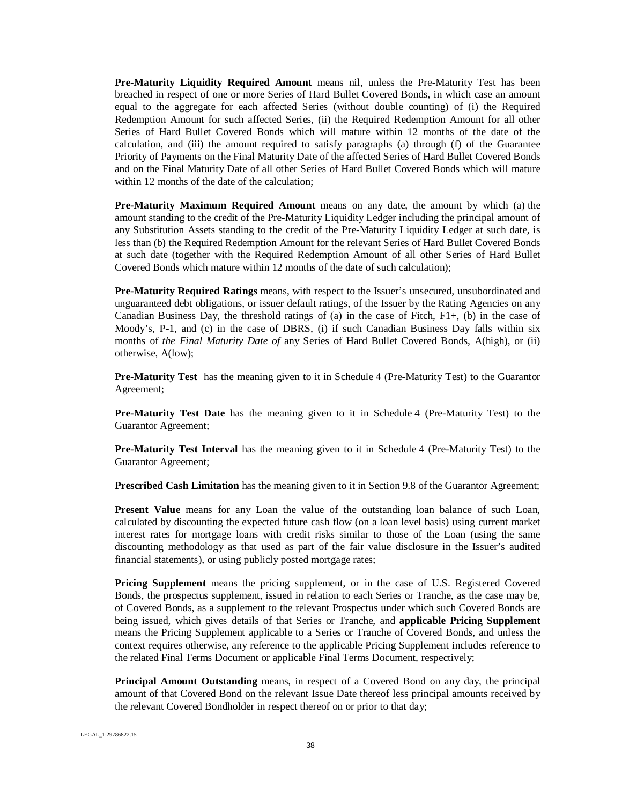**Pre-Maturity Liquidity Required Amount** means nil, unless the Pre-Maturity Test has been breached in respect of one or more Series of Hard Bullet Covered Bonds, in which case an amount equal to the aggregate for each affected Series (without double counting) of (i) the Required Redemption Amount for such affected Series, (ii) the Required Redemption Amount for all other Series of Hard Bullet Covered Bonds which will mature within 12 months of the date of the calculation, and (iii) the amount required to satisfy paragraphs (a) through (f) of the Guarantee Priority of Payments on the Final Maturity Date of the affected Series of Hard Bullet Covered Bonds and on the Final Maturity Date of all other Series of Hard Bullet Covered Bonds which will mature within 12 months of the date of the calculation:

**Pre-Maturity Maximum Required Amount** means on any date, the amount by which (a) the amount standing to the credit of the Pre-Maturity Liquidity Ledger including the principal amount of any Substitution Assets standing to the credit of the Pre-Maturity Liquidity Ledger at such date, is less than (b) the Required Redemption Amount for the relevant Series of Hard Bullet Covered Bonds at such date (together with the Required Redemption Amount of all other Series of Hard Bullet Covered Bonds which mature within 12 months of the date of such calculation);

**Pre-Maturity Required Ratings** means, with respect to the Issuer's unsecured, unsubordinated and unguaranteed debt obligations, or issuer default ratings, of the Issuer by the Rating Agencies on any Canadian Business Day, the threshold ratings of (a) in the case of Fitch, F1+, (b) in the case of Moody's, P-1, and (c) in the case of DBRS, (i) if such Canadian Business Day falls within six months of *the Final Maturity Date of* any Series of Hard Bullet Covered Bonds, A(high), or (ii) otherwise, A(low);

**Pre-Maturity Test** has the meaning given to it in Schedule 4 (Pre-Maturity Test) to the Guarantor Agreement;

**Pre-Maturity Test Date** has the meaning given to it in Schedule 4 (Pre-Maturity Test) to the Guarantor Agreement;

**Pre-Maturity Test Interval** has the meaning given to it in Schedule 4 (Pre-Maturity Test) to the Guarantor Agreement;

**Prescribed Cash Limitation** has the meaning given to it in Section 9.8 of the Guarantor Agreement;

**Present Value** means for any Loan the value of the outstanding loan balance of such Loan, calculated by discounting the expected future cash flow (on a loan level basis) using current market interest rates for mortgage loans with credit risks similar to those of the Loan (using the same discounting methodology as that used as part of the fair value disclosure in the Issuer's audited financial statements), or using publicly posted mortgage rates;

**Pricing Supplement** means the pricing supplement, or in the case of U.S. Registered Covered Bonds, the prospectus supplement, issued in relation to each Series or Tranche, as the case may be, of Covered Bonds, as a supplement to the relevant Prospectus under which such Covered Bonds are being issued, which gives details of that Series or Tranche, and **applicable Pricing Supplement** means the Pricing Supplement applicable to a Series or Tranche of Covered Bonds, and unless the context requires otherwise, any reference to the applicable Pricing Supplement includes reference to the related Final Terms Document or applicable Final Terms Document, respectively;

**Principal Amount Outstanding** means, in respect of a Covered Bond on any day, the principal amount of that Covered Bond on the relevant Issue Date thereof less principal amounts received by the relevant Covered Bondholder in respect thereof on or prior to that day;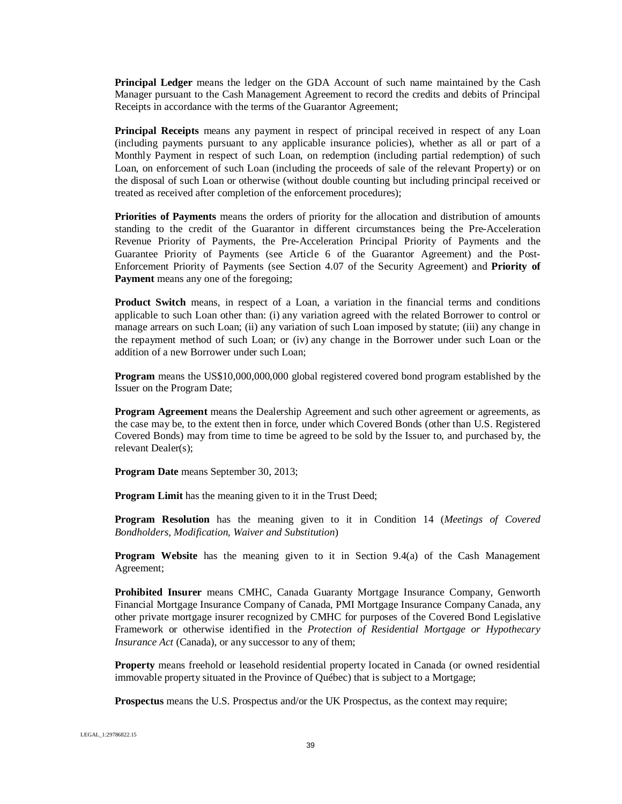**Principal Ledger** means the ledger on the GDA Account of such name maintained by the Cash Manager pursuant to the Cash Management Agreement to record the credits and debits of Principal Receipts in accordance with the terms of the Guarantor Agreement;

**Principal Receipts** means any payment in respect of principal received in respect of any Loan (including payments pursuant to any applicable insurance policies), whether as all or part of a Monthly Payment in respect of such Loan, on redemption (including partial redemption) of such Loan, on enforcement of such Loan (including the proceeds of sale of the relevant Property) or on the disposal of such Loan or otherwise (without double counting but including principal received or treated as received after completion of the enforcement procedures);

**Priorities of Payments** means the orders of priority for the allocation and distribution of amounts standing to the credit of the Guarantor in different circumstances being the Pre-Acceleration Revenue Priority of Payments, the Pre-Acceleration Principal Priority of Payments and the Guarantee Priority of Payments (see Article 6 of the Guarantor Agreement) and the Post-Enforcement Priority of Payments (see Section 4.07 of the Security Agreement) and **Priority of Payment** means any one of the foregoing;

**Product Switch** means, in respect of a Loan, a variation in the financial terms and conditions applicable to such Loan other than: (i) any variation agreed with the related Borrower to control or manage arrears on such Loan; (ii) any variation of such Loan imposed by statute; (iii) any change in the repayment method of such Loan; or (iv) any change in the Borrower under such Loan or the addition of a new Borrower under such Loan;

**Program** means the US\$10,000,000,000 global registered covered bond program established by the Issuer on the Program Date;

**Program Agreement** means the Dealership Agreement and such other agreement or agreements, as the case may be, to the extent then in force, under which Covered Bonds (other than U.S. Registered Covered Bonds) may from time to time be agreed to be sold by the Issuer to, and purchased by, the relevant Dealer(s);

**Program Date** means September 30, 2013;

**Program Limit** has the meaning given to it in the Trust Deed;

**Program Resolution** has the meaning given to it in Condition 14 (*Meetings of Covered Bondholders, Modification, Waiver and Substitution*)

**Program Website** has the meaning given to it in Section 9.4(a) of the Cash Management Agreement;

**Prohibited Insurer** means CMHC, Canada Guaranty Mortgage Insurance Company, Genworth Financial Mortgage Insurance Company of Canada, PMI Mortgage Insurance Company Canada, any other private mortgage insurer recognized by CMHC for purposes of the Covered Bond Legislative Framework or otherwise identified in the *Protection of Residential Mortgage or Hypothecary Insurance Act* (Canada), or any successor to any of them;

**Property** means freehold or leasehold residential property located in Canada (or owned residential immovable property situated in the Province of Québec) that is subject to a Mortgage;

**Prospectus** means the U.S. Prospectus and/or the UK Prospectus, as the context may require;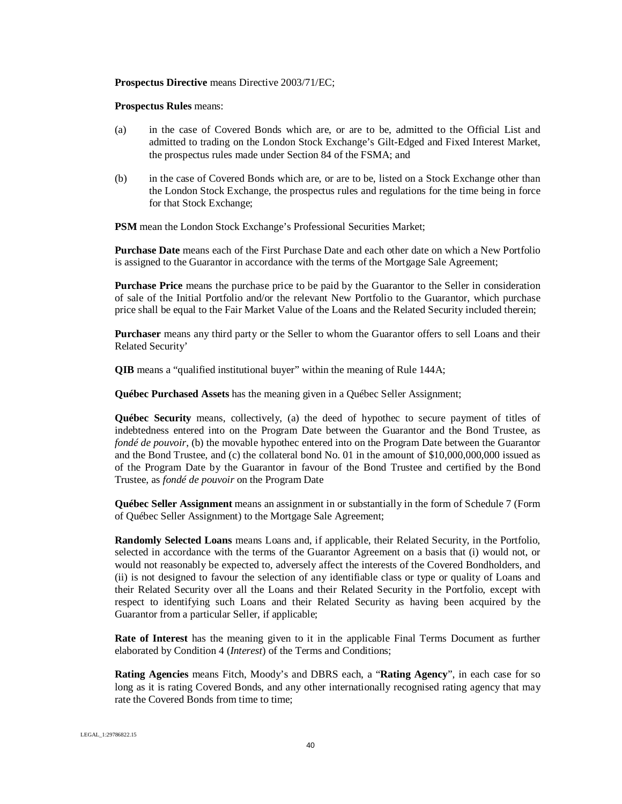#### **Prospectus Directive** means Directive 2003/71/EC;

#### **Prospectus Rules** means:

- (a) in the case of Covered Bonds which are, or are to be, admitted to the Official List and admitted to trading on the London Stock Exchange's Gilt-Edged and Fixed Interest Market, the prospectus rules made under Section 84 of the FSMA; and
- (b) in the case of Covered Bonds which are, or are to be, listed on a Stock Exchange other than the London Stock Exchange, the prospectus rules and regulations for the time being in force for that Stock Exchange;

**PSM** mean the London Stock Exchange's Professional Securities Market;

**Purchase Date** means each of the First Purchase Date and each other date on which a New Portfolio is assigned to the Guarantor in accordance with the terms of the Mortgage Sale Agreement;

**Purchase Price** means the purchase price to be paid by the Guarantor to the Seller in consideration of sale of the Initial Portfolio and/or the relevant New Portfolio to the Guarantor, which purchase price shall be equal to the Fair Market Value of the Loans and the Related Security included therein;

**Purchaser** means any third party or the Seller to whom the Guarantor offers to sell Loans and their Related Security'

**QIB** means a "qualified institutional buyer" within the meaning of Rule 144A;

**Québec Purchased Assets** has the meaning given in a Québec Seller Assignment;

**Québec Security** means, collectively, (a) the deed of hypothec to secure payment of titles of indebtedness entered into on the Program Date between the Guarantor and the Bond Trustee, as *fondé de pouvoir*, (b) the movable hypothec entered into on the Program Date between the Guarantor and the Bond Trustee, and (c) the collateral bond No. 01 in the amount of \$10,000,000,000 issued as of the Program Date by the Guarantor in favour of the Bond Trustee and certified by the Bond Trustee, as *fondé de pouvoir* on the Program Date

**Québec Seller Assignment** means an assignment in or substantially in the form of Schedule 7 (Form of Québec Seller Assignment) to the Mortgage Sale Agreement;

**Randomly Selected Loans** means Loans and, if applicable, their Related Security, in the Portfolio, selected in accordance with the terms of the Guarantor Agreement on a basis that (i) would not, or would not reasonably be expected to, adversely affect the interests of the Covered Bondholders, and (ii) is not designed to favour the selection of any identifiable class or type or quality of Loans and their Related Security over all the Loans and their Related Security in the Portfolio, except with respect to identifying such Loans and their Related Security as having been acquired by the Guarantor from a particular Seller, if applicable;

**Rate of Interest** has the meaning given to it in the applicable Final Terms Document as further elaborated by Condition 4 (*Interest*) of the Terms and Conditions;

**Rating Agencies** means Fitch, Moody's and DBRS each, a "**Rating Agency**", in each case for so long as it is rating Covered Bonds, and any other internationally recognised rating agency that may rate the Covered Bonds from time to time;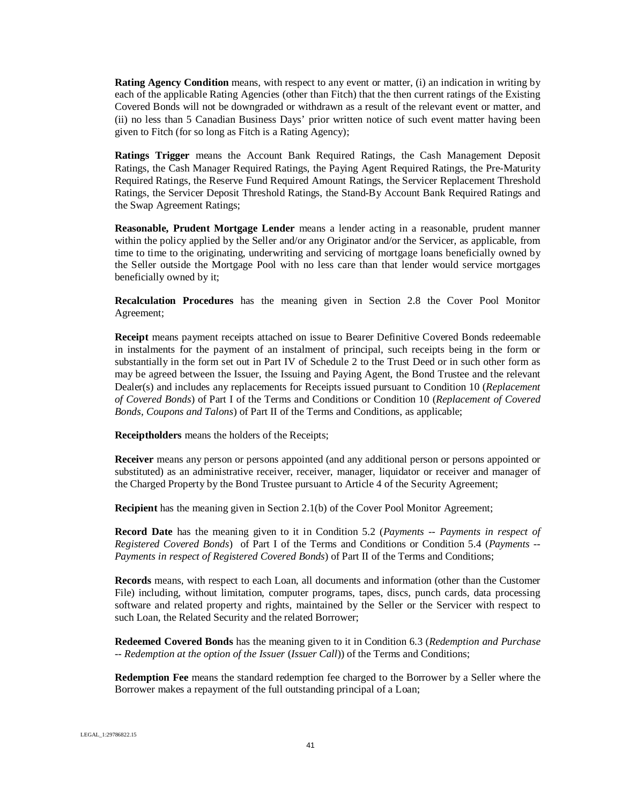**Rating Agency Condition** means, with respect to any event or matter, (i) an indication in writing by each of the applicable Rating Agencies (other than Fitch) that the then current ratings of the Existing Covered Bonds will not be downgraded or withdrawn as a result of the relevant event or matter, and (ii) no less than 5 Canadian Business Days' prior written notice of such event matter having been given to Fitch (for so long as Fitch is a Rating Agency);

**Ratings Trigger** means the Account Bank Required Ratings, the Cash Management Deposit Ratings, the Cash Manager Required Ratings, the Paying Agent Required Ratings, the Pre-Maturity Required Ratings, the Reserve Fund Required Amount Ratings, the Servicer Replacement Threshold Ratings, the Servicer Deposit Threshold Ratings, the Stand-By Account Bank Required Ratings and the Swap Agreement Ratings;

**Reasonable, Prudent Mortgage Lender** means a lender acting in a reasonable, prudent manner within the policy applied by the Seller and/or any Originator and/or the Servicer, as applicable, from time to time to the originating, underwriting and servicing of mortgage loans beneficially owned by the Seller outside the Mortgage Pool with no less care than that lender would service mortgages beneficially owned by it;

**Recalculation Procedures** has the meaning given in Section 2.8 the Cover Pool Monitor Agreement;

**Receipt** means payment receipts attached on issue to Bearer Definitive Covered Bonds redeemable in instalments for the payment of an instalment of principal, such receipts being in the form or substantially in the form set out in Part IV of Schedule 2 to the Trust Deed or in such other form as may be agreed between the Issuer, the Issuing and Paying Agent, the Bond Trustee and the relevant Dealer(s) and includes any replacements for Receipts issued pursuant to Condition 10 (*Replacement of Covered Bonds*) of Part I of the Terms and Conditions or Condition 10 (*Replacement of Covered Bonds, Coupons and Talons*) of Part II of the Terms and Conditions, as applicable;

**Receiptholders** means the holders of the Receipts;

**Receiver** means any person or persons appointed (and any additional person or persons appointed or substituted) as an administrative receiver, receiver, manager, liquidator or receiver and manager of the Charged Property by the Bond Trustee pursuant to Article 4 of the Security Agreement;

**Recipient** has the meaning given in Section 2.1(b) of the Cover Pool Monitor Agreement;

**Record Date** has the meaning given to it in Condition 5.2 (*Payments -- Payments in respect of Registered Covered Bonds*) of Part I of the Terms and Conditions or Condition 5.4 (*Payments -- Payments in respect of Registered Covered Bonds*) of Part II of the Terms and Conditions;

**Records** means, with respect to each Loan, all documents and information (other than the Customer File) including, without limitation, computer programs, tapes, discs, punch cards, data processing software and related property and rights, maintained by the Seller or the Servicer with respect to such Loan, the Related Security and the related Borrower;

**Redeemed Covered Bonds** has the meaning given to it in Condition 6.3 (*Redemption and Purchase -- Redemption at the option of the Issuer* (*Issuer Call*)) of the Terms and Conditions;

**Redemption Fee** means the standard redemption fee charged to the Borrower by a Seller where the Borrower makes a repayment of the full outstanding principal of a Loan;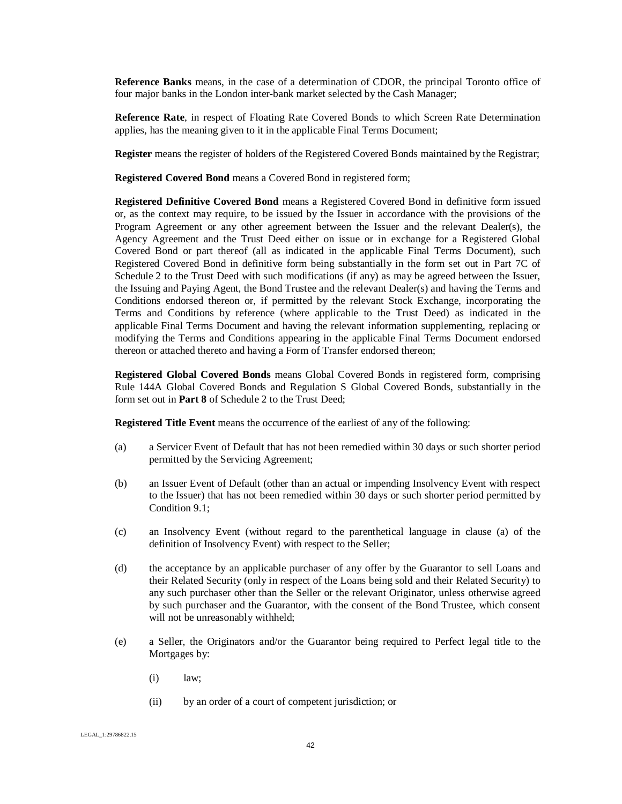**Reference Banks** means, in the case of a determination of CDOR, the principal Toronto office of four major banks in the London inter-bank market selected by the Cash Manager;

**Reference Rate**, in respect of Floating Rate Covered Bonds to which Screen Rate Determination applies, has the meaning given to it in the applicable Final Terms Document;

**Register** means the register of holders of the Registered Covered Bonds maintained by the Registrar;

**Registered Covered Bond** means a Covered Bond in registered form;

**Registered Definitive Covered Bond** means a Registered Covered Bond in definitive form issued or, as the context may require, to be issued by the Issuer in accordance with the provisions of the Program Agreement or any other agreement between the Issuer and the relevant Dealer(s), the Agency Agreement and the Trust Deed either on issue or in exchange for a Registered Global Covered Bond or part thereof (all as indicated in the applicable Final Terms Document), such Registered Covered Bond in definitive form being substantially in the form set out in Part 7C of Schedule 2 to the Trust Deed with such modifications (if any) as may be agreed between the Issuer, the Issuing and Paying Agent, the Bond Trustee and the relevant Dealer(s) and having the Terms and Conditions endorsed thereon or, if permitted by the relevant Stock Exchange, incorporating the Terms and Conditions by reference (where applicable to the Trust Deed) as indicated in the applicable Final Terms Document and having the relevant information supplementing, replacing or modifying the Terms and Conditions appearing in the applicable Final Terms Document endorsed thereon or attached thereto and having a Form of Transfer endorsed thereon;

**Registered Global Covered Bonds** means Global Covered Bonds in registered form, comprising Rule 144A Global Covered Bonds and Regulation S Global Covered Bonds, substantially in the form set out in **Part 8** of Schedule 2 to the Trust Deed;

**Registered Title Event** means the occurrence of the earliest of any of the following:

- (a) a Servicer Event of Default that has not been remedied within 30 days or such shorter period permitted by the Servicing Agreement;
- (b) an Issuer Event of Default (other than an actual or impending Insolvency Event with respect to the Issuer) that has not been remedied within 30 days or such shorter period permitted by Condition 9.1;
- (c) an Insolvency Event (without regard to the parenthetical language in clause (a) of the definition of Insolvency Event) with respect to the Seller;
- (d) the acceptance by an applicable purchaser of any offer by the Guarantor to sell Loans and their Related Security (only in respect of the Loans being sold and their Related Security) to any such purchaser other than the Seller or the relevant Originator, unless otherwise agreed by such purchaser and the Guarantor, with the consent of the Bond Trustee, which consent will not be unreasonably withheld;
- (e) a Seller, the Originators and/or the Guarantor being required to Perfect legal title to the Mortgages by:
	- $(i)$  law:
	- (ii) by an order of a court of competent jurisdiction; or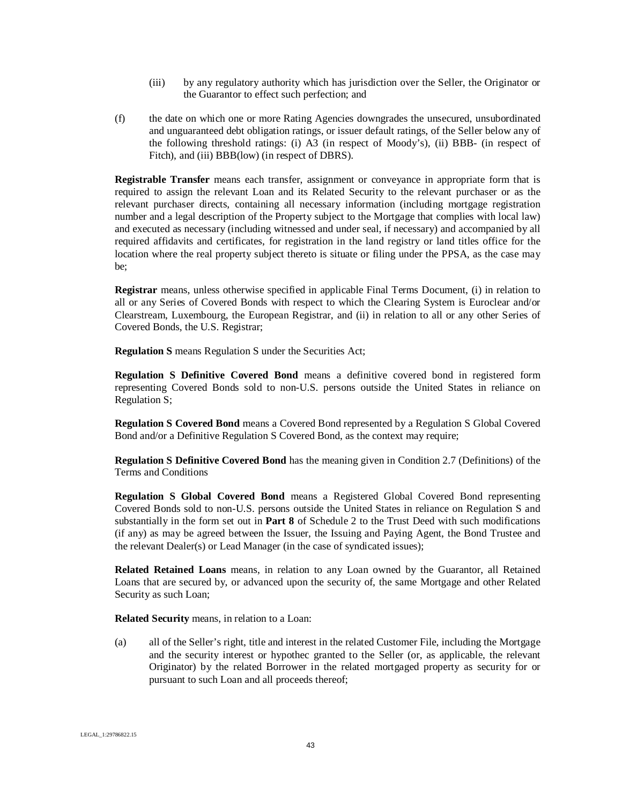- (iii) by any regulatory authority which has jurisdiction over the Seller, the Originator or the Guarantor to effect such perfection; and
- (f) the date on which one or more Rating Agencies downgrades the unsecured, unsubordinated and unguaranteed debt obligation ratings, or issuer default ratings, of the Seller below any of the following threshold ratings: (i) A3 (in respect of Moody's), (ii) BBB- (in respect of Fitch), and (iii) BBB(low) (in respect of DBRS).

**Registrable Transfer** means each transfer, assignment or conveyance in appropriate form that is required to assign the relevant Loan and its Related Security to the relevant purchaser or as the relevant purchaser directs, containing all necessary information (including mortgage registration number and a legal description of the Property subject to the Mortgage that complies with local law) and executed as necessary (including witnessed and under seal, if necessary) and accompanied by all required affidavits and certificates, for registration in the land registry or land titles office for the location where the real property subject thereto is situate or filing under the PPSA, as the case may be;

**Registrar** means, unless otherwise specified in applicable Final Terms Document, (i) in relation to all or any Series of Covered Bonds with respect to which the Clearing System is Euroclear and/or Clearstream, Luxembourg, the European Registrar, and (ii) in relation to all or any other Series of Covered Bonds, the U.S. Registrar;

**Regulation S** means Regulation S under the Securities Act;

**Regulation S Definitive Covered Bond** means a definitive covered bond in registered form representing Covered Bonds sold to non-U.S. persons outside the United States in reliance on Regulation S;

**Regulation S Covered Bond** means a Covered Bond represented by a Regulation S Global Covered Bond and/or a Definitive Regulation S Covered Bond, as the context may require;

**Regulation S Definitive Covered Bond** has the meaning given in Condition 2.7 (Definitions) of the Terms and Conditions

**Regulation S Global Covered Bond** means a Registered Global Covered Bond representing Covered Bonds sold to non-U.S. persons outside the United States in reliance on Regulation S and substantially in the form set out in **Part 8** of Schedule 2 to the Trust Deed with such modifications (if any) as may be agreed between the Issuer, the Issuing and Paying Agent, the Bond Trustee and the relevant Dealer(s) or Lead Manager (in the case of syndicated issues);

**Related Retained Loans** means, in relation to any Loan owned by the Guarantor, all Retained Loans that are secured by, or advanced upon the security of, the same Mortgage and other Related Security as such Loan;

**Related Security** means, in relation to a Loan:

(a) all of the Seller's right, title and interest in the related Customer File, including the Mortgage and the security interest or hypothec granted to the Seller (or, as applicable, the relevant Originator) by the related Borrower in the related mortgaged property as security for or pursuant to such Loan and all proceeds thereof;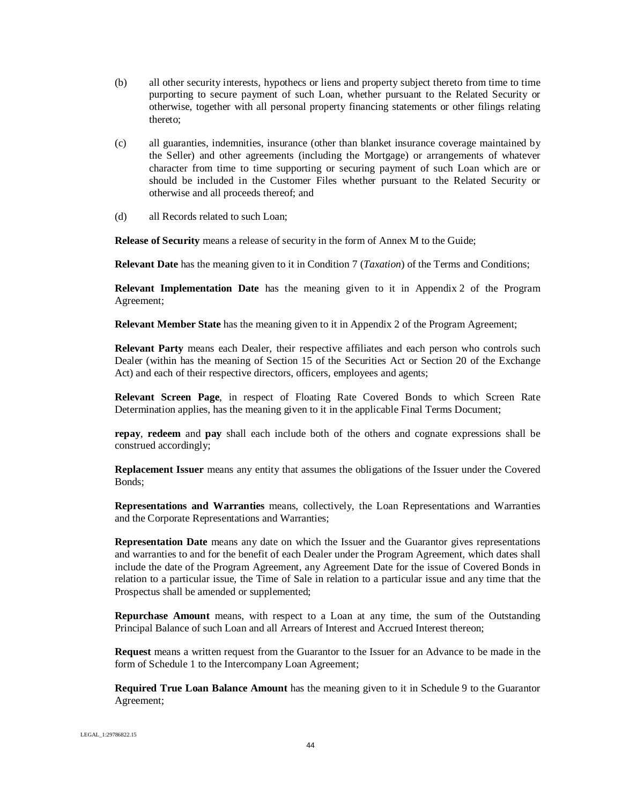- (b) all other security interests, hypothecs or liens and property subject thereto from time to time purporting to secure payment of such Loan, whether pursuant to the Related Security or otherwise, together with all personal property financing statements or other filings relating thereto;
- (c) all guaranties, indemnities, insurance (other than blanket insurance coverage maintained by the Seller) and other agreements (including the Mortgage) or arrangements of whatever character from time to time supporting or securing payment of such Loan which are or should be included in the Customer Files whether pursuant to the Related Security or otherwise and all proceeds thereof; and
- (d) all Records related to such Loan;

**Release of Security** means a release of security in the form of Annex M to the Guide;

**Relevant Date** has the meaning given to it in Condition 7 (*Taxation*) of the Terms and Conditions;

**Relevant Implementation Date** has the meaning given to it in Appendix 2 of the Program Agreement;

**Relevant Member State** has the meaning given to it in Appendix 2 of the Program Agreement;

**Relevant Party** means each Dealer, their respective affiliates and each person who controls such Dealer (within has the meaning of Section 15 of the Securities Act or Section 20 of the Exchange Act) and each of their respective directors, officers, employees and agents;

**Relevant Screen Page**, in respect of Floating Rate Covered Bonds to which Screen Rate Determination applies, has the meaning given to it in the applicable Final Terms Document;

**repay**, **redeem** and **pay** shall each include both of the others and cognate expressions shall be construed accordingly;

**Replacement Issuer** means any entity that assumes the obligations of the Issuer under the Covered Bonds;

**Representations and Warranties** means, collectively, the Loan Representations and Warranties and the Corporate Representations and Warranties;

**Representation Date** means any date on which the Issuer and the Guarantor gives representations and warranties to and for the benefit of each Dealer under the Program Agreement, which dates shall include the date of the Program Agreement, any Agreement Date for the issue of Covered Bonds in relation to a particular issue, the Time of Sale in relation to a particular issue and any time that the Prospectus shall be amended or supplemented;

**Repurchase Amount** means, with respect to a Loan at any time, the sum of the Outstanding Principal Balance of such Loan and all Arrears of Interest and Accrued Interest thereon;

**Request** means a written request from the Guarantor to the Issuer for an Advance to be made in the form of Schedule 1 to the Intercompany Loan Agreement;

**Required True Loan Balance Amount** has the meaning given to it in Schedule 9 to the Guarantor Agreement;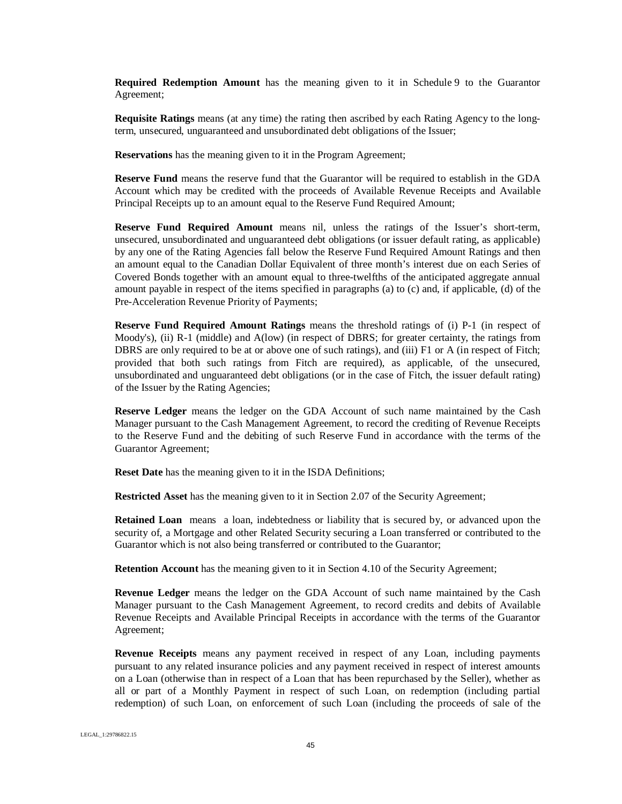**Required Redemption Amount** has the meaning given to it in Schedule 9 to the Guarantor Agreement;

**Requisite Ratings** means (at any time) the rating then ascribed by each Rating Agency to the longterm, unsecured, unguaranteed and unsubordinated debt obligations of the Issuer;

**Reservations** has the meaning given to it in the Program Agreement;

**Reserve Fund** means the reserve fund that the Guarantor will be required to establish in the GDA Account which may be credited with the proceeds of Available Revenue Receipts and Available Principal Receipts up to an amount equal to the Reserve Fund Required Amount;

**Reserve Fund Required Amount** means nil, unless the ratings of the Issuer's short-term, unsecured, unsubordinated and unguaranteed debt obligations (or issuer default rating, as applicable) by any one of the Rating Agencies fall below the Reserve Fund Required Amount Ratings and then an amount equal to the Canadian Dollar Equivalent of three month's interest due on each Series of Covered Bonds together with an amount equal to three-twelfths of the anticipated aggregate annual amount payable in respect of the items specified in paragraphs (a) to (c) and, if applicable, (d) of the Pre-Acceleration Revenue Priority of Payments;

**Reserve Fund Required Amount Ratings** means the threshold ratings of (i) P-1 (in respect of Moody's), (ii) R-1 (middle) and A(low) (in respect of DBRS; for greater certainty, the ratings from DBRS are only required to be at or above one of such ratings), and (iii) F1 or A (in respect of Fitch; provided that both such ratings from Fitch are required), as applicable, of the unsecured, unsubordinated and unguaranteed debt obligations (or in the case of Fitch, the issuer default rating) of the Issuer by the Rating Agencies;

**Reserve Ledger** means the ledger on the GDA Account of such name maintained by the Cash Manager pursuant to the Cash Management Agreement, to record the crediting of Revenue Receipts to the Reserve Fund and the debiting of such Reserve Fund in accordance with the terms of the Guarantor Agreement;

**Reset Date** has the meaning given to it in the ISDA Definitions;

**Restricted Asset** has the meaning given to it in Section 2.07 of the Security Agreement;

**Retained Loan** means a loan, indebtedness or liability that is secured by, or advanced upon the security of, a Mortgage and other Related Security securing a Loan transferred or contributed to the Guarantor which is not also being transferred or contributed to the Guarantor;

**Retention Account** has the meaning given to it in Section 4.10 of the Security Agreement;

**Revenue Ledger** means the ledger on the GDA Account of such name maintained by the Cash Manager pursuant to the Cash Management Agreement, to record credits and debits of Available Revenue Receipts and Available Principal Receipts in accordance with the terms of the Guarantor Agreement;

**Revenue Receipts** means any payment received in respect of any Loan, including payments pursuant to any related insurance policies and any payment received in respect of interest amounts on a Loan (otherwise than in respect of a Loan that has been repurchased by the Seller), whether as all or part of a Monthly Payment in respect of such Loan, on redemption (including partial redemption) of such Loan, on enforcement of such Loan (including the proceeds of sale of the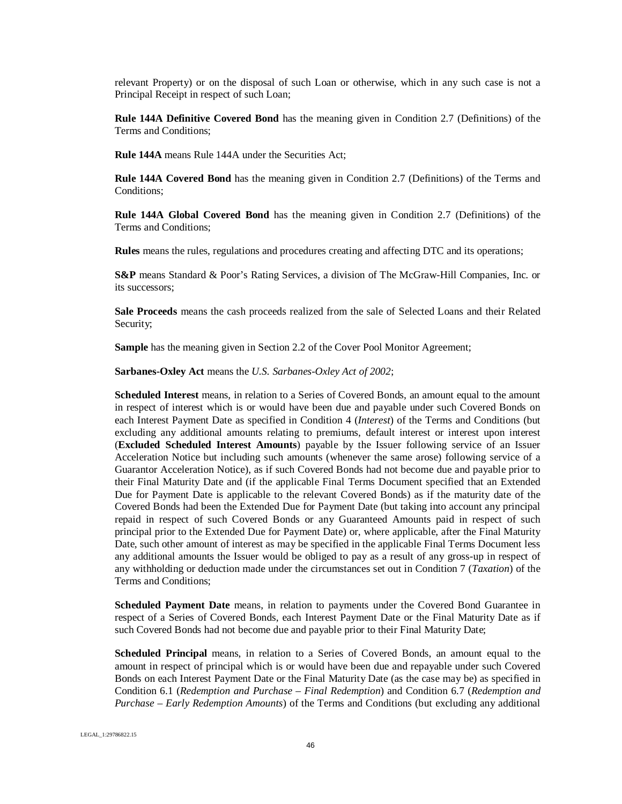relevant Property) or on the disposal of such Loan or otherwise, which in any such case is not a Principal Receipt in respect of such Loan;

**Rule 144A Definitive Covered Bond** has the meaning given in Condition 2.7 (Definitions) of the Terms and Conditions;

**Rule 144A** means Rule 144A under the Securities Act;

**Rule 144A Covered Bond** has the meaning given in Condition 2.7 (Definitions) of the Terms and Conditions;

**Rule 144A Global Covered Bond** has the meaning given in Condition 2.7 (Definitions) of the Terms and Conditions;

**Rules** means the rules, regulations and procedures creating and affecting DTC and its operations;

**S&P** means Standard & Poor's Rating Services, a division of The McGraw-Hill Companies, Inc. or its successors;

**Sale Proceeds** means the cash proceeds realized from the sale of Selected Loans and their Related Security;

**Sample** has the meaning given in Section 2.2 of the Cover Pool Monitor Agreement;

**Sarbanes-Oxley Act** means the *U.S. Sarbanes-Oxley Act of 2002*;

**Scheduled Interest** means, in relation to a Series of Covered Bonds, an amount equal to the amount in respect of interest which is or would have been due and payable under such Covered Bonds on each Interest Payment Date as specified in Condition 4 (*Interest*) of the Terms and Conditions (but excluding any additional amounts relating to premiums, default interest or interest upon interest (**Excluded Scheduled Interest Amounts**) payable by the Issuer following service of an Issuer Acceleration Notice but including such amounts (whenever the same arose) following service of a Guarantor Acceleration Notice), as if such Covered Bonds had not become due and payable prior to their Final Maturity Date and (if the applicable Final Terms Document specified that an Extended Due for Payment Date is applicable to the relevant Covered Bonds) as if the maturity date of the Covered Bonds had been the Extended Due for Payment Date (but taking into account any principal repaid in respect of such Covered Bonds or any Guaranteed Amounts paid in respect of such principal prior to the Extended Due for Payment Date) or, where applicable, after the Final Maturity Date, such other amount of interest as may be specified in the applicable Final Terms Document less any additional amounts the Issuer would be obliged to pay as a result of any gross-up in respect of any withholding or deduction made under the circumstances set out in Condition 7 (*Taxation*) of the Terms and Conditions;

**Scheduled Payment Date** means, in relation to payments under the Covered Bond Guarantee in respect of a Series of Covered Bonds, each Interest Payment Date or the Final Maturity Date as if such Covered Bonds had not become due and payable prior to their Final Maturity Date;

**Scheduled Principal** means, in relation to a Series of Covered Bonds, an amount equal to the amount in respect of principal which is or would have been due and repayable under such Covered Bonds on each Interest Payment Date or the Final Maturity Date (as the case may be) as specified in Condition 6.1 (*Redemption and Purchase – Final Redemption*) and Condition 6.7 (*Redemption and Purchase – Early Redemption Amounts*) of the Terms and Conditions (but excluding any additional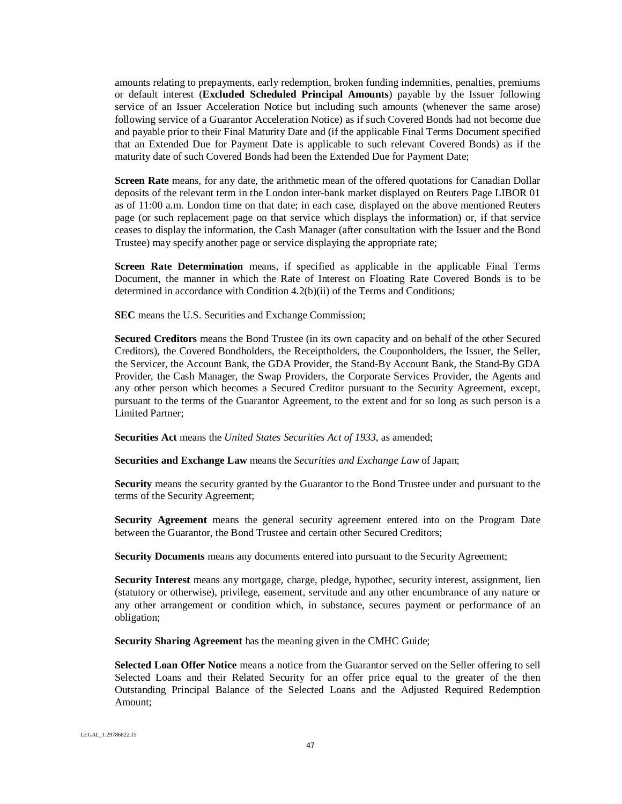amounts relating to prepayments, early redemption, broken funding indemnities, penalties, premiums or default interest (**Excluded Scheduled Principal Amounts**) payable by the Issuer following service of an Issuer Acceleration Notice but including such amounts (whenever the same arose) following service of a Guarantor Acceleration Notice) as if such Covered Bonds had not become due and payable prior to their Final Maturity Date and (if the applicable Final Terms Document specified that an Extended Due for Payment Date is applicable to such relevant Covered Bonds) as if the maturity date of such Covered Bonds had been the Extended Due for Payment Date;

**Screen Rate** means, for any date, the arithmetic mean of the offered quotations for Canadian Dollar deposits of the relevant term in the London inter-bank market displayed on Reuters Page LIBOR 01 as of 11:00 a.m. London time on that date; in each case, displayed on the above mentioned Reuters page (or such replacement page on that service which displays the information) or, if that service ceases to display the information, the Cash Manager (after consultation with the Issuer and the Bond Trustee) may specify another page or service displaying the appropriate rate;

**Screen Rate Determination** means, if specified as applicable in the applicable Final Terms Document, the manner in which the Rate of Interest on Floating Rate Covered Bonds is to be determined in accordance with Condition 4.2(b)(ii) of the Terms and Conditions;

**SEC** means the U.S. Securities and Exchange Commission;

**Secured Creditors** means the Bond Trustee (in its own capacity and on behalf of the other Secured Creditors), the Covered Bondholders, the Receiptholders, the Couponholders, the Issuer, the Seller, the Servicer, the Account Bank, the GDA Provider, the Stand-By Account Bank, the Stand-By GDA Provider, the Cash Manager, the Swap Providers, the Corporate Services Provider, the Agents and any other person which becomes a Secured Creditor pursuant to the Security Agreement, except, pursuant to the terms of the Guarantor Agreement, to the extent and for so long as such person is a Limited Partner;

**Securities Act** means the *United States Securities Act of 1933*, as amended;

**Securities and Exchange Law** means the *Securities and Exchange Law* of Japan;

**Security** means the security granted by the Guarantor to the Bond Trustee under and pursuant to the terms of the Security Agreement;

**Security Agreement** means the general security agreement entered into on the Program Date between the Guarantor, the Bond Trustee and certain other Secured Creditors;

**Security Documents** means any documents entered into pursuant to the Security Agreement;

**Security Interest** means any mortgage, charge, pledge, hypothec, security interest, assignment, lien (statutory or otherwise), privilege, easement, servitude and any other encumbrance of any nature or any other arrangement or condition which, in substance, secures payment or performance of an obligation;

**Security Sharing Agreement** has the meaning given in the CMHC Guide;

**Selected Loan Offer Notice** means a notice from the Guarantor served on the Seller offering to sell Selected Loans and their Related Security for an offer price equal to the greater of the then Outstanding Principal Balance of the Selected Loans and the Adjusted Required Redemption Amount;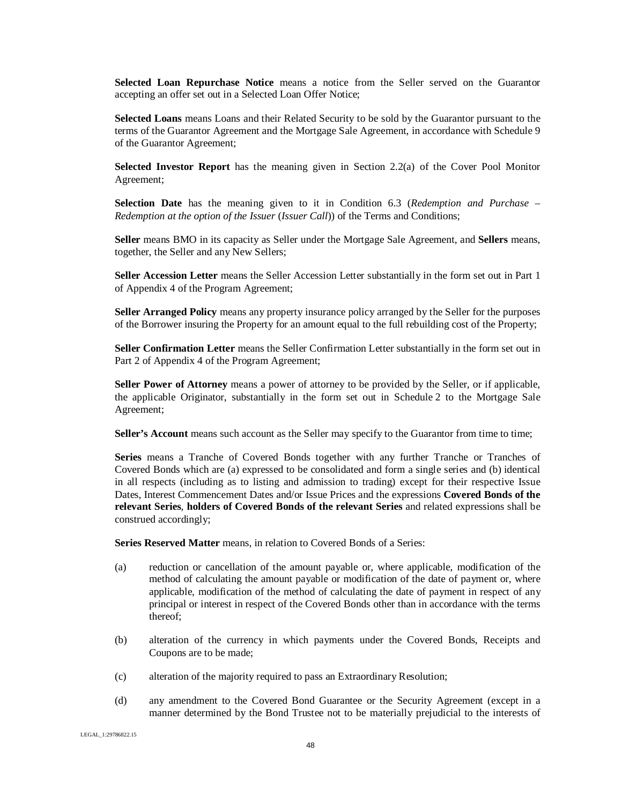**Selected Loan Repurchase Notice** means a notice from the Seller served on the Guarantor accepting an offer set out in a Selected Loan Offer Notice;

**Selected Loans** means Loans and their Related Security to be sold by the Guarantor pursuant to the terms of the Guarantor Agreement and the Mortgage Sale Agreement, in accordance with Schedule 9 of the Guarantor Agreement;

**Selected Investor Report** has the meaning given in Section 2.2(a) of the Cover Pool Monitor Agreement;

**Selection Date** has the meaning given to it in Condition 6.3 (*Redemption and Purchase – Redemption at the option of the Issuer* (*Issuer Call*)) of the Terms and Conditions;

**Seller** means BMO in its capacity as Seller under the Mortgage Sale Agreement, and **Sellers** means, together, the Seller and any New Sellers;

**Seller Accession Letter** means the Seller Accession Letter substantially in the form set out in Part 1 of Appendix 4 of the Program Agreement;

**Seller Arranged Policy** means any property insurance policy arranged by the Seller for the purposes of the Borrower insuring the Property for an amount equal to the full rebuilding cost of the Property;

**Seller Confirmation Letter** means the Seller Confirmation Letter substantially in the form set out in Part 2 of Appendix 4 of the Program Agreement;

**Seller Power of Attorney** means a power of attorney to be provided by the Seller, or if applicable, the applicable Originator, substantially in the form set out in Schedule 2 to the Mortgage Sale Agreement;

**Seller's Account** means such account as the Seller may specify to the Guarantor from time to time;

Series means a Tranche of Covered Bonds together with any further Tranche or Tranches of Covered Bonds which are (a) expressed to be consolidated and form a single series and (b) identical in all respects (including as to listing and admission to trading) except for their respective Issue Dates, Interest Commencement Dates and/or Issue Prices and the expressions **Covered Bonds of the relevant Series**, **holders of Covered Bonds of the relevant Series** and related expressions shall be construed accordingly;

**Series Reserved Matter** means, in relation to Covered Bonds of a Series:

- (a) reduction or cancellation of the amount payable or, where applicable, modification of the method of calculating the amount payable or modification of the date of payment or, where applicable, modification of the method of calculating the date of payment in respect of any principal or interest in respect of the Covered Bonds other than in accordance with the terms thereof;
- (b) alteration of the currency in which payments under the Covered Bonds, Receipts and Coupons are to be made;
- (c) alteration of the majority required to pass an Extraordinary Resolution;
- (d) any amendment to the Covered Bond Guarantee or the Security Agreement (except in a manner determined by the Bond Trustee not to be materially prejudicial to the interests of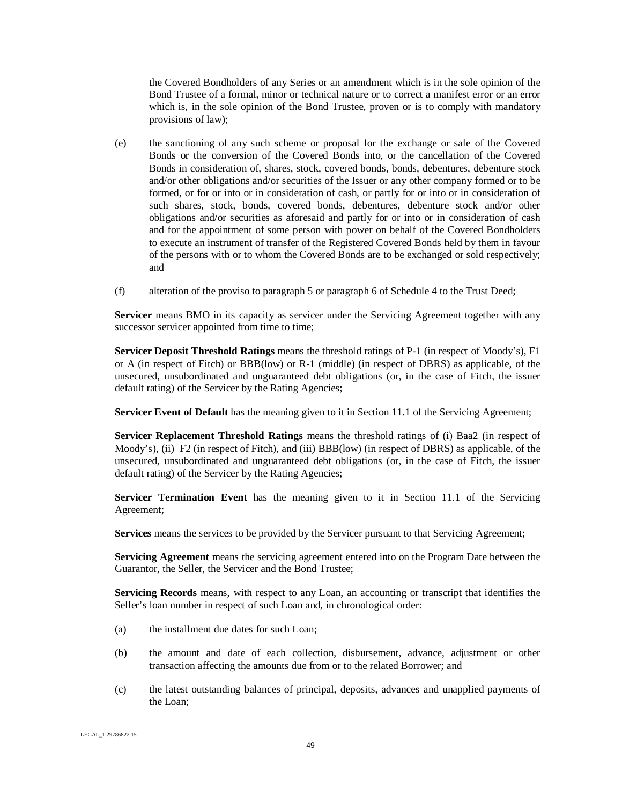the Covered Bondholders of any Series or an amendment which is in the sole opinion of the Bond Trustee of a formal, minor or technical nature or to correct a manifest error or an error which is, in the sole opinion of the Bond Trustee, proven or is to comply with mandatory provisions of law);

- (e) the sanctioning of any such scheme or proposal for the exchange or sale of the Covered Bonds or the conversion of the Covered Bonds into, or the cancellation of the Covered Bonds in consideration of, shares, stock, covered bonds, bonds, debentures, debenture stock and/or other obligations and/or securities of the Issuer or any other company formed or to be formed, or for or into or in consideration of cash, or partly for or into or in consideration of such shares, stock, bonds, covered bonds, debentures, debenture stock and/or other obligations and/or securities as aforesaid and partly for or into or in consideration of cash and for the appointment of some person with power on behalf of the Covered Bondholders to execute an instrument of transfer of the Registered Covered Bonds held by them in favour of the persons with or to whom the Covered Bonds are to be exchanged or sold respectively; and
- (f) alteration of the proviso to paragraph 5 or paragraph 6 of Schedule 4 to the Trust Deed;

**Servicer** means BMO in its capacity as servicer under the Servicing Agreement together with any successor servicer appointed from time to time;

**Servicer Deposit Threshold Ratings** means the threshold ratings of P-1 (in respect of Moody's), F1 or A (in respect of Fitch) or BBB(low) or R-1 (middle) (in respect of DBRS) as applicable, of the unsecured, unsubordinated and unguaranteed debt obligations (or, in the case of Fitch, the issuer default rating) of the Servicer by the Rating Agencies;

**Servicer Event of Default** has the meaning given to it in Section 11.1 of the Servicing Agreement;

**Servicer Replacement Threshold Ratings** means the threshold ratings of (i) Baa2 (in respect of Moody's), (ii) F2 (in respect of Fitch), and (iii) BBB(low) (in respect of DBRS) as applicable, of the unsecured, unsubordinated and unguaranteed debt obligations (or, in the case of Fitch, the issuer default rating) of the Servicer by the Rating Agencies;

**Servicer Termination Event** has the meaning given to it in Section 11.1 of the Servicing Agreement;

**Services** means the services to be provided by the Servicer pursuant to that Servicing Agreement;

**Servicing Agreement** means the servicing agreement entered into on the Program Date between the Guarantor, the Seller, the Servicer and the Bond Trustee;

**Servicing Records** means, with respect to any Loan, an accounting or transcript that identifies the Seller's loan number in respect of such Loan and, in chronological order:

- (a) the installment due dates for such Loan;
- (b) the amount and date of each collection, disbursement, advance, adjustment or other transaction affecting the amounts due from or to the related Borrower; and
- (c) the latest outstanding balances of principal, deposits, advances and unapplied payments of the Loan;

LEGAL\_1:29786822.15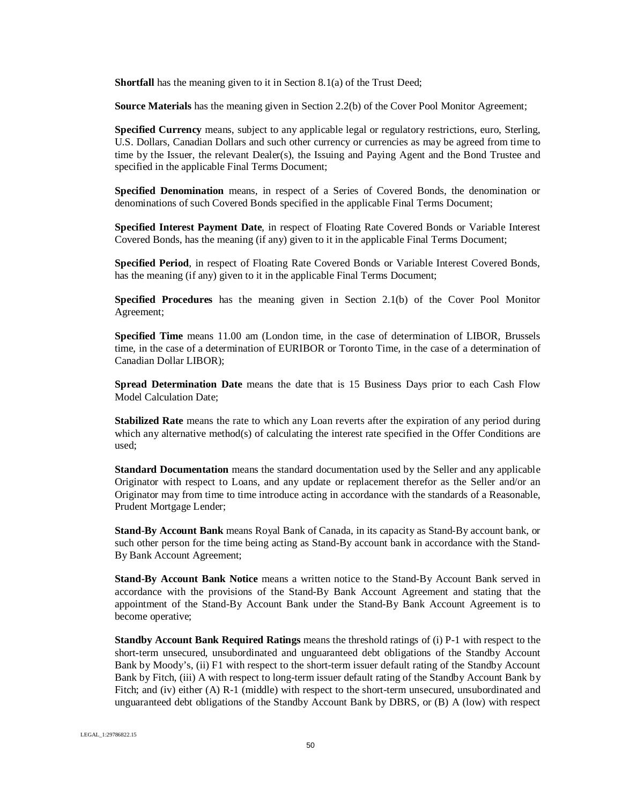**Shortfall** has the meaning given to it in Section 8.1(a) of the Trust Deed;

**Source Materials** has the meaning given in Section 2.2(b) of the Cover Pool Monitor Agreement;

**Specified Currency** means, subject to any applicable legal or regulatory restrictions, euro, Sterling, U.S. Dollars, Canadian Dollars and such other currency or currencies as may be agreed from time to time by the Issuer, the relevant Dealer(s), the Issuing and Paying Agent and the Bond Trustee and specified in the applicable Final Terms Document;

**Specified Denomination** means, in respect of a Series of Covered Bonds, the denomination or denominations of such Covered Bonds specified in the applicable Final Terms Document;

**Specified Interest Payment Date**, in respect of Floating Rate Covered Bonds or Variable Interest Covered Bonds, has the meaning (if any) given to it in the applicable Final Terms Document;

**Specified Period**, in respect of Floating Rate Covered Bonds or Variable Interest Covered Bonds, has the meaning (if any) given to it in the applicable Final Terms Document;

**Specified Procedures** has the meaning given in Section 2.1(b) of the Cover Pool Monitor Agreement;

**Specified Time** means 11.00 am (London time, in the case of determination of LIBOR, Brussels time, in the case of a determination of EURIBOR or Toronto Time, in the case of a determination of Canadian Dollar LIBOR);

**Spread Determination Date** means the date that is 15 Business Days prior to each Cash Flow Model Calculation Date;

**Stabilized Rate** means the rate to which any Loan reverts after the expiration of any period during which any alternative method(s) of calculating the interest rate specified in the Offer Conditions are used;

**Standard Documentation** means the standard documentation used by the Seller and any applicable Originator with respect to Loans, and any update or replacement therefor as the Seller and/or an Originator may from time to time introduce acting in accordance with the standards of a Reasonable, Prudent Mortgage Lender;

**Stand-By Account Bank** means Royal Bank of Canada, in its capacity as Stand-By account bank, or such other person for the time being acting as Stand-By account bank in accordance with the Stand-By Bank Account Agreement;

**Stand-By Account Bank Notice** means a written notice to the Stand-By Account Bank served in accordance with the provisions of the Stand-By Bank Account Agreement and stating that the appointment of the Stand-By Account Bank under the Stand-By Bank Account Agreement is to become operative;

**Standby Account Bank Required Ratings** means the threshold ratings of (i) P-1 with respect to the short-term unsecured, unsubordinated and unguaranteed debt obligations of the Standby Account Bank by Moody's, (ii) F1 with respect to the short-term issuer default rating of the Standby Account Bank by Fitch, (iii) A with respect to long-term issuer default rating of the Standby Account Bank by Fitch; and (iv) either (A) R-1 (middle) with respect to the short-term unsecured, unsubordinated and unguaranteed debt obligations of the Standby Account Bank by DBRS, or (B) A (low) with respect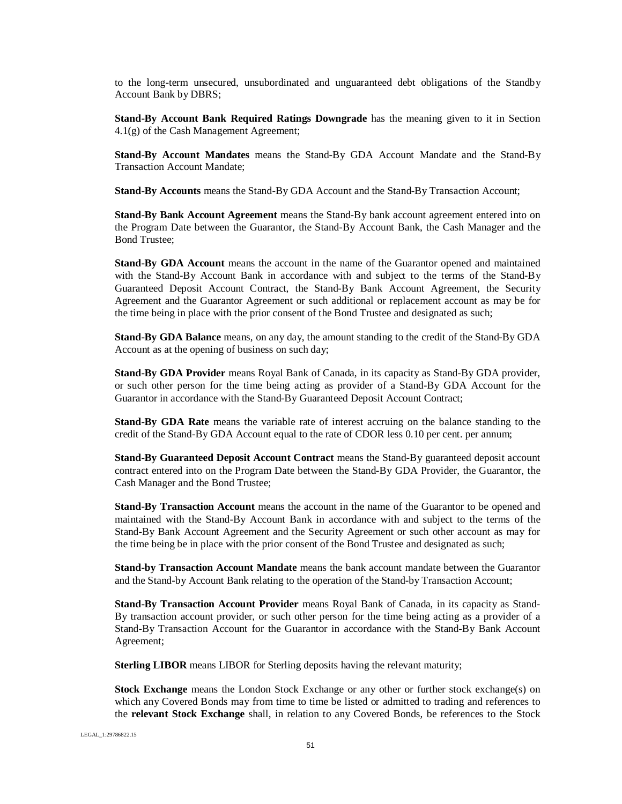to the long-term unsecured, unsubordinated and unguaranteed debt obligations of the Standby Account Bank by DBRS;

**Stand-By Account Bank Required Ratings Downgrade** has the meaning given to it in Section 4.1(g) of the Cash Management Agreement;

**Stand-By Account Mandates** means the Stand-By GDA Account Mandate and the Stand-By Transaction Account Mandate;

**Stand-By Accounts** means the Stand-By GDA Account and the Stand-By Transaction Account;

**Stand-By Bank Account Agreement** means the Stand-By bank account agreement entered into on the Program Date between the Guarantor, the Stand-By Account Bank, the Cash Manager and the Bond Trustee;

**Stand-By GDA Account** means the account in the name of the Guarantor opened and maintained with the Stand-By Account Bank in accordance with and subject to the terms of the Stand-By Guaranteed Deposit Account Contract, the Stand-By Bank Account Agreement, the Security Agreement and the Guarantor Agreement or such additional or replacement account as may be for the time being in place with the prior consent of the Bond Trustee and designated as such;

**Stand-By GDA Balance** means, on any day, the amount standing to the credit of the Stand-By GDA Account as at the opening of business on such day;

**Stand-By GDA Provider** means Royal Bank of Canada, in its capacity as Stand-By GDA provider, or such other person for the time being acting as provider of a Stand-By GDA Account for the Guarantor in accordance with the Stand-By Guaranteed Deposit Account Contract;

**Stand-By GDA Rate** means the variable rate of interest accruing on the balance standing to the credit of the Stand-By GDA Account equal to the rate of CDOR less 0.10 per cent. per annum;

**Stand-By Guaranteed Deposit Account Contract** means the Stand-By guaranteed deposit account contract entered into on the Program Date between the Stand-By GDA Provider, the Guarantor, the Cash Manager and the Bond Trustee;

**Stand-By Transaction Account** means the account in the name of the Guarantor to be opened and maintained with the Stand-By Account Bank in accordance with and subject to the terms of the Stand-By Bank Account Agreement and the Security Agreement or such other account as may for the time being be in place with the prior consent of the Bond Trustee and designated as such;

**Stand-by Transaction Account Mandate** means the bank account mandate between the Guarantor and the Stand-by Account Bank relating to the operation of the Stand-by Transaction Account;

**Stand-By Transaction Account Provider** means Royal Bank of Canada, in its capacity as Stand-By transaction account provider, or such other person for the time being acting as a provider of a Stand-By Transaction Account for the Guarantor in accordance with the Stand-By Bank Account Agreement;

**Sterling LIBOR** means LIBOR for Sterling deposits having the relevant maturity;

**Stock Exchange** means the London Stock Exchange or any other or further stock exchange(s) on which any Covered Bonds may from time to time be listed or admitted to trading and references to the **relevant Stock Exchange** shall, in relation to any Covered Bonds, be references to the Stock

LEGAL\_1:29786822.15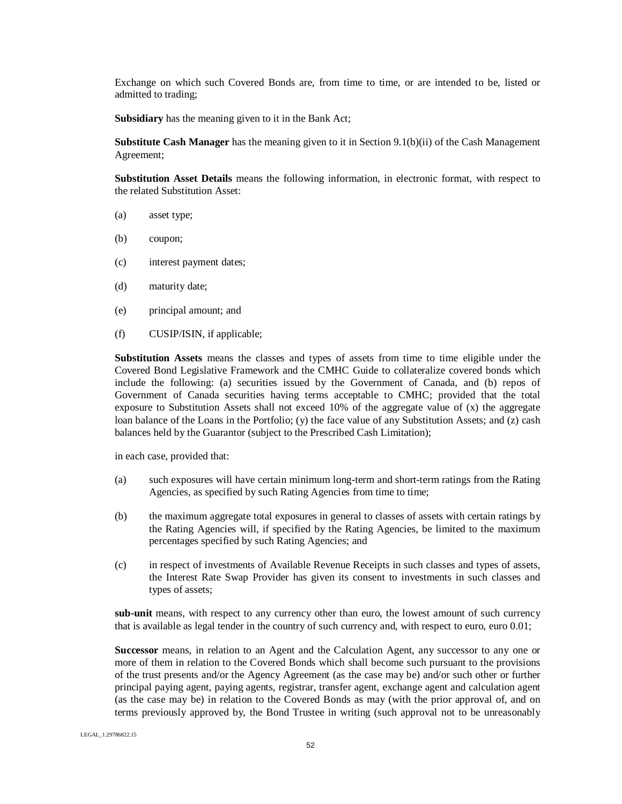Exchange on which such Covered Bonds are, from time to time, or are intended to be, listed or admitted to trading;

**Subsidiary** has the meaning given to it in the Bank Act;

**Substitute Cash Manager** has the meaning given to it in Section 9.1(b)(ii) of the Cash Management Agreement;

**Substitution Asset Details** means the following information, in electronic format, with respect to the related Substitution Asset:

- (a) asset type;
- (b) coupon;
- (c) interest payment dates;
- (d) maturity date;
- (e) principal amount; and
- (f) CUSIP/ISIN, if applicable;

**Substitution Assets** means the classes and types of assets from time to time eligible under the Covered Bond Legislative Framework and the CMHC Guide to collateralize covered bonds which include the following: (a) securities issued by the Government of Canada, and (b) repos of Government of Canada securities having terms acceptable to CMHC; provided that the total exposure to Substitution Assets shall not exceed 10% of the aggregate value of (x) the aggregate loan balance of the Loans in the Portfolio; (y) the face value of any Substitution Assets; and (z) cash balances held by the Guarantor (subject to the Prescribed Cash Limitation);

in each case, provided that:

- (a) such exposures will have certain minimum long-term and short-term ratings from the Rating Agencies, as specified by such Rating Agencies from time to time;
- (b) the maximum aggregate total exposures in general to classes of assets with certain ratings by the Rating Agencies will, if specified by the Rating Agencies, be limited to the maximum percentages specified by such Rating Agencies; and
- (c) in respect of investments of Available Revenue Receipts in such classes and types of assets, the Interest Rate Swap Provider has given its consent to investments in such classes and types of assets;

**sub-unit** means, with respect to any currency other than euro, the lowest amount of such currency that is available as legal tender in the country of such currency and, with respect to euro, euro 0.01;

**Successor** means, in relation to an Agent and the Calculation Agent, any successor to any one or more of them in relation to the Covered Bonds which shall become such pursuant to the provisions of the trust presents and/or the Agency Agreement (as the case may be) and/or such other or further principal paying agent, paying agents, registrar, transfer agent, exchange agent and calculation agent (as the case may be) in relation to the Covered Bonds as may (with the prior approval of, and on terms previously approved by, the Bond Trustee in writing (such approval not to be unreasonably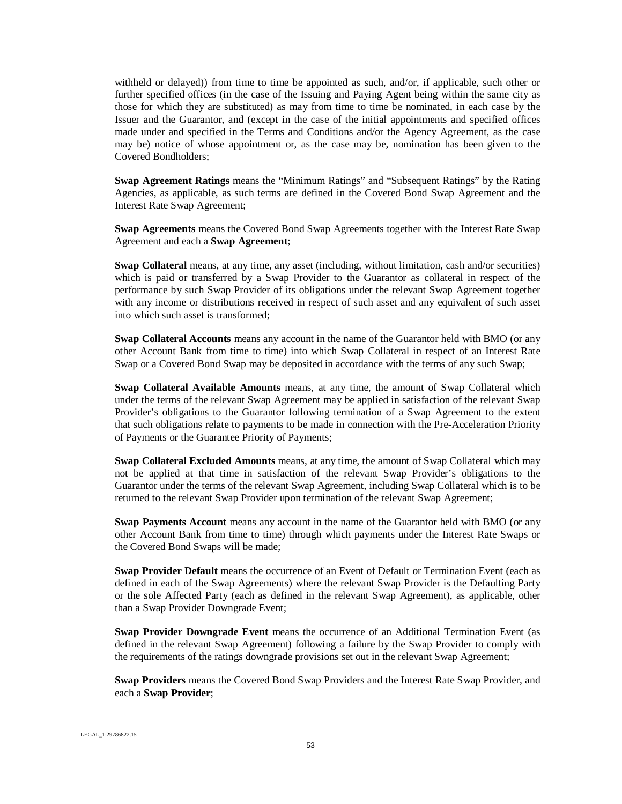withheld or delayed)) from time to time be appointed as such, and/or, if applicable, such other or further specified offices (in the case of the Issuing and Paying Agent being within the same city as those for which they are substituted) as may from time to time be nominated, in each case by the Issuer and the Guarantor, and (except in the case of the initial appointments and specified offices made under and specified in the Terms and Conditions and/or the Agency Agreement, as the case may be) notice of whose appointment or, as the case may be, nomination has been given to the Covered Bondholders;

**Swap Agreement Ratings** means the "Minimum Ratings" and "Subsequent Ratings" by the Rating Agencies, as applicable, as such terms are defined in the Covered Bond Swap Agreement and the Interest Rate Swap Agreement;

**Swap Agreements** means the Covered Bond Swap Agreements together with the Interest Rate Swap Agreement and each a **Swap Agreement**;

**Swap Collateral** means, at any time, any asset (including, without limitation, cash and/or securities) which is paid or transferred by a Swap Provider to the Guarantor as collateral in respect of the performance by such Swap Provider of its obligations under the relevant Swap Agreement together with any income or distributions received in respect of such asset and any equivalent of such asset into which such asset is transformed;

**Swap Collateral Accounts** means any account in the name of the Guarantor held with BMO (or any other Account Bank from time to time) into which Swap Collateral in respect of an Interest Rate Swap or a Covered Bond Swap may be deposited in accordance with the terms of any such Swap;

**Swap Collateral Available Amounts** means, at any time, the amount of Swap Collateral which under the terms of the relevant Swap Agreement may be applied in satisfaction of the relevant Swap Provider's obligations to the Guarantor following termination of a Swap Agreement to the extent that such obligations relate to payments to be made in connection with the Pre-Acceleration Priority of Payments or the Guarantee Priority of Payments;

**Swap Collateral Excluded Amounts** means, at any time, the amount of Swap Collateral which may not be applied at that time in satisfaction of the relevant Swap Provider's obligations to the Guarantor under the terms of the relevant Swap Agreement, including Swap Collateral which is to be returned to the relevant Swap Provider upon termination of the relevant Swap Agreement;

**Swap Payments Account** means any account in the name of the Guarantor held with BMO (or any other Account Bank from time to time) through which payments under the Interest Rate Swaps or the Covered Bond Swaps will be made;

**Swap Provider Default** means the occurrence of an Event of Default or Termination Event (each as defined in each of the Swap Agreements) where the relevant Swap Provider is the Defaulting Party or the sole Affected Party (each as defined in the relevant Swap Agreement), as applicable, other than a Swap Provider Downgrade Event;

**Swap Provider Downgrade Event** means the occurrence of an Additional Termination Event (as defined in the relevant Swap Agreement) following a failure by the Swap Provider to comply with the requirements of the ratings downgrade provisions set out in the relevant Swap Agreement;

**Swap Providers** means the Covered Bond Swap Providers and the Interest Rate Swap Provider, and each a **Swap Provider**;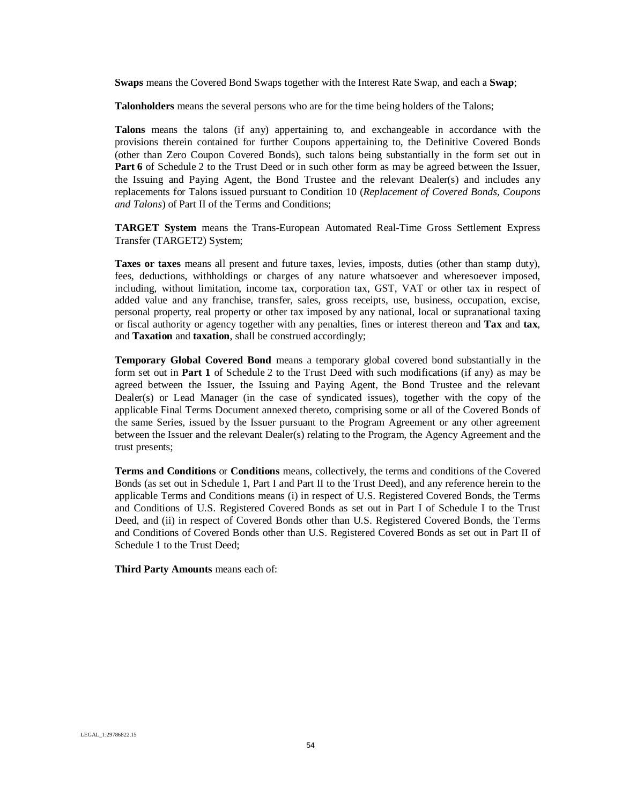**Swaps** means the Covered Bond Swaps together with the Interest Rate Swap, and each a **Swap**;

**Talonholders** means the several persons who are for the time being holders of the Talons;

**Talons** means the talons (if any) appertaining to, and exchangeable in accordance with the provisions therein contained for further Coupons appertaining to, the Definitive Covered Bonds (other than Zero Coupon Covered Bonds), such talons being substantially in the form set out in **Part 6** of Schedule 2 to the Trust Deed or in such other form as may be agreed between the Issuer, the Issuing and Paying Agent, the Bond Trustee and the relevant Dealer(s) and includes any replacements for Talons issued pursuant to Condition 10 (*Replacement of Covered Bonds, Coupons and Talons*) of Part II of the Terms and Conditions;

**TARGET System** means the Trans-European Automated Real-Time Gross Settlement Express Transfer (TARGET2) System;

**Taxes or taxes** means all present and future taxes, levies, imposts, duties (other than stamp duty), fees, deductions, withholdings or charges of any nature whatsoever and wheresoever imposed, including, without limitation, income tax, corporation tax, GST, VAT or other tax in respect of added value and any franchise, transfer, sales, gross receipts, use, business, occupation, excise, personal property, real property or other tax imposed by any national, local or supranational taxing or fiscal authority or agency together with any penalties, fines or interest thereon and **Tax** and **tax**, and **Taxation** and **taxation**, shall be construed accordingly;

**Temporary Global Covered Bond** means a temporary global covered bond substantially in the form set out in **Part 1** of Schedule 2 to the Trust Deed with such modifications (if any) as may be agreed between the Issuer, the Issuing and Paying Agent, the Bond Trustee and the relevant Dealer(s) or Lead Manager (in the case of syndicated issues), together with the copy of the applicable Final Terms Document annexed thereto, comprising some or all of the Covered Bonds of the same Series, issued by the Issuer pursuant to the Program Agreement or any other agreement between the Issuer and the relevant Dealer(s) relating to the Program, the Agency Agreement and the trust presents;

**Terms and Conditions** or **Conditions** means, collectively, the terms and conditions of the Covered Bonds (as set out in Schedule 1, Part I and Part II to the Trust Deed), and any reference herein to the applicable Terms and Conditions means (i) in respect of U.S. Registered Covered Bonds, the Terms and Conditions of U.S. Registered Covered Bonds as set out in Part I of Schedule I to the Trust Deed, and (ii) in respect of Covered Bonds other than U.S. Registered Covered Bonds, the Terms and Conditions of Covered Bonds other than U.S. Registered Covered Bonds as set out in Part II of Schedule 1 to the Trust Deed;

**Third Party Amounts** means each of: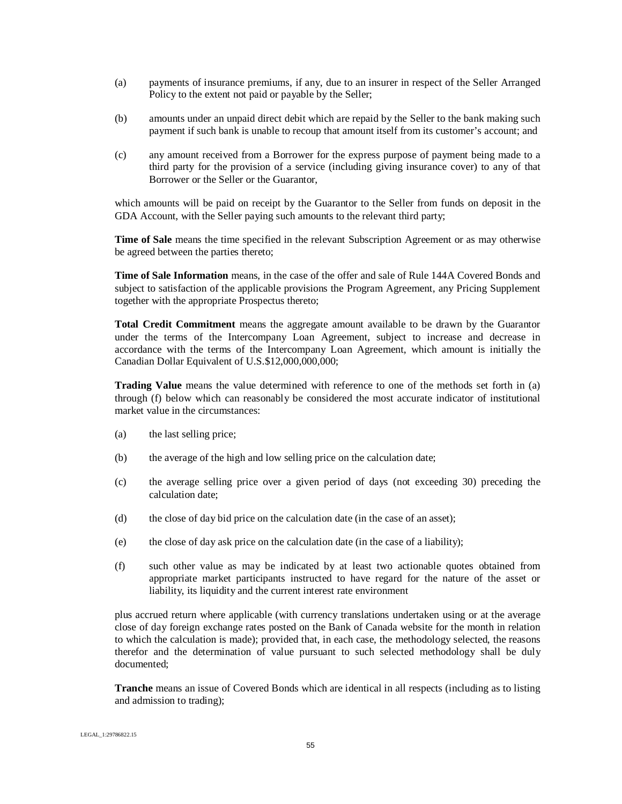- (a) payments of insurance premiums, if any, due to an insurer in respect of the Seller Arranged Policy to the extent not paid or payable by the Seller;
- (b) amounts under an unpaid direct debit which are repaid by the Seller to the bank making such payment if such bank is unable to recoup that amount itself from its customer's account; and
- (c) any amount received from a Borrower for the express purpose of payment being made to a third party for the provision of a service (including giving insurance cover) to any of that Borrower or the Seller or the Guarantor,

which amounts will be paid on receipt by the Guarantor to the Seller from funds on deposit in the GDA Account, with the Seller paying such amounts to the relevant third party;

**Time of Sale** means the time specified in the relevant Subscription Agreement or as may otherwise be agreed between the parties thereto;

**Time of Sale Information** means, in the case of the offer and sale of Rule 144A Covered Bonds and subject to satisfaction of the applicable provisions the Program Agreement, any Pricing Supplement together with the appropriate Prospectus thereto;

**Total Credit Commitment** means the aggregate amount available to be drawn by the Guarantor under the terms of the Intercompany Loan Agreement, subject to increase and decrease in accordance with the terms of the Intercompany Loan Agreement, which amount is initially the Canadian Dollar Equivalent of U.S.\$12,000,000,000;

**Trading Value** means the value determined with reference to one of the methods set forth in (a) through (f) below which can reasonably be considered the most accurate indicator of institutional market value in the circumstances:

- (a) the last selling price;
- (b) the average of the high and low selling price on the calculation date;
- (c) the average selling price over a given period of days (not exceeding 30) preceding the calculation date;
- (d) the close of day bid price on the calculation date (in the case of an asset);
- (e) the close of day ask price on the calculation date (in the case of a liability);
- (f) such other value as may be indicated by at least two actionable quotes obtained from appropriate market participants instructed to have regard for the nature of the asset or liability, its liquidity and the current interest rate environment

plus accrued return where applicable (with currency translations undertaken using or at the average close of day foreign exchange rates posted on the Bank of Canada website for the month in relation to which the calculation is made); provided that, in each case, the methodology selected, the reasons therefor and the determination of value pursuant to such selected methodology shall be duly documented;

**Tranche** means an issue of Covered Bonds which are identical in all respects (including as to listing and admission to trading);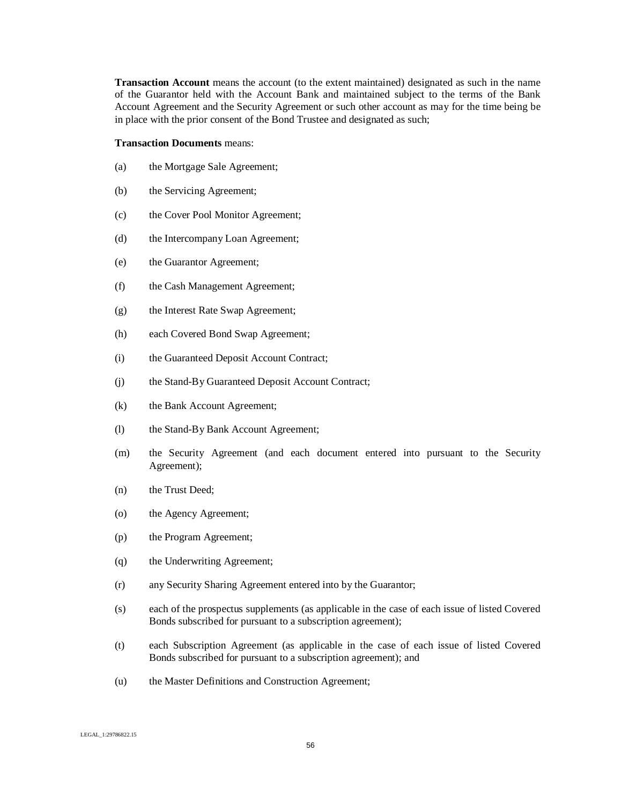**Transaction Account** means the account (to the extent maintained) designated as such in the name of the Guarantor held with the Account Bank and maintained subject to the terms of the Bank Account Agreement and the Security Agreement or such other account as may for the time being be in place with the prior consent of the Bond Trustee and designated as such;

#### **Transaction Documents** means:

- (a) the Mortgage Sale Agreement;
- (b) the Servicing Agreement;
- (c) the Cover Pool Monitor Agreement;
- (d) the Intercompany Loan Agreement;
- (e) the Guarantor Agreement;
- (f) the Cash Management Agreement;
- (g) the Interest Rate Swap Agreement;
- (h) each Covered Bond Swap Agreement;
- (i) the Guaranteed Deposit Account Contract;
- (j) the Stand-By Guaranteed Deposit Account Contract;
- (k) the Bank Account Agreement;
- (l) the Stand-By Bank Account Agreement;
- (m) the Security Agreement (and each document entered into pursuant to the Security Agreement);
- (n) the Trust Deed;
- (o) the Agency Agreement;
- (p) the Program Agreement;
- (q) the Underwriting Agreement;
- (r) any Security Sharing Agreement entered into by the Guarantor;
- (s) each of the prospectus supplements (as applicable in the case of each issue of listed Covered Bonds subscribed for pursuant to a subscription agreement);
- (t) each Subscription Agreement (as applicable in the case of each issue of listed Covered Bonds subscribed for pursuant to a subscription agreement); and
- (u) the Master Definitions and Construction Agreement;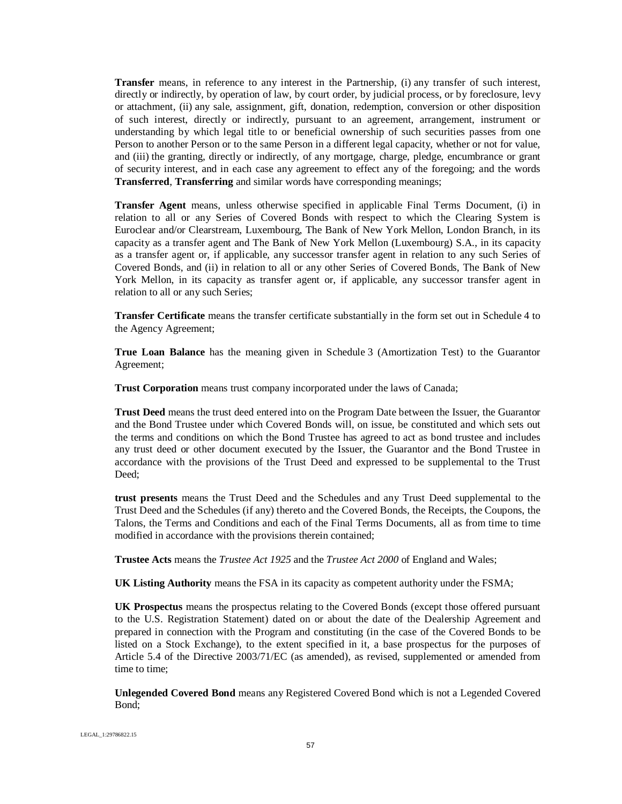**Transfer** means, in reference to any interest in the Partnership, (i) any transfer of such interest, directly or indirectly, by operation of law, by court order, by judicial process, or by foreclosure, levy or attachment, (ii) any sale, assignment, gift, donation, redemption, conversion or other disposition of such interest, directly or indirectly, pursuant to an agreement, arrangement, instrument or understanding by which legal title to or beneficial ownership of such securities passes from one Person to another Person or to the same Person in a different legal capacity, whether or not for value, and (iii) the granting, directly or indirectly, of any mortgage, charge, pledge, encumbrance or grant of security interest, and in each case any agreement to effect any of the foregoing; and the words **Transferred**, **Transferring** and similar words have corresponding meanings;

**Transfer Agent** means, unless otherwise specified in applicable Final Terms Document, (i) in relation to all or any Series of Covered Bonds with respect to which the Clearing System is Euroclear and/or Clearstream, Luxembourg, The Bank of New York Mellon, London Branch, in its capacity as a transfer agent and The Bank of New York Mellon (Luxembourg) S.A., in its capacity as a transfer agent or, if applicable, any successor transfer agent in relation to any such Series of Covered Bonds, and (ii) in relation to all or any other Series of Covered Bonds, The Bank of New York Mellon, in its capacity as transfer agent or, if applicable, any successor transfer agent in relation to all or any such Series;

**Transfer Certificate** means the transfer certificate substantially in the form set out in Schedule 4 to the Agency Agreement;

**True Loan Balance** has the meaning given in Schedule 3 (Amortization Test) to the Guarantor Agreement;

**Trust Corporation** means trust company incorporated under the laws of Canada;

**Trust Deed** means the trust deed entered into on the Program Date between the Issuer, the Guarantor and the Bond Trustee under which Covered Bonds will, on issue, be constituted and which sets out the terms and conditions on which the Bond Trustee has agreed to act as bond trustee and includes any trust deed or other document executed by the Issuer, the Guarantor and the Bond Trustee in accordance with the provisions of the Trust Deed and expressed to be supplemental to the Trust Deed;

**trust presents** means the Trust Deed and the Schedules and any Trust Deed supplemental to the Trust Deed and the Schedules (if any) thereto and the Covered Bonds, the Receipts, the Coupons, the Talons, the Terms and Conditions and each of the Final Terms Documents, all as from time to time modified in accordance with the provisions therein contained;

**Trustee Acts** means the *Trustee Act 1925* and the *Trustee Act 2000* of England and Wales;

**UK Listing Authority** means the FSA in its capacity as competent authority under the FSMA;

**UK Prospectus** means the prospectus relating to the Covered Bonds (except those offered pursuant to the U.S. Registration Statement) dated on or about the date of the Dealership Agreement and prepared in connection with the Program and constituting (in the case of the Covered Bonds to be listed on a Stock Exchange), to the extent specified in it, a base prospectus for the purposes of Article 5.4 of the Directive 2003/71/EC (as amended), as revised, supplemented or amended from time to time;

**Unlegended Covered Bond** means any Registered Covered Bond which is not a Legended Covered Bond;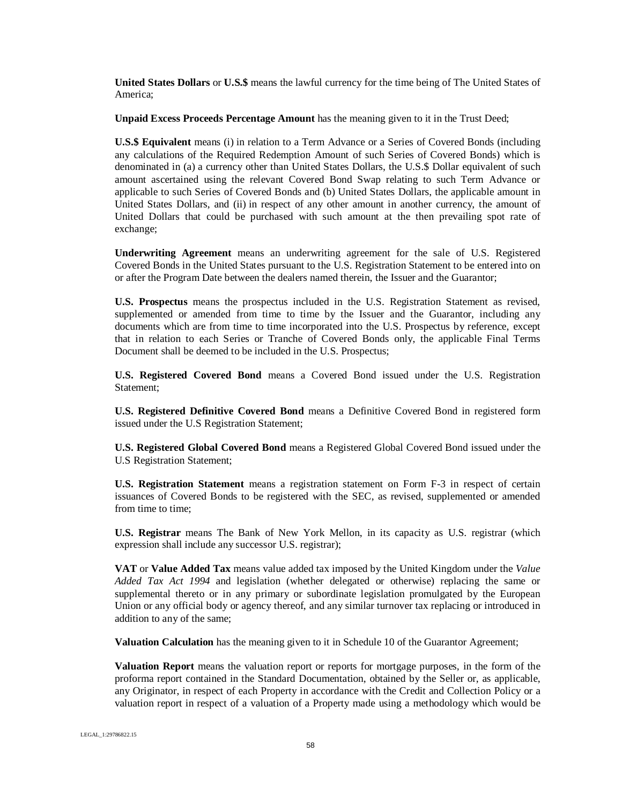**United States Dollars** or **U.S.\$** means the lawful currency for the time being of The United States of America;

**Unpaid Excess Proceeds Percentage Amount** has the meaning given to it in the Trust Deed;

**U.S.\$ Equivalent** means (i) in relation to a Term Advance or a Series of Covered Bonds (including any calculations of the Required Redemption Amount of such Series of Covered Bonds) which is denominated in (a) a currency other than United States Dollars, the U.S.\$ Dollar equivalent of such amount ascertained using the relevant Covered Bond Swap relating to such Term Advance or applicable to such Series of Covered Bonds and (b) United States Dollars, the applicable amount in United States Dollars, and (ii) in respect of any other amount in another currency, the amount of United Dollars that could be purchased with such amount at the then prevailing spot rate of exchange;

**Underwriting Agreement** means an underwriting agreement for the sale of U.S. Registered Covered Bonds in the United States pursuant to the U.S. Registration Statement to be entered into on or after the Program Date between the dealers named therein, the Issuer and the Guarantor;

**U.S. Prospectus** means the prospectus included in the U.S. Registration Statement as revised, supplemented or amended from time to time by the Issuer and the Guarantor, including any documents which are from time to time incorporated into the U.S. Prospectus by reference, except that in relation to each Series or Tranche of Covered Bonds only, the applicable Final Terms Document shall be deemed to be included in the U.S. Prospectus;

**U.S. Registered Covered Bond** means a Covered Bond issued under the U.S. Registration Statement;

**U.S. Registered Definitive Covered Bond** means a Definitive Covered Bond in registered form issued under the U.S Registration Statement;

**U.S. Registered Global Covered Bond** means a Registered Global Covered Bond issued under the U.S Registration Statement;

**U.S. Registration Statement** means a registration statement on Form F-3 in respect of certain issuances of Covered Bonds to be registered with the SEC, as revised, supplemented or amended from time to time;

**U.S. Registrar** means The Bank of New York Mellon, in its capacity as U.S. registrar (which expression shall include any successor U.S. registrar);

**VAT** or **Value Added Tax** means value added tax imposed by the United Kingdom under the *Value Added Tax Act 1994* and legislation (whether delegated or otherwise) replacing the same or supplemental thereto or in any primary or subordinate legislation promulgated by the European Union or any official body or agency thereof, and any similar turnover tax replacing or introduced in addition to any of the same;

**Valuation Calculation** has the meaning given to it in Schedule 10 of the Guarantor Agreement;

**Valuation Report** means the valuation report or reports for mortgage purposes, in the form of the proforma report contained in the Standard Documentation, obtained by the Seller or, as applicable, any Originator, in respect of each Property in accordance with the Credit and Collection Policy or a valuation report in respect of a valuation of a Property made using a methodology which would be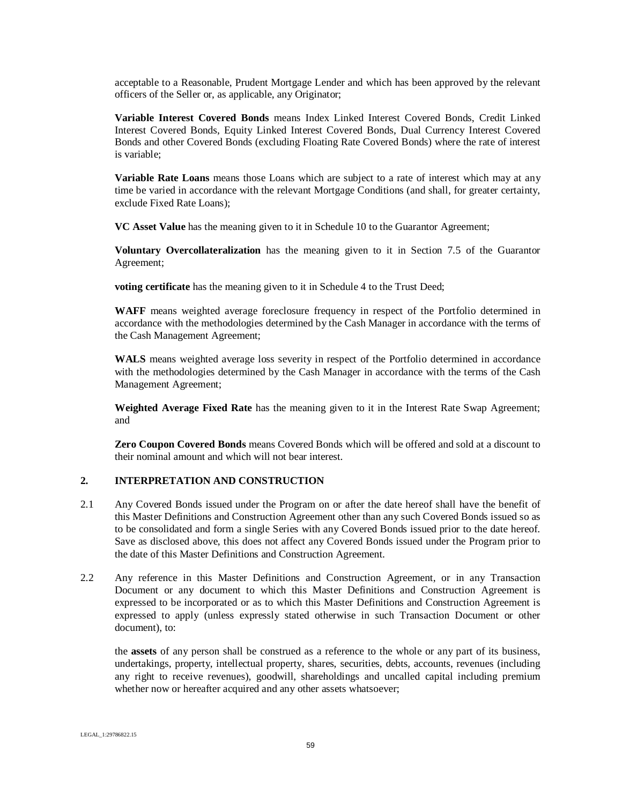acceptable to a Reasonable, Prudent Mortgage Lender and which has been approved by the relevant officers of the Seller or, as applicable, any Originator;

**Variable Interest Covered Bonds** means Index Linked Interest Covered Bonds, Credit Linked Interest Covered Bonds, Equity Linked Interest Covered Bonds, Dual Currency Interest Covered Bonds and other Covered Bonds (excluding Floating Rate Covered Bonds) where the rate of interest is variable;

**Variable Rate Loans** means those Loans which are subject to a rate of interest which may at any time be varied in accordance with the relevant Mortgage Conditions (and shall, for greater certainty, exclude Fixed Rate Loans);

**VC Asset Value** has the meaning given to it in Schedule 10 to the Guarantor Agreement;

**Voluntary Overcollateralization** has the meaning given to it in Section 7.5 of the Guarantor Agreement;

**voting certificate** has the meaning given to it in Schedule 4 to the Trust Deed;

**WAFF** means weighted average foreclosure frequency in respect of the Portfolio determined in accordance with the methodologies determined by the Cash Manager in accordance with the terms of the Cash Management Agreement;

**WALS** means weighted average loss severity in respect of the Portfolio determined in accordance with the methodologies determined by the Cash Manager in accordance with the terms of the Cash Management Agreement;

**Weighted Average Fixed Rate** has the meaning given to it in the Interest Rate Swap Agreement; and

**Zero Coupon Covered Bonds** means Covered Bonds which will be offered and sold at a discount to their nominal amount and which will not bear interest.

### **2. INTERPRETATION AND CONSTRUCTION**

- 2.1 Any Covered Bonds issued under the Program on or after the date hereof shall have the benefit of this Master Definitions and Construction Agreement other than any such Covered Bonds issued so as to be consolidated and form a single Series with any Covered Bonds issued prior to the date hereof. Save as disclosed above, this does not affect any Covered Bonds issued under the Program prior to the date of this Master Definitions and Construction Agreement.
- 2.2 Any reference in this Master Definitions and Construction Agreement, or in any Transaction Document or any document to which this Master Definitions and Construction Agreement is expressed to be incorporated or as to which this Master Definitions and Construction Agreement is expressed to apply (unless expressly stated otherwise in such Transaction Document or other document), to:

the **assets** of any person shall be construed as a reference to the whole or any part of its business, undertakings, property, intellectual property, shares, securities, debts, accounts, revenues (including any right to receive revenues), goodwill, shareholdings and uncalled capital including premium whether now or hereafter acquired and any other assets whatsoever;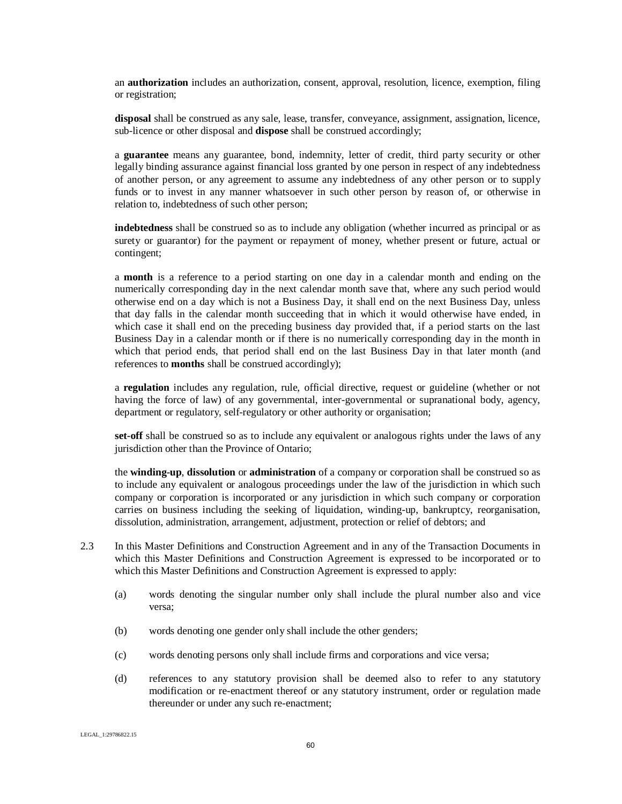an **authorization** includes an authorization, consent, approval, resolution, licence, exemption, filing or registration;

**disposal** shall be construed as any sale, lease, transfer, conveyance, assignment, assignation, licence, sub-licence or other disposal and **dispose** shall be construed accordingly;

a **guarantee** means any guarantee, bond, indemnity, letter of credit, third party security or other legally binding assurance against financial loss granted by one person in respect of any indebtedness of another person, or any agreement to assume any indebtedness of any other person or to supply funds or to invest in any manner whatsoever in such other person by reason of, or otherwise in relation to, indebtedness of such other person;

**indebtedness** shall be construed so as to include any obligation (whether incurred as principal or as surety or guarantor) for the payment or repayment of money, whether present or future, actual or contingent;

a **month** is a reference to a period starting on one day in a calendar month and ending on the numerically corresponding day in the next calendar month save that, where any such period would otherwise end on a day which is not a Business Day, it shall end on the next Business Day, unless that day falls in the calendar month succeeding that in which it would otherwise have ended, in which case it shall end on the preceding business day provided that, if a period starts on the last Business Day in a calendar month or if there is no numerically corresponding day in the month in which that period ends, that period shall end on the last Business Day in that later month (and references to **months** shall be construed accordingly);

a **regulation** includes any regulation, rule, official directive, request or guideline (whether or not having the force of law) of any governmental, inter-governmental or supranational body, agency, department or regulatory, self-regulatory or other authority or organisation;

**set-off** shall be construed so as to include any equivalent or analogous rights under the laws of any jurisdiction other than the Province of Ontario;

the **winding-up**, **dissolution** or **administration** of a company or corporation shall be construed so as to include any equivalent or analogous proceedings under the law of the jurisdiction in which such company or corporation is incorporated or any jurisdiction in which such company or corporation carries on business including the seeking of liquidation, winding-up, bankruptcy, reorganisation, dissolution, administration, arrangement, adjustment, protection or relief of debtors; and

- 2.3 In this Master Definitions and Construction Agreement and in any of the Transaction Documents in which this Master Definitions and Construction Agreement is expressed to be incorporated or to which this Master Definitions and Construction Agreement is expressed to apply:
	- (a) words denoting the singular number only shall include the plural number also and vice versa;
	- (b) words denoting one gender only shall include the other genders;
	- (c) words denoting persons only shall include firms and corporations and vice versa;
	- (d) references to any statutory provision shall be deemed also to refer to any statutory modification or re-enactment thereof or any statutory instrument, order or regulation made thereunder or under any such re-enactment;

LEGAL\_1:29786822.15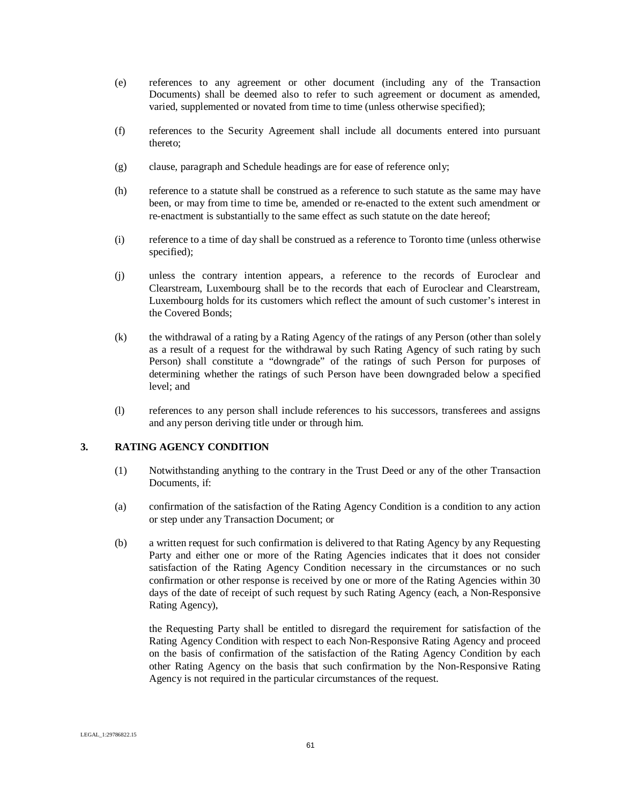- (e) references to any agreement or other document (including any of the Transaction Documents) shall be deemed also to refer to such agreement or document as amended, varied, supplemented or novated from time to time (unless otherwise specified);
- (f) references to the Security Agreement shall include all documents entered into pursuant thereto;
- (g) clause, paragraph and Schedule headings are for ease of reference only;
- (h) reference to a statute shall be construed as a reference to such statute as the same may have been, or may from time to time be, amended or re-enacted to the extent such amendment or re-enactment is substantially to the same effect as such statute on the date hereof;
- (i) reference to a time of day shall be construed as a reference to Toronto time (unless otherwise specified);
- (j) unless the contrary intention appears, a reference to the records of Euroclear and Clearstream, Luxembourg shall be to the records that each of Euroclear and Clearstream, Luxembourg holds for its customers which reflect the amount of such customer's interest in the Covered Bonds;
- (k) the withdrawal of a rating by a Rating Agency of the ratings of any Person (other than solely as a result of a request for the withdrawal by such Rating Agency of such rating by such Person) shall constitute a "downgrade" of the ratings of such Person for purposes of determining whether the ratings of such Person have been downgraded below a specified level; and
- (l) references to any person shall include references to his successors, transferees and assigns and any person deriving title under or through him.

#### **3. RATING AGENCY CONDITION**

- (1) Notwithstanding anything to the contrary in the Trust Deed or any of the other Transaction Documents, if:
- (a) confirmation of the satisfaction of the Rating Agency Condition is a condition to any action or step under any Transaction Document; or
- (b) a written request for such confirmation is delivered to that Rating Agency by any Requesting Party and either one or more of the Rating Agencies indicates that it does not consider satisfaction of the Rating Agency Condition necessary in the circumstances or no such confirmation or other response is received by one or more of the Rating Agencies within 30 days of the date of receipt of such request by such Rating Agency (each, a Non-Responsive Rating Agency),

the Requesting Party shall be entitled to disregard the requirement for satisfaction of the Rating Agency Condition with respect to each Non-Responsive Rating Agency and proceed on the basis of confirmation of the satisfaction of the Rating Agency Condition by each other Rating Agency on the basis that such confirmation by the Non-Responsive Rating Agency is not required in the particular circumstances of the request.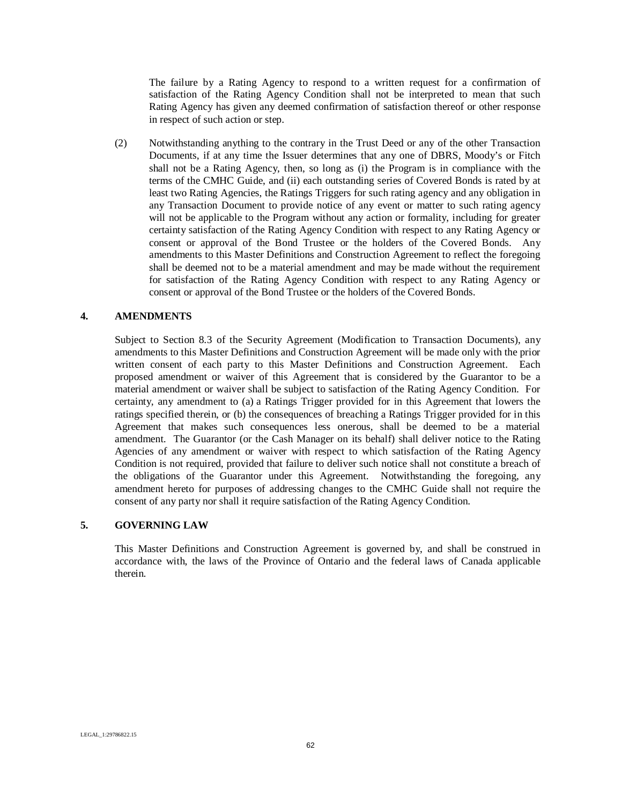The failure by a Rating Agency to respond to a written request for a confirmation of satisfaction of the Rating Agency Condition shall not be interpreted to mean that such Rating Agency has given any deemed confirmation of satisfaction thereof or other response in respect of such action or step.

(2) Notwithstanding anything to the contrary in the Trust Deed or any of the other Transaction Documents, if at any time the Issuer determines that any one of DBRS, Moody's or Fitch shall not be a Rating Agency, then, so long as (i) the Program is in compliance with the terms of the CMHC Guide, and (ii) each outstanding series of Covered Bonds is rated by at least two Rating Agencies, the Ratings Triggers for such rating agency and any obligation in any Transaction Document to provide notice of any event or matter to such rating agency will not be applicable to the Program without any action or formality, including for greater certainty satisfaction of the Rating Agency Condition with respect to any Rating Agency or consent or approval of the Bond Trustee or the holders of the Covered Bonds. Any amendments to this Master Definitions and Construction Agreement to reflect the foregoing shall be deemed not to be a material amendment and may be made without the requirement for satisfaction of the Rating Agency Condition with respect to any Rating Agency or consent or approval of the Bond Trustee or the holders of the Covered Bonds.

#### **4. AMENDMENTS**

Subject to Section 8.3 of the Security Agreement (Modification to Transaction Documents), any amendments to this Master Definitions and Construction Agreement will be made only with the prior written consent of each party to this Master Definitions and Construction Agreement. Each proposed amendment or waiver of this Agreement that is considered by the Guarantor to be a material amendment or waiver shall be subject to satisfaction of the Rating Agency Condition. For certainty, any amendment to (a) a Ratings Trigger provided for in this Agreement that lowers the ratings specified therein, or (b) the consequences of breaching a Ratings Trigger provided for in this Agreement that makes such consequences less onerous, shall be deemed to be a material amendment. The Guarantor (or the Cash Manager on its behalf) shall deliver notice to the Rating Agencies of any amendment or waiver with respect to which satisfaction of the Rating Agency Condition is not required, provided that failure to deliver such notice shall not constitute a breach of the obligations of the Guarantor under this Agreement. Notwithstanding the foregoing, any amendment hereto for purposes of addressing changes to the CMHC Guide shall not require the consent of any party nor shall it require satisfaction of the Rating Agency Condition.

### **5. GOVERNING LAW**

This Master Definitions and Construction Agreement is governed by, and shall be construed in accordance with, the laws of the Province of Ontario and the federal laws of Canada applicable therein.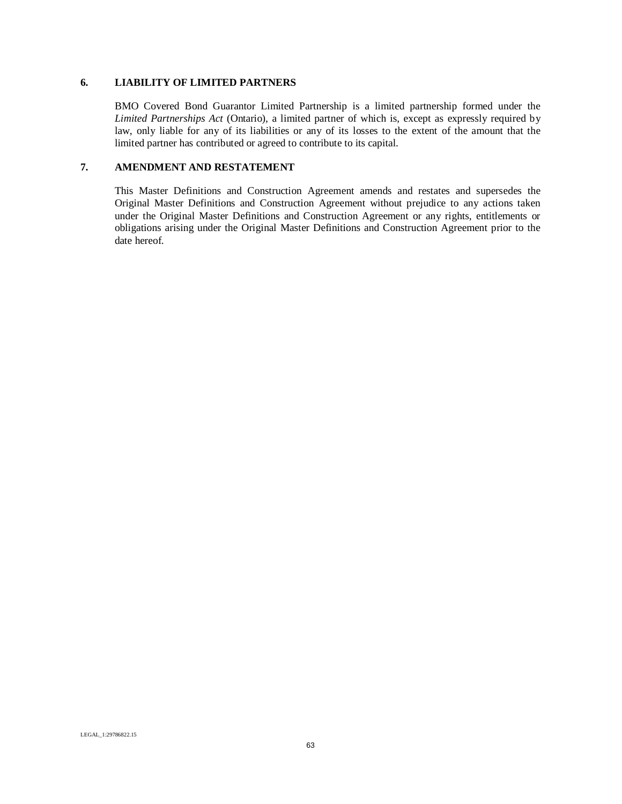#### **6. LIABILITY OF LIMITED PARTNERS**

BMO Covered Bond Guarantor Limited Partnership is a limited partnership formed under the *Limited Partnerships Act* (Ontario), a limited partner of which is, except as expressly required by law, only liable for any of its liabilities or any of its losses to the extent of the amount that the limited partner has contributed or agreed to contribute to its capital.

### **7. AMENDMENT AND RESTATEMENT**

This Master Definitions and Construction Agreement amends and restates and supersedes the Original Master Definitions and Construction Agreement without prejudice to any actions taken under the Original Master Definitions and Construction Agreement or any rights, entitlements or obligations arising under the Original Master Definitions and Construction Agreement prior to the date hereof.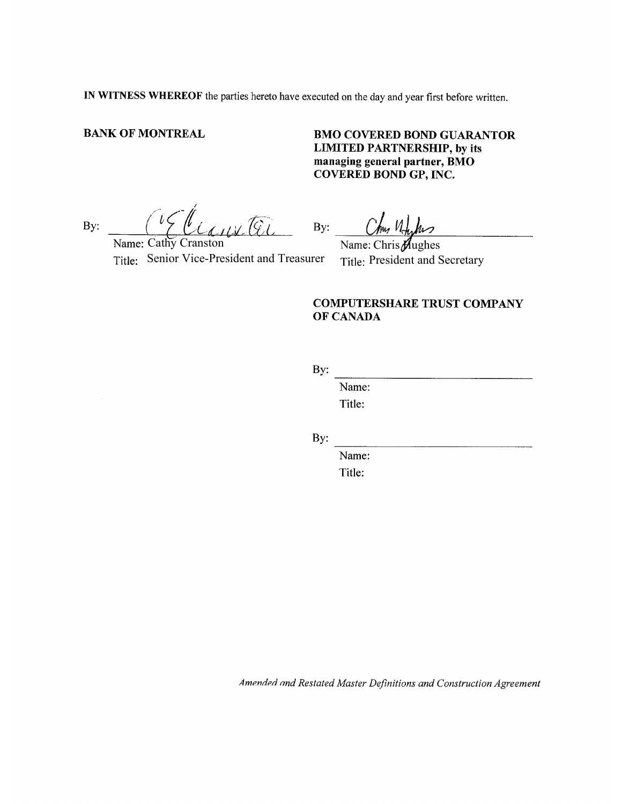IN WITNESS WHEREOF the parties hereto have executed on the day and year first before written.

### **BANK OF MONTREAL**

# **BMO COVERED BOND GUARANTOR LIMITED PARTNERSHIP, by its** managing general partner, BMO **COVERED BOND GP, INC.**

Elianita By:

Name: Cathy Cranston Title: Senior Vice-President and Treasurer

By:  $\frac{\partial w}{\partial x} = \frac{\partial w}{\partial y}$ 

Title: President and Secretary

# **COMPUTERSHARE TRUST COMPANY** OF CANADA

By:

Name: Title:

By:

Name: Title: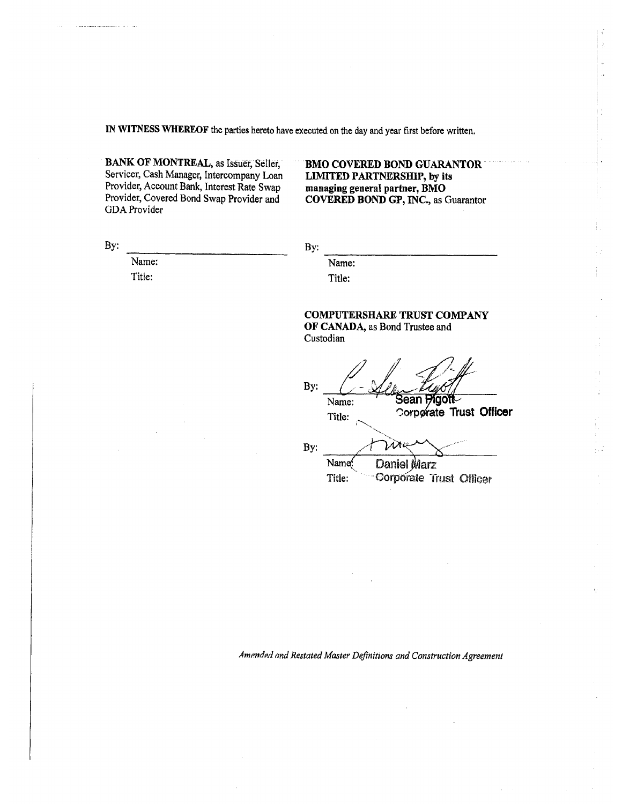IN WITNESS WHEREOF the parties hereto have executed on the day and year first before written.

BANK OF MONTREAL, as Issuer, Seller, Servicer, Cash Manager, Intercompany Loan Provider, Account Bank, Interest Rate Swap Provider, Covered Bond Swap Provider and GDA Provider

#### **BMO COVERED BOND GUARANTOR LIMITED PARTNERSHIP, by its** managing general partner, BMO COVERED BOND GP, INC., as Guarantor

By:

By:

Name: Title:

Name:

Title:

#### **COMPUTERSHARE TRUST COMPANY** OF CANADA, as Bond Trustee and

Custodian

By: Sean Pigott Name: Corporate Trust Officer Title: By: Name<sup>(</sup> Daniel Marz Corporate Trust Officer Title: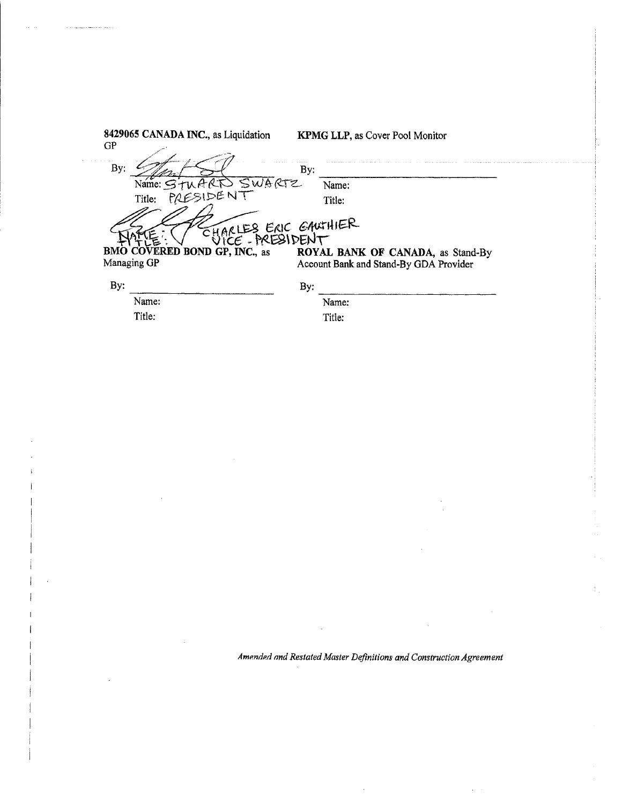| 8429065 CANADA INC., as Liquidation<br>GP                                | <b>KPMG LLP, as Cover Pool Monitor</b>                                      |
|--------------------------------------------------------------------------|-----------------------------------------------------------------------------|
| By:                                                                      | By:                                                                         |
| SWARTZ<br>Name: $\leq t$                                                 | Name:                                                                       |
| PRESIDENT<br>Title:                                                      | Title:                                                                      |
| CHARLES ERIC GANTHIER<br>COVERED BOND GP, INC., as<br>BMO<br>Managing GP | ROYAL BANK OF CANADA, as Stand-By<br>Account Bank and Stand-By GDA Provider |
| By:                                                                      | By:                                                                         |
| Name:                                                                    | Name:                                                                       |
| Title:                                                                   | Title:                                                                      |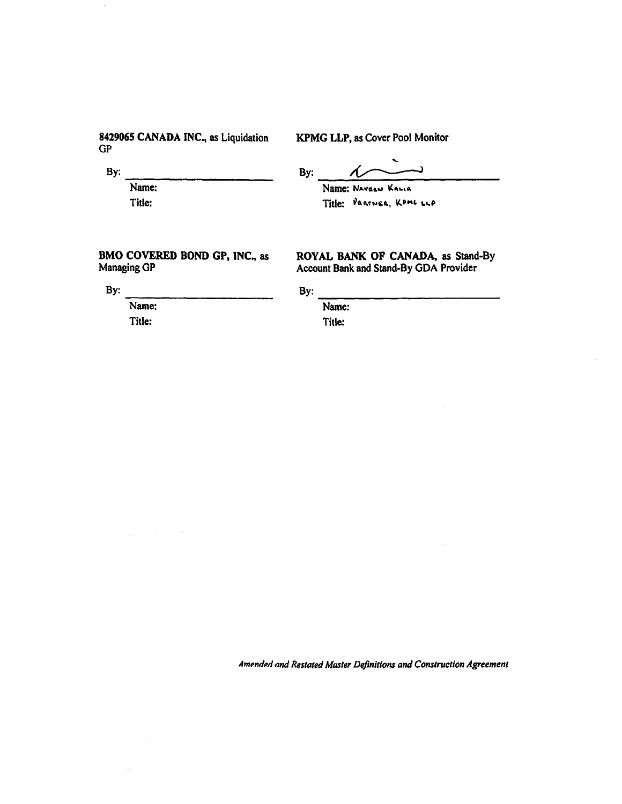### 8429065 CANADA INC., as Liquidation  $GP$

### KPMG LLP, as Cover Pool Monitor

By:

By:  $\Lambda$ 

Name: Title:

Name: NAVasw KALIA Title: PRATNER, KOML LLA

ROYAL BANK OF CANADA, as Stand-By

### BMO COVERED BOND GP, INC., as Managing GP

Account Bank and Stand-By GDA Provider

By: Name:

Title:

By: Name:

Title: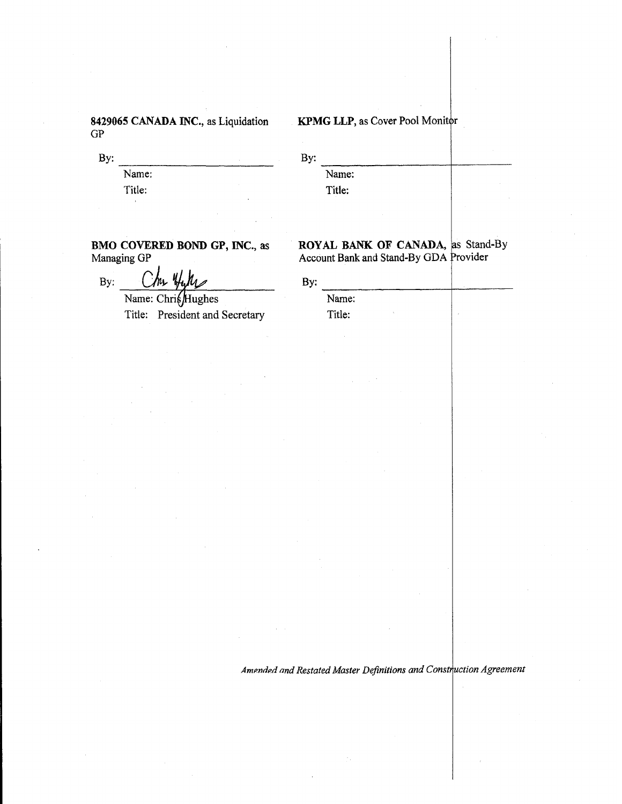8429065 CANADA INC., as Liquidation  $GP$ 

By:

Name: Title:

# KPMG LLP, as Cover Pool Monitor

By:

Name: Title:

BMO COVERED BOND GP, INC., as Managing GP

By:

Name: ChrisHughes Title: President and Secretary

|  | ROYAL BANK OF CANADA, as Stand-By      |  |
|--|----------------------------------------|--|
|  | Account Bank and Stand-By GDA Provider |  |

By: Name: Title: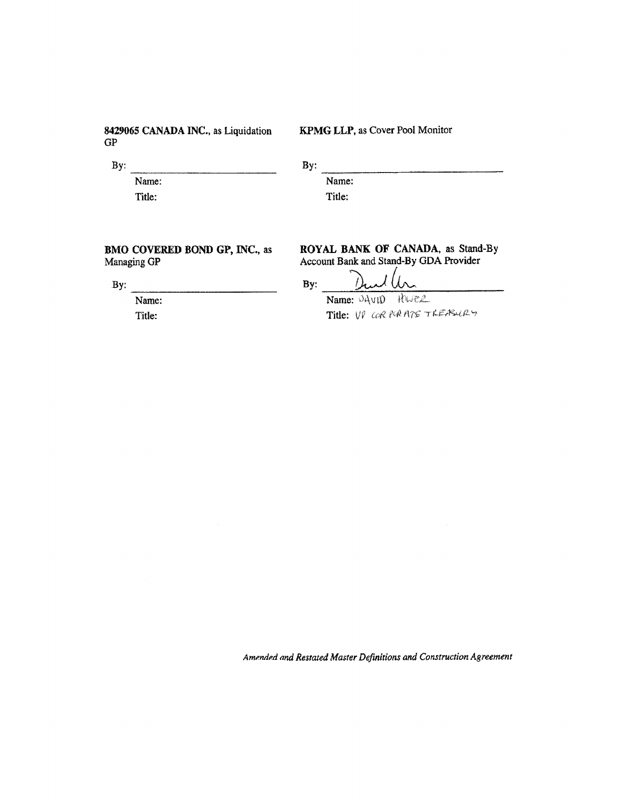8429065 CANADA INC., as Liquidation  $GP$ 

KPMG LLP, as Cover Pool Monitor

By: Name: Title:

By:

Name:

**BMO COVERED BOND GP, INC., as** Managing GP

By:

Name: Title:

Title:

ROYAL BANK OF CANADA, as Stand-By<br>Account Bank and Stand-By GDA Provider

By:

Rues Name: JAVID Title: VP COR PORATE TREASURY